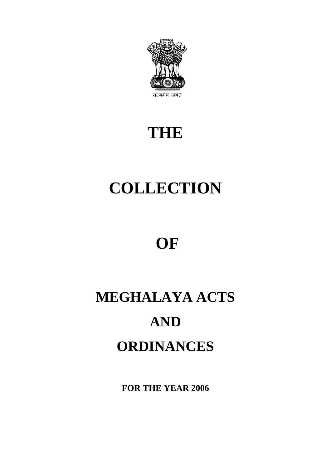

# **THE**

# **COLLECTION**

# **OF**

# **MEGHALAYA ACTS AND ORDINANCES**

**FOR THE YEAR 2006**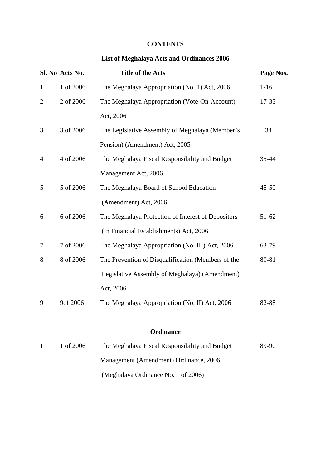# **CONTENTS**

# **List of Meghalaya Acts and Ordinances 2006**

|                | Sl. No Acts No. | <b>Title of the Acts</b>                           | Page Nos. |
|----------------|-----------------|----------------------------------------------------|-----------|
| $\mathbf{1}$   | 1 of 2006       | The Meghalaya Appropriation (No. 1) Act, 2006      | $1 - 16$  |
| $\overline{2}$ | 2 of 2006       | The Meghalaya Appropriation (Vote-On-Account)      | 17-33     |
|                |                 | Act, 2006                                          |           |
| 3              | 3 of 2006       | The Legislative Assembly of Meghalaya (Member's    | 34        |
|                |                 | Pension) (Amendment) Act, 2005                     |           |
| 4              | 4 of 2006       | The Meghalaya Fiscal Responsibility and Budget     | 35-44     |
|                |                 | Management Act, 2006                               |           |
| 5              | 5 of 2006       | The Meghalaya Board of School Education            | $45 - 50$ |
|                |                 | (Amendment) Act, 2006                              |           |
| 6              | 6 of 2006       | The Meghalaya Protection of Interest of Depositors | $51 - 62$ |
|                |                 | (In Financial Establishments) Act, 2006            |           |
| 7              | 7 of 2006       | The Meghalaya Appropriation (No. III) Act, 2006    | 63-79     |
| 8              | 8 of 2006       | The Prevention of Disqualification (Members of the | 80-81     |
|                |                 | Legislative Assembly of Meghalaya) (Amendment)     |           |
|                |                 | Act, 2006                                          |           |
| 9              | 9of 2006        | The Meghalaya Appropriation (No. II) Act, 2006     | 82-88     |
|                |                 |                                                    |           |

# **Ordinance**

| 1 of 2006 | The Meghalaya Fiscal Responsibility and Budget | 89-90 |
|-----------|------------------------------------------------|-------|
|           | Management (Amendment) Ordinance, 2006         |       |
|           | (Meghalaya Ordinance No. 1 of 2006)            |       |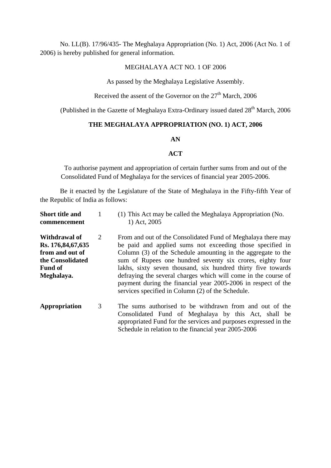No. LL(B). 17/96/435- The Meghalaya Appropriation (No. 1) Act, 2006 (Act No. 1 of 2006) is hereby published for general information.

### MEGHALAYA ACT NO. 1 OF 2006

As passed by the Meghalaya Legislative Assembly.

Received the assent of the Governor on the  $27<sup>th</sup>$  March, 2006

(Published in the Gazette of Meghalaya Extra-Ordinary issued dated  $28<sup>th</sup>$  March, 2006

# **THE MEGHALAYA APPROPRIATION (NO. 1) ACT, 2006**

#### **AN**

## **ACT**

To authorise payment and appropriation of certain further sums from and out of the Consolidated Fund of Meghalaya for the services of financial year 2005-2006.

Be it enacted by the Legislature of the State of Meghalaya in the Fifty-fifth Year of the Republic of India as follows:

| <b>Short title and</b><br>commencement                                                                    |   | (1) This Act may be called the Meghalaya Appropriation (No.<br>1) Act, 2005                                                                                                                                                                                                                                                                                                                                                                                                                                    |
|-----------------------------------------------------------------------------------------------------------|---|----------------------------------------------------------------------------------------------------------------------------------------------------------------------------------------------------------------------------------------------------------------------------------------------------------------------------------------------------------------------------------------------------------------------------------------------------------------------------------------------------------------|
| Withdrawal of<br>Rs. 176,84,67,635<br>from and out of<br>the Consolidated<br><b>Fund of</b><br>Meghalaya. | 2 | From and out of the Consolidated Fund of Meghalaya there may<br>be paid and applied sums not exceeding those specified in<br>Column (3) of the Schedule amounting in the aggregate to the<br>sum of Rupees one hundred seventy six crores, eighty four<br>lakhs, sixty seven thousand, six hundred thirty five towards<br>defraying the several charges which will come in the course of<br>payment during the financial year 2005-2006 in respect of the<br>services specified in Column (2) of the Schedule. |
| Appropriation                                                                                             | 3 | The sums authorised to be withdrawn from and out of the<br>Consolidated Fund of Meghalaya by this Act, shall be<br>appropriated Fund for the services and purposes expressed in the<br>Schedule in relation to the financial year 2005-2006                                                                                                                                                                                                                                                                    |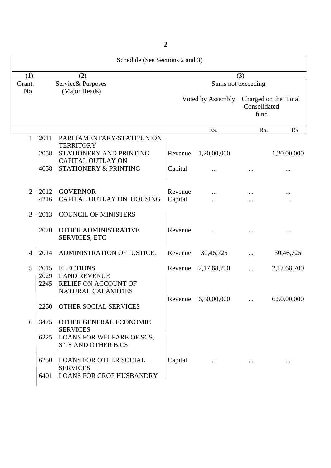Schedule (See Sections 2 and 3) (1)  $(2)$  (3) Grant. Service& Purposes Sums not exceeding No (Major Heads) Voted by Assembly Charged on the Total Consolidated fund Rs. Rs. Rs. Rs. 1 2011 PARLIAMENTARY/STATE/UNION **TERRITORY** 2058 STATIONERY AND PRINTING Revenue 1,20,00,000 1,20,00,000 CAPITAL OUTLAY ON 4058 STATIONERY & PRINTING Capital ... ... ... ... ... 2 | 2012 GOVERNOR Revenue ... ... ... ... ... ... 4216 CAPITAL OUTLAY ON HOUSING Capital ... ... ... ... ... ... ... 3 2013 COUNCIL OF MINISTERS 2070 OTHER ADMINISTRATIVE Revenue ... ... ... ... ... ... SERVICES, ETC 4 2014 ADMINISTRATION OF JUSTICE. Revenue 30,46,725 ... 30,46,725 5 2015 ELECTIONS Revenue 2,17,68,700 ... 2,17,68,700 2029 LAND REVENUE 2245 RELIEF ON ACCOUNT OF NATURAL CALAMITIES Revenue 6,50,00,000 ... 6,50,00,000 2250 OTHER SOCIAL SERVICES 6 3475 OTHER GENERAL ECONOMIC **SERVICES** 6225 LOANS FOR WELFARE OF SCS, S TS AND OTHER B.CS 6250 LOANS FOR OTHER SOCIAL Capital ... ... ... SERVICES 6401 LOANS FOR CROP HUSBANDRY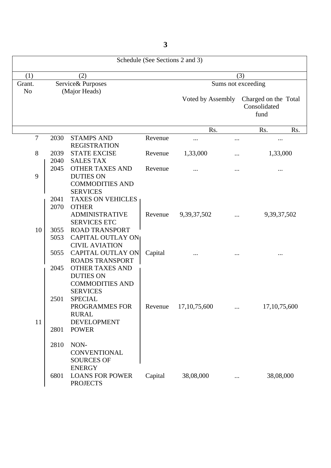Schedule (See Sections 2 and 3) (1)  $(2)$  (3) Grant. Service& Purposes Sums not exceeding No (Major Heads) Voted by Assembly Charged on the Total Consolidated fund Rs. Rs. Rs. Rs. 7 2030 STAMPS AND Revenue ... ... ... ... ... ... ... REGISTRATION 8 2039 STATE EXCISE Revenue 1,33,000 ... 1,33,000 2040 SALES TAX<br>2045 OTHER TAX OTHER TAXES AND Revenue ... ... ... ... ... ... ... ... 9 DUTIES ON COMMODITIES AND SERVICES 2041 TAXES ON VEHICLES 2070 OTHER ADMINISTRATIVE Revenue 9,39,37,502 ... 9,39,37,502 SERVICES ETC 10 3055 ROAD TRANSPORT 5053 CAPITAL OUTLAY ON CIVIL AVIATION 5055 CAPITAL OUTLAY ON Capital ... ... ... ... ... ... ... ROADS TRANSPORT 2045 OTHER TAXES AND DUTIES ON COMMODITIES AND SERVICES 2501 SPECIAL PROGRAMMES FOR Revenue 17,10,75,600 ... 17,10,75,600 RURAL 11 DEVELOPMENT 2801 POWER 2810 NON-**CONVENTIONAL** SOURCES OF ENERGY 6801 LOANS FOR POWER Capital 38,08,000 ... 38,08,000 PROJECTS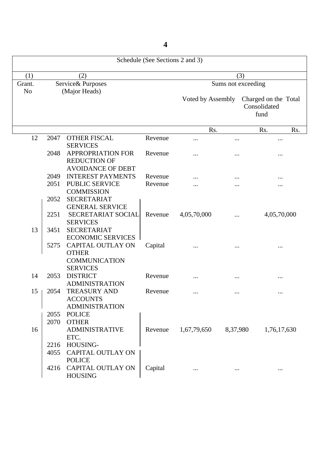Schedule (See Sections 2 and 3) (1)  $(2)$  (3) Grant. Service& Purposes Sums not exceeding No (Major Heads) Voted by Assembly Charged on the Total Consolidated fund Rs. Rs. Rs. Rs. 12 2047 OTHER FISCAL Revenue ... ... ... ... ... ... ... SERVICES 2048 APPROPRIATION FOR Revenue ... ... ... ... ... ... REDUCTION OF AVOIDANCE OF DEBT 2049 INTEREST PAYMENTS Revenue ... ... ... ... ... ... ... ... 2051 PUBLIC SERVICE Revenue ... ... ... ... ... ... ... **COMMISSION**  2052 SECRETARIAT GENERAL SERVICE 2251 SECRETARIAT SOCIAL Revenue 4,05,70,000 ... 4,05,70,000 SERVICES 13 3451 SECRETARIAT ECONOMIC SERVICES 5275 CAPITAL OUTLAY ON Capital ... ... ... ... ... ... **OTHER**  COMMUNICATION SERVICES 14 2053 DISTRICT Revenue ... ... ... ... ... ... ADMINISTRATION 15 | 2054 TREASURY AND Revenue ... ... ... ... ... ... ... ... ACCOUNTS ADMINISTRATION 2055 POLICE 2070 OTHER 16 ADMINISTRATIVE Revenue 1,67,79,650 8,37,980 1,76,17,630 ETC. 2216 HOUSING-4055 CAPITAL OUTLAY ON POLICE 4216 CAPITAL OUTLAY ON Capital ... ... ... ... ... ... ... HOUSING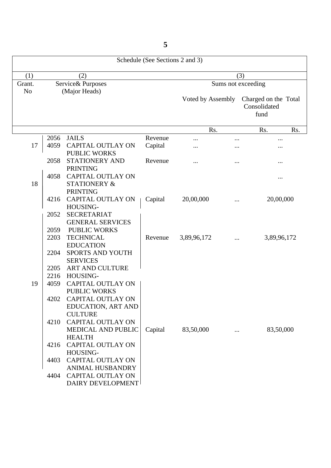Schedule (See Sections 2 and 3) (1)  $(2)$  (3) Grant. Service& Purposes Sums not exceeding No (Major Heads) Voted by Assembly Charged on the Total Consolidated fund Rs. Rs. Rs. Rs. 2056 JAILS Revenue ... ... ... 17 | 4059 CAPITAL OUTLAY ON Capital ... ... ... ... ... ... PUBLIC WORKS 2058 STATIONERY AND Revenue ... ... ... ... ... ... ... PRINTING 4058 CAPITAL OUTLAY ON ... 18 STATIONERY & PRINTING 4216 CAPITAL OUTLAY ON | Capital 20,00,000 ... 20,00,000 HOUSING- 2052 SECRETARIAT GENERAL SERVICES 2059 PUBLIC WORKS 2203 TECHNICAL Revenue 3,89,96,172 ... 3,89,96,172 EDUCATION 2204 SPORTS AND YOUTH **SERVICES**  2205 ART AND CULTURE 2216 HOUSING-19 4059 CAPITAL OUTLAY ON PUBLIC WORKS 4202 CAPITAL OUTLAY ON EDUCATION, ART AND **CULTURE** 4210 CAPITAL OUTLAY ON MEDICAL AND PUBLIC | Capital 83,50,000 ... 83,50,000 HEALTH 4216 CAPITAL OUTLAY ON HOUSING-4403 CAPITAL OUTLAY ON ANIMAL HUSBANDRY 4404 CAPITAL OUTLAY ON DAIRY DEVELOPMENT

**5**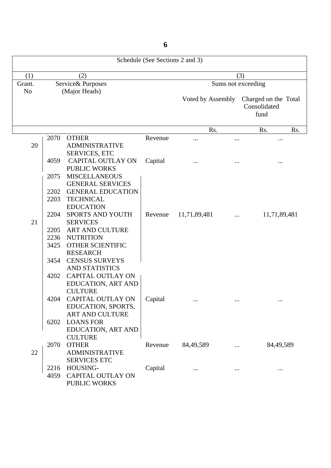Schedule (See Sections 2 and 3) (1)  $(2)$  (3) Grant. Service& Purposes Sums not exceeding No (Major Heads) Voted by Assembly Charged on the Total Consolidated fund Rs. Rs. Rs. Rs. 2070 OTHER Revenue ... ... ... ... ... ... ... 20 ADMINISTRATIVE SERVICES, ETC 4059 CAPITAL OUTLAY ON Capital ... ... ... ... ... ... ... PUBLIC WORKS 2075 MISCELLANEOUS GENERAL SERVICES 2202 GENERAL EDUCATION 2203 TECHNICAL EDUCATION 2204 SPORTS AND YOUTH Revenue 11,71,89,481 ... 11,71,89,481 21 SERVICES 2205 ART AND CULTURE 2236 NUTRITION 3425 OTHER SCIENTIFIC RESEARCH 3454 CENSUS SURVEYS AND STATISTICS 4202 CAPITAL OUTLAY ON EDUCATION, ART AND **CULTURE** 4204 CAPITAL OUTLAY ON | Capital ... ... ... ... ... ... EDUCATION, SPORTS, ART AND CULTURE 6202 LOANS FOR EDUCATION, ART AND **CULTURE** 2070 OTHER Revenue 84,49,589 ... 84,49,589 22 ADMINISTRATIVE SERVICES ETC 2216 HOUSING- Capital ... ... ... ... ... ... ... 4059 CAPITAL OUTLAY ON PUBLIC WORKS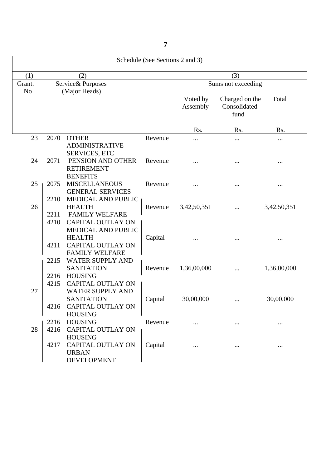Schedule (See Sections 2 and 3) (1)  $(2)$   $(3)$ Grant. Service& Purposes Sums not exceeding No (Major Heads) Voted by Charged on the Total Assembly Consolidated fund Rs. Rs. Rs. Rs. 23 2070 OTHER Revenue ... ... ... ... ... ... ADMINISTRATIVE SERVICES, ETC 24 2071 PENSION AND OTHER Revenue ... ... ... ... ... ... ... RETIREMENT **BENEFITS** 25 | 2075 MISCELLANEOUS Revenue ... ... ... ... ... ... ... ... GENERAL SERVICES 2210 MEDICAL AND PUBLIC 26 HEALTH Revenue 3,42,50,351 ... 3,42,50,351 2211 FAMILY WELFARE 4210 CAPITAL OUTLAY ON MEDICAL AND PUBLIC HEALTH Capital ... ... ... ... ... ... 4211 CAPITAL OUTLAY ON FAMILY WELFARE 2215 WATER SUPPLY AND SANITATION Revenue 1,36,00,000 ... 1,36,00,000 2216 HOUSING 4215 CAPITAL OUTLAY ON 27 WATER SUPPLY AND SANITATION | Capital 30,00,000 ... 30,00,000 4216 CAPITAL OUTLAY ON HOUSING 2216 HOUSING Revenue ... ... ... ... ... ... 28 4216 CAPITAL OUTLAY ON HOUSING 4217 CAPITAL OUTLAY ON Capital ... ... ... ... ... ... URBAN DEVELOPMENT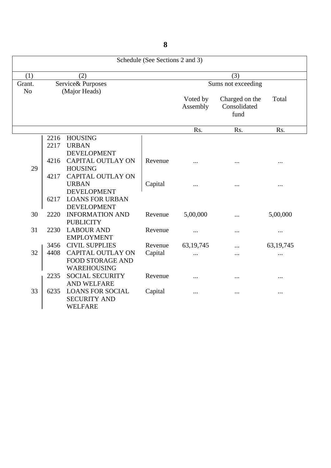|                |      |                          | Schedule (See Sections 2 and 3) |                      |                                        |             |
|----------------|------|--------------------------|---------------------------------|----------------------|----------------------------------------|-------------|
| (1)            |      | (2)                      |                                 |                      | (3)                                    |             |
| Grant.         |      | Service& Purposes        |                                 |                      | Sums not exceeding                     |             |
| N <sub>o</sub> |      | (Major Heads)            |                                 |                      |                                        |             |
|                |      |                          |                                 | Voted by<br>Assembly | Charged on the<br>Consolidated<br>fund | Total       |
|                |      |                          |                                 | Rs.                  | Rs.                                    | Rs.         |
|                | 2216 | <b>HOUSING</b>           |                                 |                      |                                        |             |
|                | 2217 | <b>URBAN</b>             |                                 |                      |                                        |             |
|                |      | <b>DEVELOPMENT</b>       |                                 |                      |                                        |             |
|                | 4216 | <b>CAPITAL OUTLAY ON</b> | Revenue                         |                      |                                        | $\cdots$    |
| 29             |      | <b>HOUSING</b>           |                                 |                      |                                        |             |
|                | 4217 | <b>CAPITAL OUTLAY ON</b> |                                 |                      |                                        |             |
|                |      | <b>URBAN</b>             | Capital                         |                      |                                        |             |
|                |      | <b>DEVELOPMENT</b>       |                                 |                      |                                        |             |
|                | 6217 | <b>LOANS FOR URBAN</b>   |                                 |                      |                                        |             |
|                |      | <b>DEVELOPMENT</b>       |                                 |                      |                                        |             |
| 30             | 2220 | <b>INFORMATION AND</b>   | Revenue                         | 5,00,000             |                                        | 5,00,000    |
|                |      | <b>PUBLICITY</b>         |                                 |                      |                                        |             |
| 31             | 2230 | <b>LABOUR AND</b>        | Revenue                         |                      |                                        |             |
|                |      | <b>EMPLOYMENT</b>        |                                 |                      |                                        |             |
|                | 3456 | <b>CIVIL SUPPLIES</b>    | Revenue                         | 63, 19, 745          |                                        | 63, 19, 745 |
| 32             | 4408 | <b>CAPITAL OUTLAY ON</b> | Capital                         | $\cdots$             | .                                      |             |
|                |      | <b>FOOD STORAGE AND</b>  |                                 |                      |                                        |             |
|                |      | WAREHOUSING              |                                 |                      |                                        |             |
|                | 2235 | <b>SOCIAL SECURITY</b>   | Revenue                         | .                    |                                        |             |
|                |      | AND WELFARE              |                                 |                      |                                        |             |
| 33             | 6235 | <b>LOANS FOR SOCIAL</b>  | Capital                         |                      |                                        | $\cdots$    |
|                |      | <b>SECURITY AND</b>      |                                 |                      |                                        |             |
|                |      | <b>WELFARE</b>           |                                 |                      |                                        |             |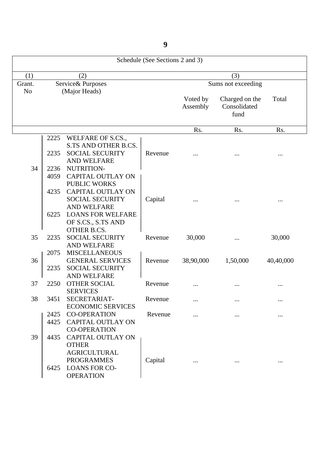|                |      |                          | Schedule (See Sections 2 and 3) |                      |                                        |           |
|----------------|------|--------------------------|---------------------------------|----------------------|----------------------------------------|-----------|
| (1)            |      | (2)                      |                                 |                      | (3)                                    |           |
| Grant.         |      | Service& Purposes        |                                 |                      | Sums not exceeding                     |           |
| N <sub>o</sub> |      | (Major Heads)            |                                 |                      |                                        |           |
|                |      |                          |                                 | Voted by<br>Assembly | Charged on the<br>Consolidated<br>fund | Total     |
|                |      |                          |                                 | Rs.                  | Rs.                                    | Rs.       |
|                | 2225 | WELFARE OF S.CS.,        |                                 |                      |                                        |           |
|                |      | S.TS AND OTHER B.CS.     |                                 |                      |                                        |           |
|                | 2235 | <b>SOCIAL SECURITY</b>   | Revenue                         |                      |                                        |           |
|                |      | AND WELFARE              |                                 |                      |                                        |           |
| 34             | 2236 | NUTRITION-               |                                 |                      |                                        |           |
|                | 4059 | <b>CAPITAL OUTLAY ON</b> |                                 |                      |                                        |           |
|                |      | <b>PUBLIC WORKS</b>      |                                 |                      |                                        |           |
|                | 4235 | <b>CAPITAL OUTLAY ON</b> |                                 |                      |                                        |           |
|                |      | <b>SOCIAL SECURITY</b>   | Capital                         |                      |                                        |           |
|                |      | <b>AND WELFARE</b>       |                                 |                      |                                        |           |
|                | 6225 | <b>LOANS FOR WELFARE</b> |                                 |                      |                                        |           |
|                |      | OF S.CS., S.TS AND       |                                 |                      |                                        |           |
|                |      | <b>OTHER B.CS.</b>       |                                 |                      |                                        |           |
| 35             | 2235 | <b>SOCIAL SECURITY</b>   | Revenue                         | 30,000               |                                        | 30,000    |
|                |      | <b>AND WELFARE</b>       |                                 |                      |                                        |           |
|                | 2075 | <b>MISCELLANEOUS</b>     |                                 |                      |                                        |           |
| 36             |      | <b>GENERAL SERVICES</b>  | Revenue                         | 38,90,000            | 1,50,000                               | 40,40,000 |
|                | 2235 | <b>SOCIAL SECURITY</b>   |                                 |                      |                                        |           |
|                |      | <b>AND WELFARE</b>       |                                 |                      |                                        |           |
| 37             | 2250 | <b>OTHER SOCIAL</b>      | Revenue                         |                      |                                        |           |
|                |      | <b>SERVICES</b>          |                                 |                      |                                        |           |
| 38             | 3451 | SECRETARIAT-             | Revenue                         | $\cdot \cdot \cdot$  | $\cdots$                               |           |
|                |      | <b>ECONOMIC SERVICES</b> |                                 |                      |                                        |           |
|                | 2425 | <b>CO-OPERATION</b>      | Revenue                         | $\cdots$             | $\cdots$                               |           |
|                | 4425 | <b>CAPITAL OUTLAY ON</b> |                                 |                      |                                        |           |
|                |      | <b>CO-OPERATION</b>      |                                 |                      |                                        |           |
| 39             | 4435 | <b>CAPITAL OUTLAY ON</b> |                                 |                      |                                        |           |
|                |      | <b>OTHER</b>             |                                 |                      |                                        |           |
|                |      | <b>AGRICULTURAL</b>      |                                 |                      |                                        |           |
|                |      | <b>PROGRAMMES</b>        | Capital                         |                      | $\ldots$                               | $\cdots$  |
|                | 6425 | <b>LOANS FOR CO-</b>     |                                 |                      |                                        |           |
|                |      | <b>OPERATION</b>         |                                 |                      |                                        |           |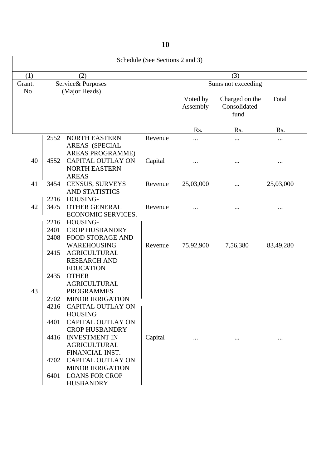Schedule (See Sections 2 and 3) (1)  $(2)$   $(3)$ Grant. Service& Purposes Sums not exceeding No (Major Heads) Voted by Charged on the Total Assembly Consolidated fund Rs. Rs. Rs. Rs. 2552 NORTH EASTERN Revenue ... ... ... ... ... ... ... AREAS (SPECIAL AREAS PROGRAMME) 40 4552 CAPITAL OUTLAY ON Capital ... ... ... ... ... ... NORTH EASTERN AREAS 41 3454 CENSUS, SURVEYS Revenue 25,03,000 ... 25,03,000 AND STATISTICS 2216 HOUSING-42 3475 OTHER GENERAL Revenue ... ... ... ... ... ... ... ECONOMIC SERVICES. 2216 HOUSING- 2401 CROP HUSBANDRY 2408 FOOD STORAGE AND WAREHOUSING | Revenue 75,92,900 7,56,380 83,49,280 2415 AGRICULTURAL RESEARCH AND EDUCATION 2435 OTHER AGRICULTURAL 43 PROGRAMMES 2702 MINOR IRRIGATION 4216 CAPITAL OUTLAY ON HOUSING 4401 CAPITAL OUTLAY ON CROP HUSBANDRY 4416 INVESTMENT IN Capital ... ... ... ... ... AGRICULTURAL FINANCIAL INST. 4702 CAPITAL OUTLAY ON MINOR IRRIGATION 6401 LOANS FOR CROP HUSBANDRY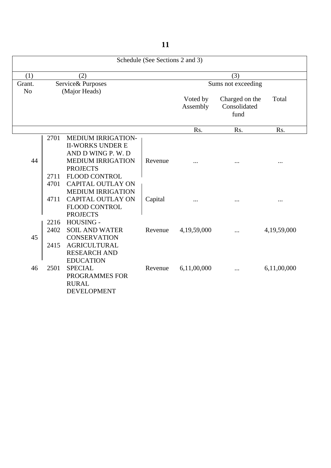|                |                                      |                                                                                                                                                                                                                                                                                               | Schedule (See Sections 2 and 3) |                      |                                        |                      |
|----------------|--------------------------------------|-----------------------------------------------------------------------------------------------------------------------------------------------------------------------------------------------------------------------------------------------------------------------------------------------|---------------------------------|----------------------|----------------------------------------|----------------------|
| (1)            |                                      | (2)                                                                                                                                                                                                                                                                                           |                                 |                      | (3)                                    |                      |
| Grant.         |                                      | Service& Purposes                                                                                                                                                                                                                                                                             |                                 |                      | Sums not exceeding                     |                      |
| N <sub>o</sub> |                                      | (Major Heads)                                                                                                                                                                                                                                                                                 |                                 | Voted by<br>Assembly | Charged on the<br>Consolidated<br>fund | Total                |
|                |                                      |                                                                                                                                                                                                                                                                                               |                                 | Rs.                  | Rs.                                    | Rs.                  |
| 44             | 2701<br>2711<br>4701<br>4711<br>2216 | <b>MEDIUM IRRIGATION-</b><br><b>II-WORKS UNDER E</b><br>AND D WING P. W. D<br><b>MEDIUM IRRIGATION</b><br><b>PROJECTS</b><br><b>FLOOD CONTROL</b><br><b>CAPITAL OUTLAY ON</b><br><b>MEDIUM IRRIGATION</b><br><b>CAPITAL OUTLAY ON</b><br><b>FLOOD CONTROL</b><br><b>PROJECTS</b><br>HOUSING - | Revenue<br>Capital              | .                    |                                        | $\cdots$<br>$\cdots$ |
| 45             | 2402<br>2415                         | <b>SOIL AND WATER</b><br><b>CONSERVATION</b><br><b>AGRICULTURAL</b><br><b>RESEARCH AND</b><br><b>EDUCATION</b>                                                                                                                                                                                | Revenue                         | 4,19,59,000          |                                        | 4,19,59,000          |
| 46             | 2501                                 | <b>SPECIAL</b><br>PROGRAMMES FOR<br><b>RURAL</b><br><b>DEVELOPMENT</b>                                                                                                                                                                                                                        | Revenue                         | 6,11,00,000          | $\cdots$                               | 6,11,00,000          |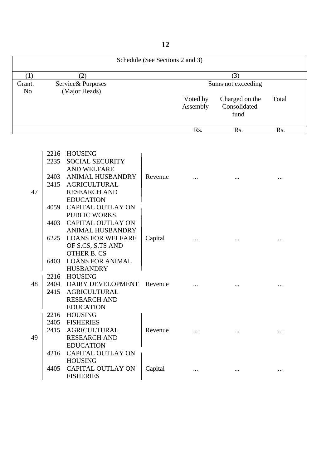Schedule (See Sections 2 and 3) (1)  $(2)$   $(3)$ Grant. Service& Purposes Sums not exceeding<br>No (Major Heads) Service & Purposes<br>(Major Heads) Voted by Charged on the Total Assembly Consolidated fund Rs. Rs. Rs. Rs.

|    | 2216 | <b>HOUSING</b>                               |         |  |   |
|----|------|----------------------------------------------|---------|--|---|
|    | 2235 | <b>SOCIAL SECURITY</b>                       |         |  |   |
|    |      | <b>AND WELFARE</b>                           |         |  |   |
|    | 2403 | <b>ANIMAL HUSBANDRY</b>                      | Revenue |  |   |
|    | 2415 | <b>AGRICULTURAL</b>                          |         |  |   |
| 47 |      | <b>RESEARCH AND</b>                          |         |  |   |
|    |      | <b>EDUCATION</b>                             |         |  |   |
|    |      | 4059 CAPITAL OUTLAY ON                       |         |  |   |
|    |      | PUBLIC WORKS.                                |         |  |   |
|    | 4403 | <b>CAPITAL OUTLAY ON</b>                     |         |  |   |
|    |      | <b>ANIMAL HUSBANDRY</b>                      |         |  |   |
|    |      | 6225 LOANS FOR WELFARE                       | Capital |  |   |
|    |      | OF S.CS, S.TS AND                            |         |  |   |
|    |      | <b>OTHER B. CS</b>                           |         |  |   |
|    | 6403 | <b>LOANS FOR ANIMAL</b>                      |         |  |   |
|    |      | <b>HUSBANDRY</b>                             |         |  |   |
|    | 2216 | HOUSING                                      |         |  |   |
| 48 |      | 2404 DAIRY DEVELOPMENT                       | Revenue |  |   |
|    | 2415 | <b>AGRICULTURAL</b>                          |         |  |   |
|    |      | <b>RESEARCH AND</b>                          |         |  |   |
|    |      | <b>EDUCATION</b>                             |         |  |   |
|    |      | 2216 HOUSING                                 |         |  |   |
|    | 2405 | <b>FISHERIES</b>                             |         |  |   |
|    | 2415 | <b>AGRICULTURAL</b>                          | Revenue |  |   |
| 49 |      | <b>RESEARCH AND</b>                          |         |  |   |
|    | 4216 | <b>EDUCATION</b><br><b>CAPITAL OUTLAY ON</b> |         |  |   |
|    |      | <b>HOUSING</b>                               |         |  |   |
|    | 4405 | <b>CAPITAL OUTLAY ON</b>                     | Capital |  |   |
|    |      | <b>FISHERIES</b>                             |         |  | . |
|    |      |                                              |         |  |   |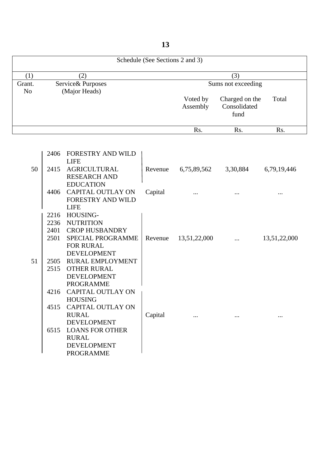Schedule (See Sections 2 and 3) (1)  $(2)$   $(3)$ Grant. Service& Purposes Sums not exceeding<br>No (Major Heads) Service & Purposes<br>(Major Heads) Voted by Charged on the Total Assembly Consolidated fund Rs. Rs. Rs. Rs.

|    | 2406 | <b>FORESTRY AND WILD</b>               |         |              |          |              |
|----|------|----------------------------------------|---------|--------------|----------|--------------|
|    |      | <b>LIFE</b>                            |         |              |          |              |
| 50 |      | 2415 AGRICULTURAL                      | Revenue | 6,75,89,562  | 3,30,884 | 6,79,19,446  |
|    |      | <b>RESEARCH AND</b>                    |         |              |          |              |
|    |      | <b>EDUCATION</b>                       |         |              |          |              |
|    |      | 4406 CAPITAL OUTLAY ON                 | Capital |              |          |              |
|    |      | <b>FORESTRY AND WILD</b>               |         |              |          |              |
|    |      | <b>LIFE</b>                            |         |              |          |              |
|    | 2216 | HOUSING-                               |         |              |          |              |
|    | 2236 | <b>NUTRITION</b>                       |         |              |          |              |
|    | 2401 | <b>CROP HUSBANDRY</b>                  |         |              |          |              |
|    | 2501 | <b>SPECIAL PROGRAMME</b>               | Revenue | 13,51,22,000 |          | 13,51,22,000 |
|    |      | <b>FOR RURAL</b>                       |         |              |          |              |
|    |      | <b>DEVELOPMENT</b>                     |         |              |          |              |
| 51 |      | 2505 RURAL EMPLOYMENT                  |         |              |          |              |
|    | 2515 | <b>OTHER RURAL</b>                     |         |              |          |              |
|    |      | <b>DEVELOPMENT</b><br><b>PROGRAMME</b> |         |              |          |              |
|    | 4216 | <b>CAPITAL OUTLAY ON</b>               |         |              |          |              |
|    |      | <b>HOUSING</b>                         |         |              |          |              |
|    | 4515 | <b>CAPITAL OUTLAY ON</b>               |         |              |          |              |
|    |      | <b>RURAL</b>                           | Capital |              |          |              |
|    |      | <b>DEVELOPMENT</b>                     |         |              |          |              |
|    | 6515 | <b>LOANS FOR OTHER</b>                 |         |              |          |              |
|    |      | <b>RURAL</b>                           |         |              |          |              |
|    |      | <b>DEVELOPMENT</b>                     |         |              |          |              |
|    |      | <b>PROGRAMME</b>                       |         |              |          |              |
|    |      |                                        |         |              |          |              |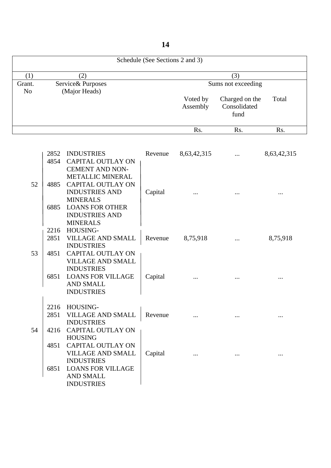Schedule (See Sections 2 and 3) (1)  $(2)$   $(3)$ Grant. Service& Purposes Sums not exceeding<br>No (Major Heads) Service & Purposes<br>(Major Heads) Voted by Charged on the Total Assembly Consolidated fund Rs. Rs. Rs. Rs.

|    | 2852 | <b>INDUSTRIES</b>                               | Revenue | 8,63,42,315 | 8,63,42,315 |
|----|------|-------------------------------------------------|---------|-------------|-------------|
|    | 4854 | <b>CAPITAL OUTLAY ON</b>                        |         |             |             |
|    |      | <b>CEMENT AND NON-</b>                          |         |             |             |
|    |      | <b>METALLIC MINERAL</b>                         |         |             |             |
| 52 | 4885 | <b>CAPITAL OUTLAY ON</b>                        |         |             |             |
|    |      | <b>INDUSTRIES AND</b>                           | Capital |             |             |
|    |      | <b>MINERALS</b>                                 |         |             |             |
|    | 6885 | <b>LOANS FOR OTHER</b><br><b>INDUSTRIES AND</b> |         |             |             |
|    |      | <b>MINERALS</b>                                 |         |             |             |
|    |      | 2216 HOUSING-                                   |         |             |             |
|    | 2851 | <b>VILLAGE AND SMALL</b>                        | Revenue | 8,75,918    | 8,75,918    |
|    |      | <b>INDUSTRIES</b>                               |         |             |             |
| 53 | 4851 | <b>CAPITAL OUTLAY ON</b>                        |         |             |             |
|    |      | <b>VILLAGE AND SMALL</b>                        |         |             |             |
|    |      | <b>INDUSTRIES</b>                               |         |             |             |
|    |      | <b>6851 LOANS FOR VILLAGE</b>                   | Capital |             |             |
|    |      | <b>AND SMALL</b><br><b>INDUSTRIES</b>           |         |             |             |
|    |      |                                                 |         |             |             |
|    |      | 2216 HOUSING-                                   |         |             |             |
|    | 2851 | <b>VILLAGE AND SMALL</b>                        | Revenue |             |             |
|    |      | <b>INDUSTRIES</b>                               |         |             |             |
| 54 | 4216 | <b>CAPITAL OUTLAY ON</b>                        |         |             |             |
|    |      | <b>HOUSING</b>                                  |         |             |             |
|    | 4851 | <b>CAPITAL OUTLAY ON</b>                        |         |             |             |
|    |      | <b>VILLAGE AND SMALL</b><br><b>INDUSTRIES</b>   | Capital |             |             |
|    | 6851 | <b>LOANS FOR VILLAGE</b>                        |         |             |             |
|    |      | <b>AND SMALL</b>                                |         |             |             |
|    |      | <b>INDUSTRIES</b>                               |         |             |             |
|    |      |                                                 |         |             |             |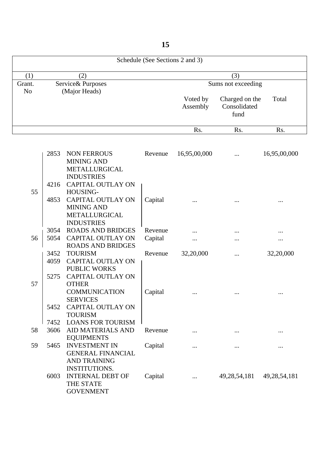Schedule (See Sections 2 and 3) (1)  $(2)$   $(3)$ Grant. Service& Purposes Sums not exceeding No (Major Heads) Voted by Charged on the Total Assembly Consolidated fund Rs. Rs. Rs. Rs. 2853 NON FERROUS Revenue 16,95,00,000 ... 16,95,00,000 MINING AND **METALLURGICAL** 

|    |      | METALLURGICAL            |         |           |                 |                 |
|----|------|--------------------------|---------|-----------|-----------------|-----------------|
|    |      | <b>INDUSTRIES</b>        |         |           |                 |                 |
|    | 4216 | <b>CAPITAL OUTLAY ON</b> |         |           |                 |                 |
| 55 |      | HOUSING-                 |         |           |                 |                 |
|    | 4853 | <b>CAPITAL OUTLAY ON</b> | Capital |           |                 |                 |
|    |      | <b>MINING AND</b>        |         |           |                 |                 |
|    |      | <b>METALLURGICAL</b>     |         |           |                 |                 |
|    |      | <b>INDUSTRIES</b>        |         |           |                 |                 |
|    | 3054 | <b>ROADS AND BRIDGES</b> | Revenue |           |                 |                 |
| 56 | 5054 | <b>CAPITAL OUTLAY ON</b> | Capital |           |                 |                 |
|    |      | <b>ROADS AND BRIDGES</b> |         |           |                 |                 |
|    | 3452 | <b>TOURISM</b>           | Revenue | 32,20,000 |                 | 32,20,000       |
|    | 4059 | <b>CAPITAL OUTLAY ON</b> |         |           |                 |                 |
|    |      | <b>PUBLIC WORKS</b>      |         |           |                 |                 |
|    | 5275 | <b>CAPITAL OUTLAY ON</b> |         |           |                 |                 |
| 57 |      | <b>OTHER</b>             |         |           |                 |                 |
|    |      | <b>COMMUNICATION</b>     | Capital |           |                 |                 |
|    |      | <b>SERVICES</b>          |         |           |                 |                 |
|    | 5452 | <b>CAPITAL OUTLAY ON</b> |         |           |                 |                 |
|    |      | <b>TOURISM</b>           |         |           |                 |                 |
|    | 7452 | <b>LOANS FOR TOURISM</b> |         |           |                 |                 |
| 58 | 3606 | <b>AID MATERIALS AND</b> | Revenue |           |                 |                 |
|    |      | <b>EQUIPMENTS</b>        |         |           |                 |                 |
| 59 | 5465 | <b>INVESTMENT IN</b>     | Capital |           |                 |                 |
|    |      | <b>GENERAL FINANCIAL</b> |         |           |                 |                 |
|    |      | <b>AND TRAINING</b>      |         |           |                 |                 |
|    |      | <b>INSTITUTIONS.</b>     |         |           |                 |                 |
|    | 6003 | <b>INTERNAL DEBT OF</b>  | Capital |           | 49, 28, 54, 181 | 49, 28, 54, 181 |
|    |      | <b>THE STATE</b>         |         |           |                 |                 |
|    |      | <b>GOVENMENT</b>         |         |           |                 |                 |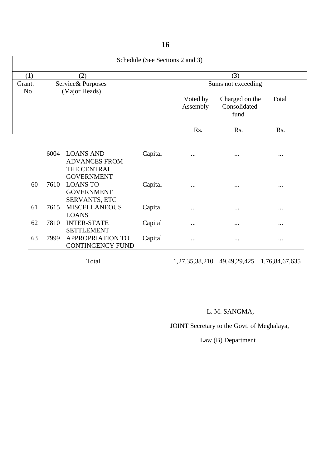Schedule (See Sections 2 and 3) (1)  $(2)$   $(3)$ Grant. Service& Purposes Sums not exceeding No (Major Heads) Voted by Charged on the Total<br>Assembly Consolidated Consolidated<br>fund fund Rs. Rs. Rs. Rs. 6004 LOANS AND Capital ADVANCES FROM

|    | <u>vvv</u> | LUAIN AIND              | Capital | $\cdots$ | $\cdots$ | $\cdots$ |
|----|------------|-------------------------|---------|----------|----------|----------|
|    |            | <b>ADVANCES FROM</b>    |         |          |          |          |
|    |            | THE CENTRAL             |         |          |          |          |
|    |            | <b>GOVERNMENT</b>       |         |          |          |          |
| 60 | 7610       | <b>LOANS TO</b>         | Capital | $\cdots$ | $\cdots$ | $\cdots$ |
|    |            | <b>GOVERNMENT</b>       |         |          |          |          |
|    |            | <b>SERVANTS, ETC</b>    |         |          |          |          |
| 61 | 7615       | <b>MISCELLANEOUS</b>    | Capital | $\cdots$ | $\cdots$ | $\cdots$ |
|    |            | <b>LOANS</b>            |         |          |          |          |
| 62 | 7810       | <b>INTER-STATE</b>      | Capital | $\cdots$ | $\cdots$ | $\cdots$ |
|    |            | <b>SETTLEMENT</b>       |         |          |          |          |
| 63 | 7999       | <b>APPROPRIATION TO</b> | Capital | $\cdots$ | $\cdots$ | $\cdots$ |
|    |            | <b>CONTINGENCY FUND</b> |         |          |          |          |

Total 1,27,35,38,210 49,49,29,425 1,76,84,67,635

# L. M. SANGMA,

JOINT Secretary to the Govt. of Meghalaya,

Law (B) Department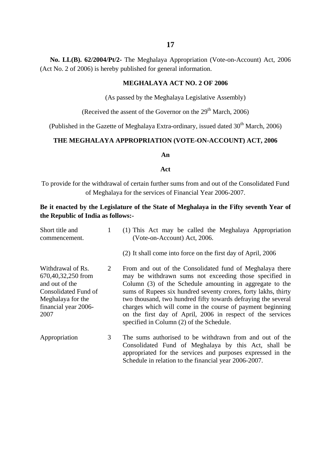**No. LL(B). 62/2004/Pt/2-** The Meghalaya Appropriation (Vote-on-Account) Act, 2006 (Act No. 2 of 2006) is hereby published for general information.

### **MEGHALAYA ACT NO. 2 OF 2006**

(As passed by the Meghalaya Legislative Assembly)

(Received the assent of the Governor on the  $29<sup>th</sup>$  March, 2006)

(Published in the Gazette of Meghalaya Extra-ordinary, issued dated  $30<sup>th</sup>$  March, 2006)

### **THE MEGHALAYA APPROPRIATION (VOTE-ON-ACCOUNT) ACT, 2006**

#### **An**

#### **Act**

To provide for the withdrawal of certain further sums from and out of the Consolidated Fund of Meghalaya for the services of Financial Year 2006-2007.

# **Be it enacted by the Legislature of the State of Meghalaya in the Fifty seventh Year of the Republic of India as follows:-**

| Short title and<br>commencement.                                                                                                       | 1 | (1) This Act may be called the Meghalaya Appropriation<br>(Vote-on-Account) Act, 2006.                                                                                                                                                                                                                                                                                                                                                                                                    |
|----------------------------------------------------------------------------------------------------------------------------------------|---|-------------------------------------------------------------------------------------------------------------------------------------------------------------------------------------------------------------------------------------------------------------------------------------------------------------------------------------------------------------------------------------------------------------------------------------------------------------------------------------------|
|                                                                                                                                        |   | (2) It shall come into force on the first day of April, 2006                                                                                                                                                                                                                                                                                                                                                                                                                              |
| Withdrawal of Rs.<br>670,40,32,250 from<br>and out of the<br>Consolidated Fund of<br>Meghalaya for the<br>financial year 2006-<br>2007 | 2 | From and out of the Consolidated fund of Meghalaya there<br>may be withdrawn sums not exceeding those specified in<br>Column (3) of the Schedule amounting in aggregate to the<br>sums of Rupees six hundred seventy crores, forty lakhs, thirty<br>two thousand, two hundred fifty towards defraying the several<br>charges which will come in the course of payment beginning<br>on the first day of April, 2006 in respect of the services<br>specified in Column (2) of the Schedule. |
| Appropriation                                                                                                                          | 3 | The sums authorised to be withdrawn from and out of the<br>Consolidated Fund of Meghalaya by this Act, shall be<br>appropriated for the services and purposes expressed in the<br>Schedule in relation to the financial year 2006-2007.                                                                                                                                                                                                                                                   |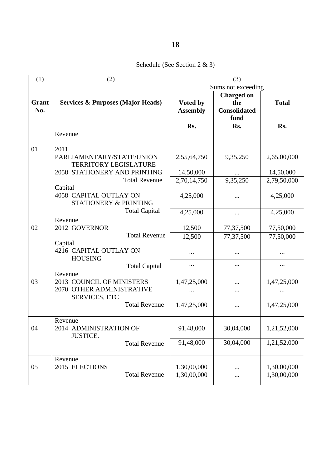Schedule (See Section 2 & 3)

| (1)   | (2)                                          |                    | (3)                 |              |
|-------|----------------------------------------------|--------------------|---------------------|--------------|
|       |                                              | Sums not exceeding |                     |              |
|       |                                              |                    | <b>Charged on</b>   |              |
| Grant | <b>Services &amp; Purposes (Major Heads)</b> | Voted by           | the                 | <b>Total</b> |
| No.   |                                              | <b>Assembly</b>    | <b>Consolidated</b> |              |
|       |                                              |                    | fund                |              |
|       |                                              | Rs.                | Rs.                 | Rs.          |
|       | Revenue                                      |                    |                     |              |
|       |                                              |                    |                     |              |
| 01    | 2011                                         |                    |                     |              |
|       | PARLIAMENTARY/STATE/UNION                    | 2,55,64,750        | 9,35,250            | 2,65,00,000  |
|       | <b>TERRITORY LEGISLATURE</b>                 |                    |                     |              |
|       | 2058 STATIONERY AND PRINTING                 | 14,50,000          |                     | 14,50,000    |
|       | <b>Total Revenue</b><br>Capital              | 2,70,14,750        | 9,35,250            | 2,79,50,000  |
|       | 4058 CAPITAL OUTLAY ON                       | 4,25,000           |                     | 4,25,000     |
|       | STATIONERY & PRINTING                        |                    |                     |              |
|       | <b>Total Capital</b>                         | 4,25,000           |                     | 4,25,000     |
|       | Revenue                                      |                    | $\cdots$            |              |
| 02    | 2012 GOVERNOR                                | 12,500             | 77,37,500           | 77,50,000    |
|       | <b>Total Revenue</b>                         | 12,500             | 77,37,500           | 77,50,000    |
|       | Capital                                      |                    |                     |              |
|       | 4216 CAPITAL OUTLAY ON                       |                    | $\cdots$            | $\cdots$     |
|       | <b>HOUSING</b>                               |                    |                     |              |
|       | <b>Total Capital</b>                         |                    | $\cdots$            |              |
|       | Revenue                                      |                    |                     |              |
| 03    | 2013 COUNCIL OF MINISTERS                    | 1,47,25,000        |                     | 1,47,25,000  |
|       | 2070 OTHER ADMINISTRATIVE                    |                    |                     |              |
|       | <b>SERVICES, ETC</b>                         |                    |                     |              |
|       | <b>Total Revenue</b>                         | 1,47,25,000        | $\cdots$            | 1,47,25,000  |
|       |                                              |                    |                     |              |
| 04    | Revenue<br>2014 ADMINISTRATION OF            | 91,48,000          | 30,04,000           | 1,21,52,000  |
|       | <b>JUSTICE.</b>                              |                    |                     |              |
|       | <b>Total Revenue</b>                         | 91,48,000          | 30,04,000           | 1,21,52,000  |
|       |                                              |                    |                     |              |
|       | Revenue                                      |                    |                     |              |
| 05    | 2015 ELECTIONS                               | 1,30,00,000        |                     | 1,30,00,000  |
|       | <b>Total Revenue</b>                         | 1,30,00,000        |                     | 1,30,00,000  |
|       |                                              |                    |                     |              |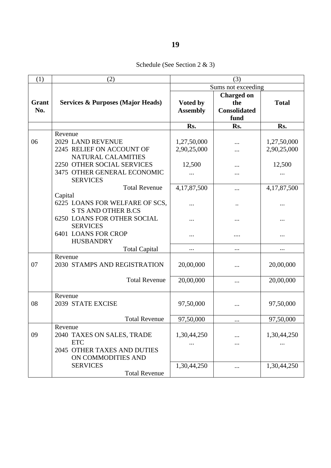| (1)   | (2)                                          | (3)             |                     |              |
|-------|----------------------------------------------|-----------------|---------------------|--------------|
|       |                                              |                 | Sums not exceeding  |              |
|       |                                              |                 | <b>Charged on</b>   |              |
| Grant | <b>Services &amp; Purposes (Major Heads)</b> | Voted by        | the                 | <b>Total</b> |
| No.   |                                              | <b>Assembly</b> | <b>Consolidated</b> |              |
|       |                                              |                 | fund                |              |
|       |                                              | Rs.             | Rs.                 | Rs.          |
|       | Revenue                                      |                 |                     |              |
| 06    | 2029 LAND REVENUE                            | 1,27,50,000     | $\ddotsc$           | 1,27,50,000  |
|       | 2245 RELIEF ON ACCOUNT OF                    | 2,90,25,000     |                     | 2,90,25,000  |
|       | NATURAL CALAMITIES                           |                 |                     |              |
|       | 2250 OTHER SOCIAL SERVICES                   | 12,500          |                     | 12,500       |
|       | 3475 OTHER GENERAL ECONOMIC                  |                 |                     |              |
|       | <b>SERVICES</b>                              |                 |                     |              |
|       | <b>Total Revenue</b>                         | 4,17,87,500     |                     | 4,17,87,500  |
|       | Capital                                      |                 |                     |              |
|       | 6225 LOANS FOR WELFARE OF SCS,               | .               |                     |              |
|       | <b>S TS AND OTHER B.CS</b>                   |                 |                     |              |
|       | <b>6250 LOANS FOR OTHER SOCIAL</b>           |                 |                     | .            |
|       | <b>SERVICES</b>                              |                 |                     |              |
|       | <b>6401 LOANS FOR CROP</b>                   |                 |                     | $\cdots$     |
|       | <b>HUSBANDRY</b>                             |                 |                     |              |
|       | <b>Total Capital</b>                         |                 |                     | $\cdots$     |
|       | Revenue                                      |                 |                     |              |
| 07    | 2030 STAMPS AND REGISTRATION                 | 20,00,000       |                     | 20,00,000    |
|       |                                              |                 |                     |              |
|       | <b>Total Revenue</b>                         | 20,00,000       |                     | 20,00,000    |
|       |                                              |                 |                     |              |
|       | Revenue                                      |                 |                     |              |
| 08    | 2039 STATE EXCISE                            | 97,50,000       |                     | 97,50,000    |
|       |                                              |                 |                     |              |
|       | <b>Total Revenue</b>                         | 97,50,000       | $\cdots$            | 97,50,000    |
|       | Revenue                                      |                 |                     |              |
| 09    | 2040 TAXES ON SALES, TRADE                   | 1,30,44,250     |                     | 1,30,44,250  |
|       | <b>ETC</b>                                   |                 |                     |              |
|       | 2045 OTHER TAXES AND DUTIES                  |                 |                     |              |
|       | ON COMMODITIES AND                           |                 |                     |              |
|       | <b>SERVICES</b>                              | 1,30,44,250     |                     | 1,30,44,250  |
|       | <b>Total Revenue</b>                         |                 |                     |              |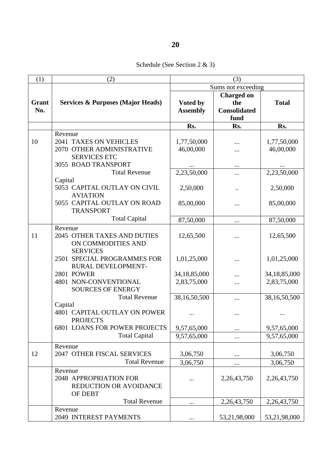Schedule (See Section 2 & 3)

| (1)   | (2)                                          | (3)             |                     |              |
|-------|----------------------------------------------|-----------------|---------------------|--------------|
|       |                                              |                 | Sums not exceeding  |              |
|       |                                              |                 | <b>Charged on</b>   |              |
| Grant | <b>Services &amp; Purposes (Major Heads)</b> | Voted by        | the                 | <b>Total</b> |
| No.   |                                              | <b>Assembly</b> | <b>Consolidated</b> |              |
|       |                                              |                 | fund                |              |
|       |                                              | Rs.             | Rs.                 | Rs.          |
|       | Revenue                                      |                 |                     |              |
| 10    | 2041 TAXES ON VEHICLES                       | 1,77,50,000     |                     | 1,77,50,000  |
|       | 2070 OTHER ADMINISTRATIVE                    | 46,00,000       |                     | 46,00,000    |
|       | <b>SERVICES ETC</b>                          |                 |                     |              |
|       | 3055 ROAD TRANSPORT                          |                 | $\cdots$            |              |
|       | <b>Total Revenue</b>                         | 2,23,50,000     |                     | 2,23,50,000  |
|       | Capital                                      |                 |                     |              |
|       | 5053 CAPITAL OUTLAY ON CIVIL                 | 2,50,000        | $\ddotsc$           | 2,50,000     |
|       | <b>AVIATION</b>                              |                 |                     |              |
|       | 5055 CAPITAL OUTLAY ON ROAD                  | 85,00,000       |                     | 85,00,000    |
|       | <b>TRANSPORT</b>                             |                 |                     |              |
|       | <b>Total Capital</b>                         | 87,50,000       |                     | 87,50,000    |
|       | Revenue                                      |                 |                     |              |
| 11    | 2045 OTHER TAXES AND DUTIES                  | 12,65,500       |                     | 12,65,500    |
|       | ON COMMODITIES AND                           |                 |                     |              |
|       | <b>SERVICES</b>                              |                 |                     |              |
|       | 2501 SPECIAL PROGRAMMES FOR                  | 1,01,25,000     |                     | 1,01,25,000  |
|       | RURAL DEVELOPMENT-                           |                 | $\ddotsc$           |              |
|       | 2801 POWER                                   | 34,18,85,000    |                     | 34,18,85,000 |
|       | 4801 NON-CONVENTIONAL                        | 2,83,75,000     |                     | 2,83,75,000  |
|       | <b>SOURCES OF ENERGY</b>                     |                 |                     |              |
|       | <b>Total Revenue</b>                         | 38,16,50,500    |                     | 38,16,50,500 |
|       | Capital                                      |                 |                     |              |
|       | 4801 CAPITAL OUTLAY ON POWER                 |                 |                     |              |
|       | <b>PROJECTS</b>                              |                 |                     |              |
|       | <b>6801 LOANS FOR POWER PROJECTS</b>         | 9,57,65,000     | $\cdots$            | 9,57,65,000  |
|       | <b>Total Capital</b>                         | 9,57,65,000     |                     | 9,57,65,000  |
|       |                                              |                 |                     |              |
| 12    | Revenue<br>2047 OTHER FISCAL SERVICES        | 3,06,750        |                     | 3,06,750     |
|       | <b>Total Revenue</b>                         |                 | $\cdots$            |              |
|       |                                              | 3,06,750        | $\cdots$            | 3,06,750     |
|       | Revenue                                      |                 |                     |              |
|       | 2048 APPROPRIATION FOR                       | .               | 2,26,43,750         | 2,26,43,750  |
|       | REDUCTION OR AVOIDANCE                       |                 |                     |              |
|       | OF DEBT                                      |                 |                     |              |
|       | <b>Total Revenue</b>                         |                 | 2,26,43,750         | 2,26,43,750  |
|       | Revenue                                      |                 |                     |              |
|       | 2049 INTEREST PAYMENTS                       | $\cdots$        | 53,21,98,000        | 53,21,98,000 |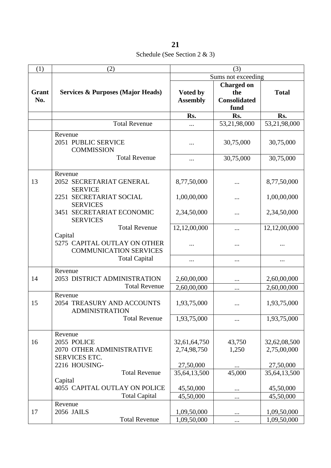Schedule (See Section 2 & 3)

| <b>Total</b><br>Rs.<br>53,21,98,000 |
|-------------------------------------|
|                                     |
|                                     |
|                                     |
|                                     |
|                                     |
| 30,75,000                           |
| 30,75,000                           |
| 8,77,50,000                         |
| 1,00,00,000                         |
| 2,34,50,000                         |
| 12,12,00,000                        |
|                                     |
| $\cdots$                            |
|                                     |
| 2,60,00,000                         |
| 2,60,00,000                         |
| 1,93,75,000                         |
| 1,93,75,000                         |
| 32,62,08,500<br>2,75,00,000         |
| 27,50,000                           |
| 35,64,13,500                        |
|                                     |
| 45,50,000                           |
| 45,50,000                           |
|                                     |
| 1,09,50,000<br>1,09,50,000          |
|                                     |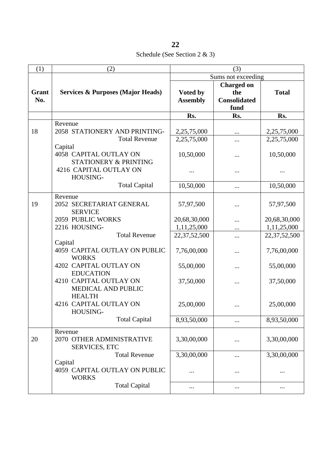Schedule (See Section 2 & 3)

| (1)          | (2)                                                                                  | (3)                         |                                                         |                             |
|--------------|--------------------------------------------------------------------------------------|-----------------------------|---------------------------------------------------------|-----------------------------|
|              |                                                                                      |                             | Sums not exceeding                                      |                             |
| Grant<br>No. | <b>Services &amp; Purposes (Major Heads)</b>                                         | Voted by<br><b>Assembly</b> | <b>Charged on</b><br>the<br><b>Consolidated</b><br>fund | <b>Total</b>                |
|              |                                                                                      | Rs.                         | Rs.                                                     | Rs.                         |
| 18           | Revenue<br>2058 STATIONERY AND PRINTING-<br><b>Total Revenue</b>                     | 2,25,75,000<br>2,25,75,000  | $\ldots$<br>                                            | 2,25,75,000<br>2,25,75,000  |
|              | Capital<br>4058 CAPITAL OUTLAY ON<br>STATIONERY & PRINTING<br>4216 CAPITAL OUTLAY ON | 10,50,000<br>               | <br>                                                    | 10,50,000                   |
|              | HOUSING-<br><b>Total Capital</b>                                                     | 10,50,000                   | $\cdots$                                                | 10,50,000                   |
| 19           | Revenue<br>2052 SECRETARIAT GENERAL<br><b>SERVICE</b>                                | 57,97,500                   |                                                         | 57,97,500                   |
|              | 2059 PUBLIC WORKS<br>2216 HOUSING-                                                   | 20,68,30,000<br>1,11,25,000 | $\ddotsc$                                               | 20,68,30,000<br>1,11,25,000 |
|              | <b>Total Revenue</b>                                                                 | 22, 37, 52, 500             |                                                         | 22,37,52,500                |
|              | Capital<br>4059 CAPITAL OUTLAY ON PUBLIC<br><b>WORKS</b>                             | 7,76,00,000                 |                                                         | 7,76,00,000                 |
|              | 4202 CAPITAL OUTLAY ON<br><b>EDUCATION</b>                                           | 55,00,000                   |                                                         | 55,00,000                   |
|              | 4210 CAPITAL OUTLAY ON<br>MEDICAL AND PUBLIC<br><b>HEALTH</b>                        | 37,50,000                   |                                                         | 37,50,000                   |
|              | 4216 CAPITAL OUTLAY ON<br>HOUSING-                                                   | 25,00,000                   |                                                         | 25,00,000                   |
|              | <b>Total Capital</b>                                                                 | 8,93,50,000                 |                                                         | 8,93,50,000                 |
| 20           | Revenue<br>2070 OTHER ADMINISTRATIVE<br><b>SERVICES, ETC</b>                         | 3,30,00,000                 | $\cdots$                                                | 3,30,00,000                 |
|              | <b>Total Revenue</b>                                                                 | 3,30,00,000                 |                                                         | 3,30,00,000                 |
|              | Capital<br>4059 CAPITAL OUTLAY ON PUBLIC<br><b>WORKS</b>                             |                             |                                                         | $\cdots$                    |
|              | <b>Total Capital</b>                                                                 | $\cdots$                    | $\cdots$                                                | $\cdots$                    |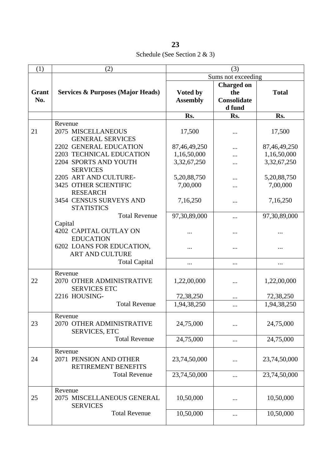Schedule (See Section 2 & 3)

| (1)          | (2)                                                                                            | (3)                                        |                                                   |                                            |
|--------------|------------------------------------------------------------------------------------------------|--------------------------------------------|---------------------------------------------------|--------------------------------------------|
|              |                                                                                                |                                            | Sums not exceeding                                |                                            |
| Grant<br>No. | <b>Services &amp; Purposes (Major Heads)</b>                                                   | Voted by<br><b>Assembly</b>                | <b>Charged on</b><br>the<br>Consolidate<br>d fund | <b>Total</b>                               |
|              |                                                                                                | Rs.                                        | Rs.                                               | Rs.                                        |
| 21           | Revenue<br>2075 MISCELLANEOUS<br><b>GENERAL SERVICES</b>                                       | 17,500                                     |                                                   | 17,500                                     |
|              | 2202 GENERAL EDUCATION<br>2203 TECHNICAL EDUCATION<br>2204 SPORTS AND YOUTH<br><b>SERVICES</b> | 87,46,49,250<br>1,16,50,000<br>3,32,67,250 |                                                   | 87,46,49,250<br>1,16,50,000<br>3,32,67,250 |
|              | 2205 ART AND CULTURE-<br>3425 OTHER SCIENTIFIC<br><b>RESEARCH</b>                              | 5,20,88,750<br>7,00,000                    |                                                   | 5,20,88,750<br>7,00,000                    |
|              | 3454 CENSUS SURVEYS AND<br><b>STATISTICS</b>                                                   | 7,16,250                                   |                                                   | 7,16,250                                   |
|              | <b>Total Revenue</b><br>Capital                                                                | 97,30,89,000                               |                                                   | 97,30,89,000                               |
|              | 4202 CAPITAL OUTLAY ON<br><b>EDUCATION</b>                                                     |                                            |                                                   |                                            |
|              | 6202 LOANS FOR EDUCATION,<br><b>ART AND CULTURE</b>                                            |                                            |                                                   |                                            |
|              | <b>Total Capital</b>                                                                           |                                            |                                                   |                                            |
| 22           | Revenue<br>2070 OTHER ADMINISTRATIVE<br><b>SERVICES ETC</b>                                    | 1,22,00,000                                |                                                   | 1,22,00,000                                |
|              | 2216 HOUSING-                                                                                  | 72,38,250                                  |                                                   | 72,38,250                                  |
|              | <b>Total Revenue</b>                                                                           | 1,94,38,250                                |                                                   | 1,94,38,250                                |
| 23           | Revenue<br>2070 OTHER ADMINISTRATIVE<br><b>SERVICES, ETC</b>                                   | 24,75,000                                  |                                                   | 24,75,000                                  |
|              | <b>Total Revenue</b>                                                                           | 24,75,000                                  |                                                   | 24,75,000                                  |
| 24           | Revenue<br>2071 PENSION AND OTHER<br>RETIREMENT BENEFITS                                       | 23,74,50,000                               |                                                   | 23,74,50,000                               |
|              | <b>Total Revenue</b>                                                                           | 23,74,50,000                               |                                                   | 23,74,50,000                               |
| 25           | Revenue<br>2075 MISCELLANEOUS GENERAL<br><b>SERVICES</b>                                       | 10,50,000                                  |                                                   | 10,50,000                                  |
|              | <b>Total Revenue</b>                                                                           | 10,50,000                                  | $\cdots$                                          | 10,50,000                                  |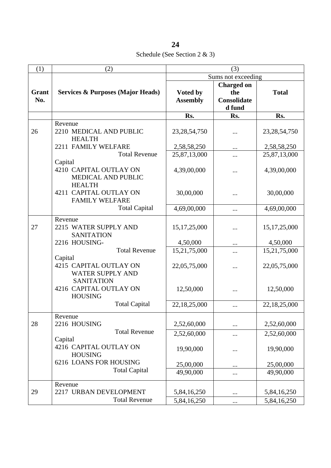Schedule (See Section 2 & 3)

| (1)   | (2)                                          | (3)             |                    |                 |
|-------|----------------------------------------------|-----------------|--------------------|-----------------|
|       |                                              |                 | Sums not exceeding |                 |
|       |                                              |                 | <b>Charged on</b>  |                 |
| Grant | <b>Services &amp; Purposes (Major Heads)</b> | Voted by        | the                | <b>Total</b>    |
| No.   |                                              | <b>Assembly</b> | <b>Consolidate</b> |                 |
|       |                                              |                 | d fund             |                 |
|       |                                              | Rs.             | Rs.                | Rs.             |
|       | Revenue                                      |                 |                    |                 |
| 26    | 2210 MEDICAL AND PUBLIC                      | 23, 28, 54, 750 |                    | 23, 28, 54, 750 |
|       | <b>HEALTH</b>                                |                 |                    |                 |
|       | 2211 FAMILY WELFARE                          | 2,58,58,250     |                    | 2,58,58,250     |
|       | <b>Total Revenue</b>                         | 25,87,13,000    |                    | 25,87,13,000    |
|       | Capital                                      |                 |                    |                 |
|       | 4210 CAPITAL OUTLAY ON                       | 4,39,00,000     |                    | 4,39,00,000     |
|       | <b>MEDICAL AND PUBLIC</b>                    |                 |                    |                 |
|       | <b>HEALTH</b>                                |                 |                    |                 |
|       | 4211 CAPITAL OUTLAY ON                       |                 |                    |                 |
|       | <b>FAMILY WELFARE</b>                        | 30,00,000       |                    | 30,00,000       |
|       |                                              |                 |                    |                 |
|       | <b>Total Capital</b>                         | 4,69,00,000     |                    | 4,69,00,000     |
|       | Revenue                                      |                 |                    |                 |
| 27    | 2215 WATER SUPPLY AND                        | 15, 17, 25, 000 |                    | 15, 17, 25, 000 |
|       | <b>SANITATION</b>                            |                 |                    |                 |
|       | 2216 HOUSING-                                | 4,50,000        | $\ddotsc$          | 4,50,000        |
|       | <b>Total Revenue</b>                         | 15,21,75,000    |                    | 15,21,75,000    |
|       | Capital                                      |                 |                    |                 |
|       | 4215 CAPITAL OUTLAY ON                       | 22,05,75,000    |                    | 22,05,75,000    |
|       | <b>WATER SUPPLY AND</b>                      |                 |                    |                 |
|       | <b>SANITATION</b>                            |                 |                    |                 |
|       | 4216 CAPITAL OUTLAY ON                       | 12,50,000       |                    | 12,50,000       |
|       | <b>HOUSING</b>                               |                 |                    |                 |
|       | <b>Total Capital</b>                         | 22,18,25,000    |                    | 22,18,25,000    |
|       |                                              |                 |                    |                 |
|       | Revenue                                      |                 |                    |                 |
| 28    | 2216 HOUSING                                 | 2,52,60,000     |                    | 2,52,60,000     |
|       | <b>Total Revenue</b>                         | 2,52,60,000     |                    | 2,52,60,000     |
|       | Capital                                      |                 |                    |                 |
|       | 4216 CAPITAL OUTLAY ON                       | 19,90,000       |                    | 19,90,000       |
|       | <b>HOUSING</b>                               |                 |                    |                 |
|       | 6216 LOANS FOR HOUSING                       | 25,00,000       | $\cdots$           | 25,00,000       |
|       | <b>Total Capital</b>                         | 49,90,000       | $\cdots$           | 49,90,000       |
|       | Revenue                                      |                 |                    |                 |
| 29    | 2217 URBAN DEVELOPMENT                       | 5,84,16,250     |                    | 5,84,16,250     |
|       | <b>Total Revenue</b>                         | 5,84,16,250     | $\cdots$           | 5,84,16,250     |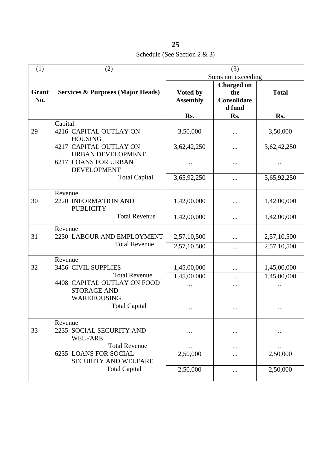Schedule (See Section 2 & 3)

| (1)          | (2)                                                                   | (3)                         |                                                   |              |
|--------------|-----------------------------------------------------------------------|-----------------------------|---------------------------------------------------|--------------|
|              |                                                                       |                             | Sums not exceeding                                |              |
| Grant<br>No. | <b>Services &amp; Purposes (Major Heads)</b>                          | Voted by<br><b>Assembly</b> | <b>Charged on</b><br>the<br>Consolidate<br>d fund | <b>Total</b> |
|              |                                                                       | Rs.                         | Rs.                                               | Rs.          |
| 29           | Capital<br>4216 CAPITAL OUTLAY ON<br><b>HOUSING</b>                   | 3,50,000                    |                                                   | 3,50,000     |
|              | 4217 CAPITAL OUTLAY ON<br><b>URBAN DEVELOPMENT</b>                    | 3,62,42,250                 |                                                   | 3,62,42,250  |
|              | <b>6217 LOANS FOR URBAN</b><br><b>DEVELOPMENT</b>                     |                             |                                                   | .            |
|              | <b>Total Capital</b>                                                  | 3,65,92,250                 |                                                   | 3,65,92,250  |
| 30           | Revenue<br>2220 INFORMATION AND<br><b>PUBLICITY</b>                   | 1,42,00,000                 |                                                   | 1,42,00,000  |
|              | <b>Total Revenue</b>                                                  | 1,42,00,000                 |                                                   | 1,42,00,000  |
| 31           | Revenue<br>2230 LABOUR AND EMPLOYMENT<br><b>Total Revenue</b>         | 2,57,10,500                 | $\ddotsc$                                         | 2,57,10,500  |
|              |                                                                       | 2,57,10,500                 |                                                   | 2,57,10,500  |
| 32           | Revenue<br>3456 CIVIL SUPPLIES<br><b>Total Revenue</b>                | 1,45,00,000                 |                                                   | 1,45,00,000  |
|              | 4408 CAPITAL OUTLAY ON FOOD<br><b>STORAGE AND</b><br>WAREHOUSING      | 1,45,00,000                 | $\ddotsc$                                         | 1,45,00,000  |
|              | <b>Total Capital</b>                                                  |                             | $\cdots$                                          |              |
| 33           | Revenue<br>2235 SOCIAL SECURITY AND<br><b>WELFARE</b>                 |                             |                                                   |              |
|              | <b>Total Revenue</b><br>6235 LOANS FOR SOCIAL<br>SECURITY AND WELFARE | <br>2,50,000                |                                                   | <br>2,50,000 |
|              | <b>Total Capital</b>                                                  | 2,50,000                    |                                                   | 2,50,000     |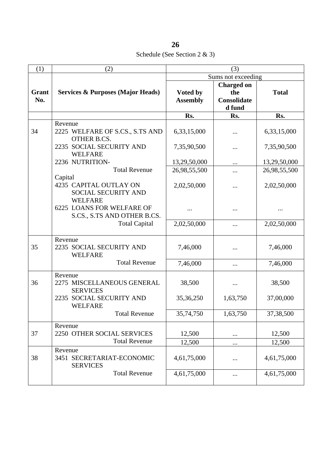| 26                               |  |
|----------------------------------|--|
| Schedule (See Section $2 \& 3$ ) |  |

| (1)   | (2)                                                   | (3)             |                    |              |
|-------|-------------------------------------------------------|-----------------|--------------------|--------------|
|       |                                                       |                 | Sums not exceeding |              |
|       |                                                       |                 | <b>Charged on</b>  |              |
| Grant | <b>Services &amp; Purposes (Major Heads)</b>          | Voted by        | the                | <b>Total</b> |
| No.   |                                                       | <b>Assembly</b> | Consolidate        |              |
|       |                                                       |                 | d fund             |              |
|       |                                                       | Rs.             | Rs.                | Rs.          |
|       | Revenue                                               |                 |                    |              |
| 34    | 2225 WELFARE OF S.CS., S.TS AND<br><b>OTHER B.CS.</b> | 6,33,15,000     |                    | 6,33,15,000  |
|       | 2235 SOCIAL SECURITY AND<br><b>WELFARE</b>            | 7,35,90,500     |                    | 7,35,90,500  |
|       | 2236 NUTRITION-                                       | 13,29,50,000    | $\cdots$           | 13,29,50,000 |
|       | <b>Total Revenue</b>                                  | 26,98,55,500    | $\cdots$           | 26,98,55,500 |
|       | Capital                                               |                 |                    |              |
|       | 4235 CAPITAL OUTLAY ON                                | 2,02,50,000     |                    | 2,02,50,000  |
|       | SOCIAL SECURITY AND<br><b>WELFARE</b>                 |                 |                    |              |
|       | 6225 LOANS FOR WELFARE OF                             |                 |                    | $\cdots$     |
|       | S.CS., S.TS AND OTHER B.CS.                           |                 |                    |              |
|       | <b>Total Capital</b>                                  | 2,02,50,000     |                    | 2,02,50,000  |
|       |                                                       |                 |                    |              |
|       | Revenue                                               |                 |                    |              |
| 35    | 2235 SOCIAL SECURITY AND<br><b>WELFARE</b>            | 7,46,000        |                    | 7,46,000     |
|       | <b>Total Revenue</b>                                  |                 |                    |              |
|       |                                                       | 7,46,000        | $\cdots$           | 7,46,000     |
|       | Revenue                                               |                 |                    |              |
| 36    | 2275 MISCELLANEOUS GENERAL                            | 38,500          | $\cdots$           | 38,500       |
|       | <b>SERVICES</b>                                       |                 |                    |              |
|       | 2235 SOCIAL SECURITY AND                              | 35,36,250       | 1,63,750           | 37,00,000    |
|       | <b>WELFARE</b><br><b>Total Revenue</b>                |                 |                    |              |
|       |                                                       | 35,74,750       | 1,63,750           | 37, 38, 500  |
|       | Revenue                                               |                 |                    |              |
| 37    | 2250 OTHER SOCIAL SERVICES                            | 12,500          | $\ddotsc$          | 12,500       |
|       | <b>Total Revenue</b>                                  | 12,500          | $\cdots$           | 12,500       |
| 38    | Revenue<br>3451 SECRETARIAT-ECONOMIC                  | 4,61,75,000     |                    | 4,61,75,000  |
|       | <b>SERVICES</b>                                       |                 |                    |              |
|       | <b>Total Revenue</b>                                  | 4,61,75,000     | $\cdots$           | 4,61,75,000  |
|       |                                                       |                 |                    |              |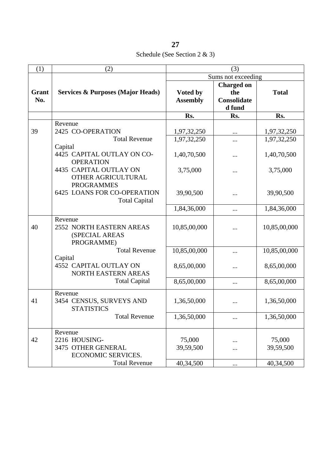Schedule (See Section 2 & 3)

| (1)   | (2)                                          | (3)             |                    |              |
|-------|----------------------------------------------|-----------------|--------------------|--------------|
|       |                                              |                 | Sums not exceeding |              |
|       |                                              |                 | <b>Charged on</b>  |              |
| Grant | <b>Services &amp; Purposes (Major Heads)</b> | Voted by        | the                | <b>Total</b> |
| No.   |                                              | <b>Assembly</b> | Consolidate        |              |
|       |                                              |                 | d fund             |              |
|       |                                              | Rs.             | Rs.                | Rs.          |
|       | Revenue                                      |                 |                    |              |
| 39    | 2425 CO-OPERATION                            | 1,97,32,250     | $\cdots$           | 1,97,32,250  |
|       | <b>Total Revenue</b>                         | 1,97,32,250     | $\ddotsc$          | 1,97,32,250  |
|       | Capital                                      |                 |                    |              |
|       | 4425 CAPITAL OUTLAY ON CO-                   | 1,40,70,500     |                    | 1,40,70,500  |
|       | <b>OPERATION</b>                             |                 |                    |              |
|       | 4435 CAPITAL OUTLAY ON                       | 3,75,000        |                    | 3,75,000     |
|       | OTHER AGRICULTURAL                           |                 |                    |              |
|       | <b>PROGRAMMES</b>                            |                 |                    |              |
|       | <b>6425 LOANS FOR CO-OPERATION</b>           | 39,90,500       |                    | 39,90,500    |
|       | <b>Total Capital</b>                         |                 |                    |              |
|       |                                              | 1,84,36,000     | $\cdots$           | 1,84,36,000  |
|       | Revenue                                      |                 |                    |              |
| 40    | 2552 NORTH EASTERN AREAS                     | 10,85,00,000    |                    | 10,85,00,000 |
|       | (SPECIAL AREAS                               |                 |                    |              |
|       | PROGRAMME)                                   |                 |                    |              |
|       | <b>Total Revenue</b>                         | 10,85,00,000    |                    | 10,85,00,000 |
|       | Capital                                      |                 |                    |              |
|       | <b>4552 CAPITAL OUTLAY ON</b>                | 8,65,00,000     |                    | 8,65,00,000  |
|       | NORTH EASTERN AREAS                          |                 |                    |              |
|       | <b>Total Capital</b>                         | 8,65,00,000     |                    | 8,65,00,000  |
|       | Revenue                                      |                 |                    |              |
| 41    | 3454 CENSUS, SURVEYS AND                     | 1,36,50,000     |                    | 1,36,50,000  |
|       | <b>STATISTICS</b>                            |                 |                    |              |
|       | <b>Total Revenue</b>                         | 1,36,50,000     |                    | 1,36,50,000  |
|       |                                              |                 |                    |              |
|       | Revenue                                      |                 |                    |              |
| 42    | 2216 HOUSING-                                | 75,000          |                    | 75,000       |
|       | 3475 OTHER GENERAL                           | 39,59,500       |                    | 39,59,500    |
|       | ECONOMIC SERVICES.                           |                 |                    |              |
|       | <b>Total Revenue</b>                         | 40,34,500       | $\cdots$           | 40,34,500    |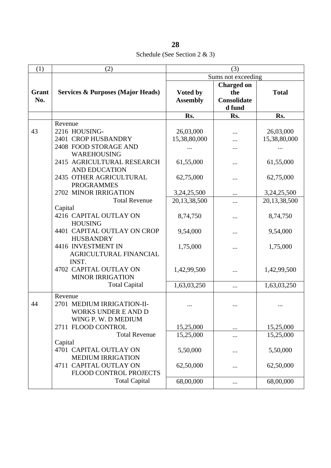Schedule (See Section 2 & 3)

| (1)   | (2)                                          | (3)                         |                    |              |
|-------|----------------------------------------------|-----------------------------|--------------------|--------------|
|       |                                              |                             | Sums not exceeding |              |
| Grant |                                              |                             | <b>Charged on</b>  |              |
| No.   | <b>Services &amp; Purposes (Major Heads)</b> | Voted by<br><b>Assembly</b> | the<br>Consolidate | <b>Total</b> |
|       |                                              |                             | d fund             |              |
|       |                                              | Rs.                         | Rs.                | Rs.          |
|       | Revenue                                      |                             |                    |              |
| 43    | 2216 HOUSING-                                | 26,03,000                   |                    | 26,03,000    |
|       | 2401 CROP HUSBANDRY                          | 15,38,80,000                |                    | 15,38,80,000 |
|       | 2408 FOOD STORAGE AND                        |                             |                    |              |
|       | WAREHOUSING                                  |                             |                    |              |
|       | 2415 AGRICULTURAL RESEARCH                   | 61,55,000                   |                    | 61,55,000    |
|       | <b>AND EDUCATION</b>                         |                             |                    |              |
|       | 2435 OTHER AGRICULTURAL                      | 62,75,000                   |                    | 62,75,000    |
|       | <b>PROGRAMMES</b>                            |                             |                    |              |
|       | 2702 MINOR IRRIGATION                        | 3,24,25,500                 |                    | 3,24,25,500  |
|       | <b>Total Revenue</b>                         | 20,13,38,500                | .                  | 20,13,38,500 |
|       | Capital                                      |                             |                    |              |
|       | 4216 CAPITAL OUTLAY ON                       | 8,74,750                    | $\cdots$           | 8,74,750     |
|       | <b>HOUSING</b>                               |                             |                    |              |
|       | 4401 CAPITAL OUTLAY ON CROP                  | 9,54,000                    | .                  | 9,54,000     |
|       | <b>HUSBANDRY</b>                             |                             |                    |              |
|       | 4416 INVESTMENT IN                           | 1,75,000                    |                    | 1,75,000     |
|       | AGRICULTURAL FINANCIAL                       |                             |                    |              |
|       | INST.                                        |                             |                    |              |
|       | 4702 CAPITAL OUTLAY ON                       | 1,42,99,500                 |                    | 1,42,99,500  |
|       | <b>MINOR IRRIGATION</b>                      |                             |                    |              |
|       | <b>Total Capital</b>                         | 1,63,03,250                 | $\cdots$           | 1,63,03,250  |
|       | Revenue                                      |                             |                    |              |
| 44    | 2701 MEDIUM IRRIGATION-II-                   |                             |                    |              |
|       | <b>WORKS UNDER E AND D</b>                   |                             |                    |              |
|       | WING P. W. D MEDIUM                          |                             |                    |              |
|       | 2711 FLOOD CONTROL                           | 15,25,000                   |                    | 15,25,000    |
|       | <b>Total Revenue</b>                         | 15,25,000                   |                    | 15,25,000    |
|       | Capital                                      |                             |                    |              |
|       | 4701 CAPITAL OUTLAY ON                       | 5,50,000                    |                    | 5,50,000     |
|       | <b>MEDIUM IRRIGATION</b>                     |                             |                    |              |
|       | 4711 CAPITAL OUTLAY ON                       | 62,50,000                   |                    | 62,50,000    |
|       | FLOOD CONTROL PROJECTS                       |                             |                    |              |
|       | <b>Total Capital</b>                         | 68,00,000                   |                    | 68,00,000    |
|       |                                              |                             |                    |              |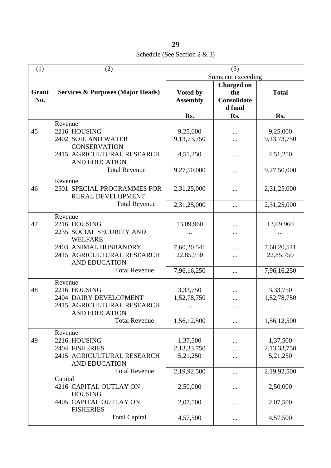Schedule (See Section 2 & 3)

| (1)          | (2)                                                                                                                             | (3)                                    |                                                          |                                        |
|--------------|---------------------------------------------------------------------------------------------------------------------------------|----------------------------------------|----------------------------------------------------------|----------------------------------------|
|              |                                                                                                                                 | Sums not exceeding                     |                                                          |                                        |
| Grant<br>No. | <b>Services &amp; Purposes (Major Heads)</b>                                                                                    | Voted by<br><b>Assembly</b>            | <b>Charged on</b><br>the<br><b>Consolidate</b><br>d fund | <b>Total</b>                           |
|              |                                                                                                                                 | Rs.                                    | Rs.                                                      | Rs.                                    |
| 45           | Revenue<br>2216 HOUSING-<br>2402 SOIL AND WATER<br><b>CONSERVATION</b><br>2415 AGRICULTURAL RESEARCH<br><b>AND EDUCATION</b>    | 9,25,000<br>9,13,73,750<br>4,51,250    | .<br>                                                    | 9,25,000<br>9,13,73,750<br>4,51,250    |
|              | <b>Total Revenue</b>                                                                                                            | 9,27,50,000                            | $\cdots$                                                 | 9,27,50,000                            |
| 46           | Revenue<br>2501 SPECIAL PROGRAMMES FOR<br>RURAL DEVELOPMENT                                                                     | 2,31,25,000                            | $\ddotsc$                                                | 2,31,25,000                            |
|              | <b>Total Revenue</b>                                                                                                            | 2,31,25,000                            | $\cdots$                                                 | 2,31,25,000                            |
| 47           | Revenue<br>2216 HOUSING<br>2235 SOCIAL SECURITY AND<br>WELFARE-                                                                 | 13,09,960                              |                                                          | 13,09,960                              |
|              | 2403 ANIMAL HUSBANDRY<br>2415 AGRICULTURAL RESEARCH<br><b>AND EDUCATION</b>                                                     | 7,60,20,541<br>22,85,750               |                                                          | 7,60,20,541<br>22,85,750               |
|              | <b>Total Revenue</b>                                                                                                            | 7,96,16,250                            | $\cdots$                                                 | 7,96,16,250                            |
| 48           | Revenue<br>2216 HOUSING<br>2404 DAIRY DEVELOPMENT<br>2415 AGRICULTURAL RESEARCH<br><b>AND EDUCATION</b><br><b>Total Revenue</b> | 3,33,750<br>1,52,78,750<br>1,56,12,500 | $\cdots$                                                 | 3,33,750<br>1,52,78,750<br>1,56,12,500 |
|              | Revenue                                                                                                                         |                                        |                                                          |                                        |
| 49           | 2216 HOUSING<br>2404 FISHERIES<br>2415 AGRICULTURAL RESEARCH<br><b>AND EDUCATION</b>                                            | 1,37,500<br>2,13,33,750<br>5,21,250    |                                                          | 1,37,500<br>2,13,33,750<br>5,21,250    |
|              | <b>Total Revenue</b><br>Capital                                                                                                 | 2,19,92,500                            |                                                          | 2,19,92,500                            |
|              | 4216 CAPITAL OUTLAY ON<br><b>HOUSING</b>                                                                                        | 2,50,000                               |                                                          | 2,50,000                               |
|              | 4405 CAPITAL OUTLAY ON<br><b>FISHERIES</b>                                                                                      | 2,07,500                               |                                                          | 2,07,500                               |
|              | <b>Total Capital</b>                                                                                                            | 4,57,500                               |                                                          | 4,57,500                               |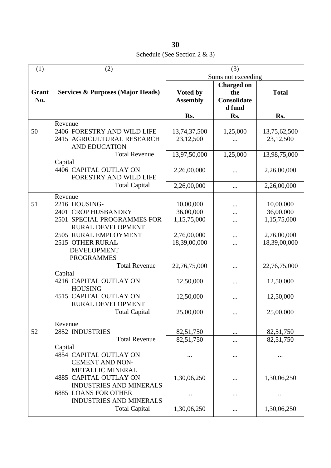Schedule (See Section 2 & 3)

| (1)          | (2)                                                           | (3)                |                   |              |
|--------------|---------------------------------------------------------------|--------------------|-------------------|--------------|
|              |                                                               | Sums not exceeding |                   |              |
|              |                                                               |                    | <b>Charged on</b> |              |
| <b>Grant</b> | <b>Services &amp; Purposes (Major Heads)</b>                  | Voted by           | the               | <b>Total</b> |
| No.          |                                                               | <b>Assembly</b>    | Consolidate       |              |
|              |                                                               |                    | d fund            |              |
|              |                                                               | Rs.                | Rs.               | Rs.          |
|              | Revenue                                                       |                    |                   |              |
| 50           | 2406 FORESTRY AND WILD LIFE                                   | 13,74,37,500       | 1,25,000          | 13,75,62,500 |
|              | 2415 AGRICULTURAL RESEARCH                                    | 23,12,500          |                   | 23,12,500    |
|              | <b>AND EDUCATION</b>                                          |                    |                   |              |
|              | <b>Total Revenue</b>                                          | 13,97,50,000       | 1,25,000          | 13,98,75,000 |
|              | Capital                                                       |                    |                   |              |
|              | 4406 CAPITAL OUTLAY ON                                        | 2,26,00,000        |                   | 2,26,00,000  |
|              | FORESTRY AND WILD LIFE                                        |                    |                   |              |
|              | <b>Total Capital</b>                                          | 2,26,00,000        |                   | 2,26,00,000  |
|              | Revenue                                                       |                    |                   |              |
| 51           | 2216 HOUSING-                                                 | 10,00,000          |                   | 10,00,000    |
|              | 2401 CROP HUSBANDRY                                           | 36,00,000          |                   | 36,00,000    |
|              | 2501 SPECIAL PROGRAMMES FOR                                   | 1,15,75,000        |                   | 1,15,75,000  |
|              | RURAL DEVELOPMENT                                             |                    |                   |              |
|              | 2505 RURAL EMPLOYMENT                                         | 2,76,00,000        |                   | 2,76,00,000  |
|              | 2515 OTHER RURAL                                              | 18,39,00,000       |                   | 18,39,00,000 |
|              | <b>DEVELOPMENT</b>                                            |                    |                   |              |
|              | <b>PROGRAMMES</b>                                             |                    |                   |              |
|              | <b>Total Revenue</b>                                          | 22,76,75,000       |                   | 22,76,75,000 |
|              | Capital                                                       |                    |                   |              |
|              | 4216 CAPITAL OUTLAY ON                                        | 12,50,000          |                   | 12,50,000    |
|              | <b>HOUSING</b>                                                |                    |                   |              |
|              | 4515 CAPITAL OUTLAY ON<br><b>RURAL DEVELOPMENT</b>            | 12,50,000          |                   | 12,50,000    |
|              | <b>Total Capital</b>                                          | 25,00,000          |                   | 25,00,000    |
|              |                                                               |                    |                   |              |
|              | Revenue                                                       |                    |                   |              |
| 52           | 2852 INDUSTRIES                                               | 82,51,750          |                   | 82,51,750    |
|              | <b>Total Revenue</b>                                          | 82,51,750          |                   | 82,51,750    |
|              | Capital                                                       |                    |                   |              |
|              | 4854 CAPITAL OUTLAY ON                                        |                    |                   |              |
|              | <b>CEMENT AND NON-</b>                                        |                    |                   |              |
|              | <b>METALLIC MINERAL</b>                                       |                    |                   |              |
|              | <b>4885 CAPITAL OUTLAY ON</b>                                 | 1,30,06,250        |                   | 1,30,06,250  |
|              | <b>INDUSTRIES AND MINERALS</b>                                |                    |                   |              |
|              | <b>6885 LOANS FOR OTHER</b><br><b>INDUSTRIES AND MINERALS</b> | $\cdots$           |                   |              |
|              | <b>Total Capital</b>                                          | 1,30,06,250        |                   | 1,30,06,250  |
|              |                                                               |                    |                   |              |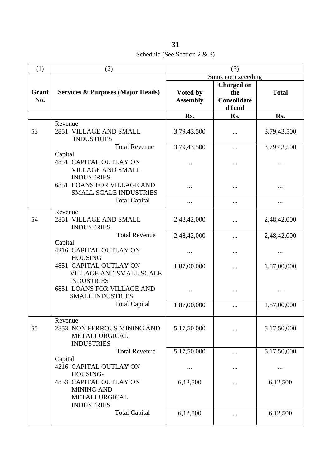Schedule (See Section 2 & 3)

| (1)          | (2)                                                                                  | (3)                         |                                                   |              |
|--------------|--------------------------------------------------------------------------------------|-----------------------------|---------------------------------------------------|--------------|
|              |                                                                                      | Sums not exceeding          |                                                   |              |
| Grant<br>No. | <b>Services &amp; Purposes (Major Heads)</b>                                         | Voted by<br><b>Assembly</b> | <b>Charged on</b><br>the<br>Consolidate<br>d fund | <b>Total</b> |
|              |                                                                                      | Rs.                         | Rs.                                               | Rs.          |
| 53           | Revenue<br>2851 VILLAGE AND SMALL<br><b>INDUSTRIES</b>                               | 3,79,43,500                 |                                                   | 3,79,43,500  |
|              | <b>Total Revenue</b>                                                                 | 3,79,43,500                 |                                                   | 3,79,43,500  |
|              | Capital<br>4851 CAPITAL OUTLAY ON<br><b>VILLAGE AND SMALL</b><br><b>INDUSTRIES</b>   |                             |                                                   |              |
|              | <b>6851 LOANS FOR VILLAGE AND</b><br><b>SMALL SCALE INDUSTRIES</b>                   |                             |                                                   |              |
|              | <b>Total Capital</b>                                                                 |                             |                                                   |              |
| 54           | Revenue<br>2851 VILLAGE AND SMALL<br><b>INDUSTRIES</b>                               | 2,48,42,000                 |                                                   | 2,48,42,000  |
|              | <b>Total Revenue</b>                                                                 | 2,48,42,000                 |                                                   | 2,48,42,000  |
|              | Capital<br>4216 CAPITAL OUTLAY ON<br><b>HOUSING</b>                                  |                             |                                                   |              |
|              | <b>4851 CAPITAL OUTLAY ON</b><br><b>VILLAGE AND SMALL SCALE</b><br><b>INDUSTRIES</b> | 1,87,00,000                 |                                                   | 1,87,00,000  |
|              | <b>6851 LOANS FOR VILLAGE AND</b><br><b>SMALL INDUSTRIES</b>                         |                             |                                                   |              |
|              | <b>Total Capital</b>                                                                 | 1,87,00,000                 |                                                   | 1,87,00,000  |
| 55           | Revenue<br>2853 NON FERROUS MINING AND<br>METALLURGICAL<br><b>INDUSTRIES</b>         | 5,17,50,000                 |                                                   | 5,17,50,000  |
|              | <b>Total Revenue</b>                                                                 | 5,17,50,000                 |                                                   | 5,17,50,000  |
|              | Capital<br>4216 CAPITAL OUTLAY ON<br>HOUSING-                                        | $\cdots$                    |                                                   |              |
|              | 4853 CAPITAL OUTLAY ON<br><b>MINING AND</b><br>METALLURGICAL<br><b>INDUSTRIES</b>    | 6,12,500                    |                                                   | 6,12,500     |
|              | <b>Total Capital</b>                                                                 | 6,12,500                    |                                                   | 6,12,500     |
|              |                                                                                      |                             |                                                   |              |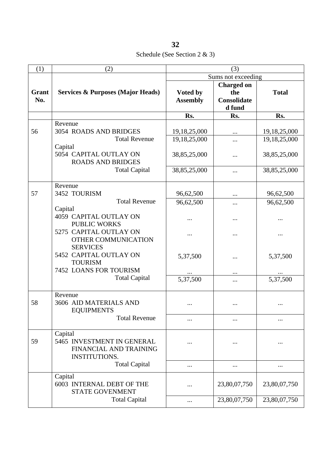Schedule (See Section 2 & 3)

| (1)          | (2)                                                                                                                                                       | (3)                                                          |                                                          |                                                              |
|--------------|-----------------------------------------------------------------------------------------------------------------------------------------------------------|--------------------------------------------------------------|----------------------------------------------------------|--------------------------------------------------------------|
|              |                                                                                                                                                           | Sums not exceeding                                           |                                                          |                                                              |
| Grant<br>No. | <b>Services &amp; Purposes (Major Heads)</b>                                                                                                              | Voted by<br><b>Assembly</b>                                  | <b>Charged on</b><br>the<br><b>Consolidate</b><br>d fund | <b>Total</b>                                                 |
|              |                                                                                                                                                           | Rs.                                                          | Rs.                                                      | Rs.                                                          |
| 56           | Revenue<br><b>3054 ROADS AND BRIDGES</b><br><b>Total Revenue</b><br>Capital<br>5054 CAPITAL OUTLAY ON<br><b>ROADS AND BRIDGES</b><br><b>Total Capital</b> | 19,18,25,000<br>19,18,25,000<br>38,85,25,000<br>38,85,25,000 | <br>.<br>                                                | 19,18,25,000<br>19,18,25,000<br>38,85,25,000<br>38,85,25,000 |
|              |                                                                                                                                                           |                                                              |                                                          |                                                              |
| 57           | Revenue<br>3452 TOURISM<br><b>Total Revenue</b>                                                                                                           | 96,62,500                                                    | $\cdots$                                                 | 96,62,500                                                    |
|              | Capital<br>4059 CAPITAL OUTLAY ON<br><b>PUBLIC WORKS</b>                                                                                                  | 96,62,500                                                    |                                                          | 96,62,500                                                    |
|              | 5275 CAPITAL OUTLAY ON<br>OTHER COMMUNICATION<br><b>SERVICES</b><br>5452 CAPITAL OUTLAY ON<br><b>TOURISM</b><br>7452 LOANS FOR TOURISM                    | 5,37,500                                                     |                                                          | 5,37,500                                                     |
|              | <b>Total Capital</b>                                                                                                                                      | 5,37,500                                                     |                                                          | 5,37,500                                                     |
| 58           | Revenue<br>3606 AID MATERIALS AND<br><b>EQUIPMENTS</b><br><b>Total Revenue</b>                                                                            | $\ddotsc$                                                    |                                                          |                                                              |
| 59           | Capital<br>5465 INVESTMENT IN GENERAL<br>FINANCIAL AND TRAINING<br><b>INSTITUTIONS.</b>                                                                   |                                                              |                                                          |                                                              |
|              | <b>Total Capital</b>                                                                                                                                      |                                                              | $\cdots$                                                 |                                                              |
|              | Capital<br>6003 INTERNAL DEBT OF THE<br><b>STATE GOVENMENT</b><br><b>Total Capital</b>                                                                    |                                                              | 23,80,07,750<br>23,80,07,750                             | 23,80,07,750<br>23,80,07,750                                 |
|              |                                                                                                                                                           |                                                              |                                                          |                                                              |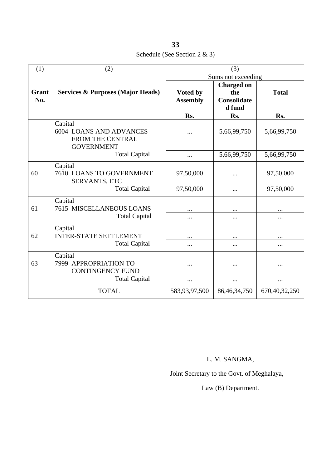**33** Schedule (See Section 2 & 3)

| (1)          | (2)                                                                                                        | (3)                         |                                                          |               |
|--------------|------------------------------------------------------------------------------------------------------------|-----------------------------|----------------------------------------------------------|---------------|
|              | <b>Services &amp; Purposes (Major Heads)</b>                                                               | Sums not exceeding          |                                                          |               |
| Grant<br>No. |                                                                                                            | Voted by<br><b>Assembly</b> | <b>Charged on</b><br>the<br><b>Consolidate</b><br>d fund | <b>Total</b>  |
|              |                                                                                                            | Rs.                         | Rs.                                                      | Rs.           |
|              | Capital<br><b>6004 LOANS AND ADVANCES</b><br>FROM THE CENTRAL<br><b>GOVERNMENT</b><br><b>Total Capital</b> |                             | 5,66,99,750                                              | 5,66,99,750   |
|              |                                                                                                            |                             | 5,66,99,750                                              | 5,66,99,750   |
| 60           | Capital<br>7610 LOANS TO GOVERNMENT<br>SERVANTS, ETC<br><b>Total Capital</b>                               | 97,50,000                   |                                                          | 97,50,000     |
|              |                                                                                                            | 97,50,000                   | $\ddotsc$                                                | 97,50,000     |
| 61           | Capital<br><b>7615 MISCELLANEOUS LOANS</b><br><b>Total Capital</b>                                         | $\ddotsc$<br>$\cdots$       | <br>                                                     | <br>          |
| 62           | Capital<br><b>INTER-STATE SETTLEMENT</b><br><b>Total Capital</b>                                           | $\cdots$<br>$\cdots$        | <br>$\cdots$                                             | <br>          |
| 63           | Capital<br>7999 APPROPRIATION TO<br><b>CONTINGENCY FUND</b><br><b>Total Capital</b>                        |                             |                                                          |               |
|              |                                                                                                            |                             | $\ddotsc$                                                |               |
|              | <b>TOTAL</b>                                                                                               | 583,93,97,500               | 86, 46, 34, 750                                          | 670,40,32,250 |

L. M. SANGMA,

Joint Secretary to the Govt. of Meghalaya,

Law (B) Department.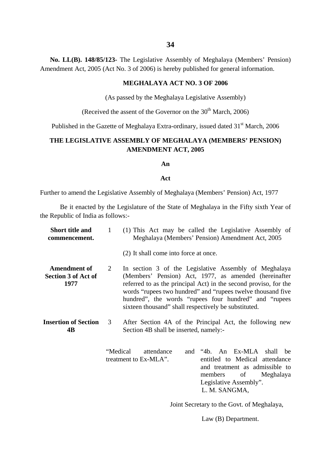**No. LL(B). 148/85/123-** The Legislative Assembly of Meghalaya (Members' Pension) Amendment Act, 2005 (Act No. 3 of 2006) is hereby published for general information.

### **MEGHALAYA ACT NO. 3 OF 2006**

(As passed by the Meghalaya Legislative Assembly)

(Received the assent of the Governor on the  $30<sup>th</sup>$  March, 2006)

Published in the Gazette of Meghalaya Extra-ordinary, issued dated 31<sup>st</sup> March, 2006

# **THE LEGISLATIVE ASSEMBLY OF MEGHALAYA (MEMBERS' PENSION) AMENDMENT ACT, 2005**

#### **An**

#### **Act**

Further to amend the Legislative Assembly of Meghalaya (Members' Pension) Act, 1977

Be it enacted by the Legislature of the State of Meghalaya in the Fifty sixth Year of the Republic of India as follows:-

| <b>Short title and</b><br>commencement.                   | 1        | (1) This Act may be called the Legislative Assembly of<br>Meghalaya (Members' Pension) Amendment Act, 2005                                                                                                                                                                                                                                                         |
|-----------------------------------------------------------|----------|--------------------------------------------------------------------------------------------------------------------------------------------------------------------------------------------------------------------------------------------------------------------------------------------------------------------------------------------------------------------|
|                                                           |          | (2) It shall come into force at once.                                                                                                                                                                                                                                                                                                                              |
| <b>Amendment of</b><br><b>Section 3 of Act of</b><br>1977 | 2        | In section 3 of the Legislative Assembly of Meghalaya<br>(Members' Pension) Act, 1977, as amended (hereinafter<br>referred to as the principal Act) in the second proviso, for the<br>words "rupees two hundred" and "rupees twelve thousand five<br>hundred", the words "rupees four hundred" and "rupees<br>sixteen thousand" shall respectively be substituted. |
| <b>Insertion of Section</b><br>4B                         | 3        | After Section 4A of the Principal Act, the following new<br>Section 4B shall be inserted, namely:-                                                                                                                                                                                                                                                                 |
|                                                           | "Medical | and "4b. An Ex-MLA<br>attendance<br>shall<br>be<br>treatment to Ex-MLA".<br>entitled to Medical attendance<br>and treatment as admissible to<br>members<br>of<br>Meghalaya<br>Legislative Assembly".<br>L. M. SANGMA,                                                                                                                                              |

Joint Secretary to the Govt. of Meghalaya,

Law (B) Department.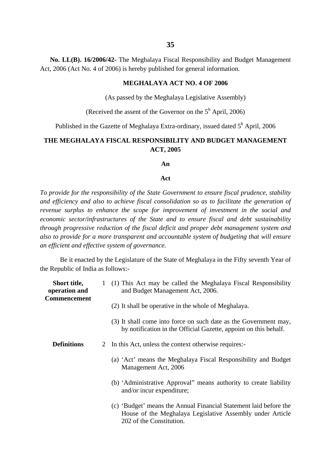**No. LL(B). 16/2006/42-** The Meghalaya Fiscal Responsibility and Budget Management Act, 2006 (Act No. 4 of 2006) is hereby published for general information.

### **MEGHALAYA ACT NO. 4 OF 2006**

(As passed by the Meghalaya Legislative Assembly)

(Received the assent of the Governor on the  $5<sup>h</sup>$  April, 2006)

Published in the Gazette of Meghalaya Extra-ordinary, issued dated  $5^h$  April, 2006

## **THE MEGHALAYA FISCAL RESPONSIBILITY AND BUDGET MANAGEMENT ACT, 2005**

**An**

### **Act**

*To provide for the responsibility of the State Government to ensure fiscal prudence, stability and efficiency and also to achieve fiscal consolidation so as to facilitate the generation of revenue surplus to enhance the scope for improvement of investment in the social and economic sector/infrastructures of the State and to ensure fiscal and debt sustainability through progressive reduction of the fiscal deficit and proper debt management system and also to provide for a more transparent and accountable system of budgeting that will ensure an efficient and effective system of governance.*

Be it enacted by the Legislature of the State of Meghalaya in the Fifty seventh Year of the Republic of India as follows:-

| <b>Short title,</b><br>operation and<br><b>Commencement</b> | 1 (1) This Act may be called the Meghalaya Fiscal Responsibility<br>and Budget Management Act, 2006.                                                       |
|-------------------------------------------------------------|------------------------------------------------------------------------------------------------------------------------------------------------------------|
|                                                             | (2) It shall be operative in the whole of Meghalaya.                                                                                                       |
|                                                             | (3) It shall come into force on such date as the Government may,<br>by notification in the Official Gazette, appoint on this behalf.                       |
| <b>Definitions</b>                                          | 2 In this Act, unless the context otherwise requires:-                                                                                                     |
|                                                             | (a) 'Act' means the Meghalaya Fiscal Responsibility and Budget<br>Management Act, 2006                                                                     |
|                                                             | (b) 'Administrative Approval'' means authority to create liability<br>and/or incur expenditure;                                                            |
|                                                             | (c) 'Budget' means the Annual Financial Statement laid before the<br>House of the Meghalaya Legislative Assembly under Article<br>202 of the Constitution. |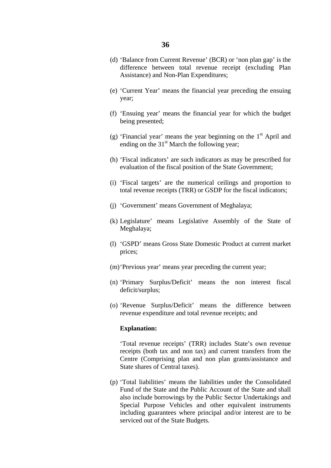- (d) 'Balance from Current Revenue' (BCR) or 'non plan gap' is the difference between total revenue receipt (excluding Plan Assistance) and Non-Plan Expenditures;
- (e) 'Current Year' means the financial year preceding the ensuing year;
- (f) 'Ensuing year' means the financial year for which the budget being presented;
- (g) 'Financial year' means the year beginning on the  $1<sup>st</sup>$  April and ending on the  $31<sup>st</sup>$  March the following year;
- (h) 'Fiscal indicators' are such indicators as may be prescribed for evaluation of the fiscal position of the State Government;
- (i) 'Fiscal targets' are the numerical ceilings and proportion to total revenue receipts (TRR) or GSDP for the fiscal indicators;
- (j) 'Government' means Government of Meghalaya;
- (k) Legislature' means Legislative Assembly of the State of Meghalaya;
- (l) 'GSPD' means Gross State Domestic Product at current market prices;
- (m)'Previous year' means year preceding the current year;
- (n) 'Primary Surplus/Deficit' means the non interest fiscal deficit/surplus;
- (o) 'Revenue Surplus/Deficit' means the difference between revenue expenditure and total revenue receipts; and

### **Explanation:**

'Total revenue receipts' (TRR) includes State's own revenue receipts (both tax and non tax) and current transfers from the Centre (Comprising plan and non plan grants/assistance and State shares of Central taxes).

(p) 'Total liabilities' means the liabilities under the Consolidated Fund of the State and the Public Account of the State and shall also include borrowings by the Public Sector Undertakings and Special Purpose Vehicles and other equivalent instruments including guarantees where principal and/or interest are to be serviced out of the State Budgets.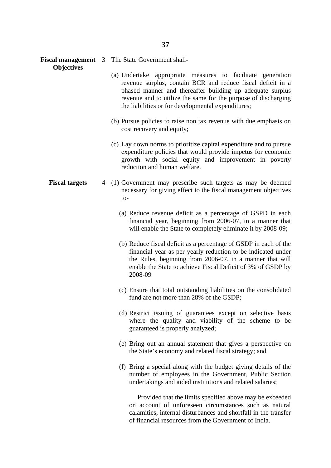**Fiscal management** 3 The State Government shall-

- (a) Undertake appropriate measures to facilitate generation revenue surplus, contain BCR and reduce fiscal deficit in a phased manner and thereafter building up adequate surplus revenue and to utilize the same for the purpose of discharging the liabilities or for developmental expenditures;
- (b) Pursue policies to raise non tax revenue with due emphasis on cost recovery and equity;
- (c) Lay down norms to prioritize capital expenditure and to pursue expenditure policies that would provide impetus for economic growth with social equity and improvement in poverty reduction and human welfare.
- **Fiscal targets** 4 (1) Government may prescribe such targets as may be deemed necessary for giving effect to the fiscal management objectives to-
	- (a) Reduce revenue deficit as a percentage of GSPD in each financial year, beginning from 2006-07, in a manner that will enable the State to completely eliminate it by 2008-09;
	- (b) Reduce fiscal deficit as a percentage of GSDP in each of the financial year as per yearly reduction to be indicated under the Rules, beginning from 2006-07, in a manner that will enable the State to achieve Fiscal Deficit of 3% of GSDP by 2008-09
	- (c) Ensure that total outstanding liabilities on the consolidated fund are not more than 28% of the GSDP;
	- (d) Restrict issuing of guarantees except on selective basis where the quality and viability of the scheme to be guaranteed is properly analyzed;
	- (e) Bring out an annual statement that gives a perspective on the State's economy and related fiscal strategy; and
	- (f) Bring a special along with the budget giving details of the number of employees in the Government, Public Section undertakings and aided institutions and related salaries;

 Provided that the limits specified above may be exceeded on account of unforeseen circumstances such as natural calamities, internal disturbances and shortfall in the transfer of financial resources from the Government of India.

**Objectives**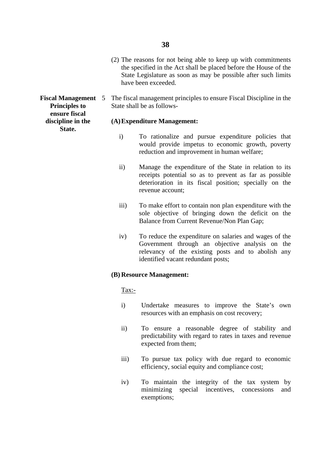- (2) The reasons for not being able to keep up with commitments the specified in the Act shall be placed before the House of the State Legislature as soon as may be possible after such limits have been exceeded.
- **Fiscal Management** 5 The fiscal management principles to ensure Fiscal Discipline in the **Principles to** State shall be as follows-

### **discipline in the (A)Expenditure Management:**

- i) To rationalize and pursue expenditure policies that would provide impetus to economic growth, poverty reduction and improvement in human welfare;
- ii) Manage the expenditure of the State in relation to its receipts potential so as to prevent as far as possible deterioration in its fiscal position; specially on the revenue account;
- iii) To make effort to contain non plan expenditure with the sole objective of bringing down the deficit on the Balance from Current Revenue/Non Plan Gap;
- iv) To reduce the expenditure on salaries and wages of the Government through an objective analysis on the relevancy of the existing posts and to abolish any identified vacant redundant posts;

### **(B) Resource Management:**

Tax:-

- i) Undertake measures to improve the State's own resources with an emphasis on cost r ecovery;
- ii) To ensure a reasonable degree of stability and predictability with regard to rates in taxes and revenue expected from them;
- iii) To pursue tax policy with due regard to economic efficiency, social equity and compliance cost;
- iv) To maintain the integrity of the tax system by minimizing special incentives, concessions and exemptions;

**ensure fiscal State.**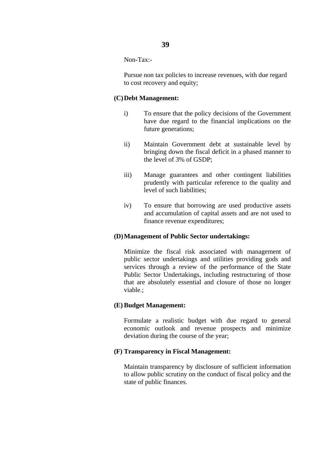## Non-Tax:-

 Pursue non tax policies to increase revenues, with due regard to cost recovery and equity;

### **(C)Debt Management:**

- i) To ensure that the policy decisions of the Government have due regard to the financial implications on the future generations;
- ii) Maintain Government debt at sustainable level by bringing down the fiscal deficit in a phased manner to the level of 3% of GSDP;
- iii) Manage guarantees and other contingent liabilities prudently with particular reference to the quality and level of such liabilities;
- iv) To ensure that borrowing are used productive assets and accumulation of capital assets and are not used to finance revenue expenditures;

## **(D)Management of Public Sector undertakings:**

Minimize the fiscal risk associated with management of public sector undertakings and utilities providing gods and services through a review of the performance of the State Public Sector Undertakings, including restructuring of those that are absolutely essential and closure of those no longer viable.;

## **(E) Budget Management:**

Formulate a realistic budget with due regard to general economic outlook and revenue prospects and minimize deviation during the course of the year;

### **(F) Transparency in Fiscal Management:**

Maintain transparency by disclosure of sufficient information to allow public scrutiny on the conduct of fiscal policy and the state of public finances.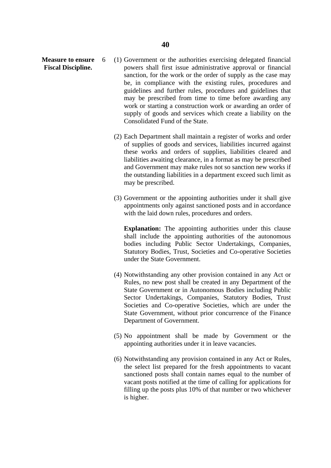- **Measure to ensure** 6 (1) Government or the authorities exercising delegated financial **Fiscal Discipline.** powers shall first issue administrative approval or financial sanction, for the work or the order of supply as the case may be, in compliance with the existing rules, procedures and guidelines and further rules, procedures and guidelines that may be prescribed from time to time before awarding any work or starting a construction work or awarding an order of supply of goods and services which create a liability on the Consolidated Fund of the State.
	- (2) Each Department shall maintain a register of works and order of supplies of goods and services, liabilities incurred against these works and orders of supplies, liabilities cleared and liabilities awaiting clearance, in a format as may be prescribed and Government may make rules not so sanction new works if the outstanding liabilities in a department exceed such limit as may be prescribed.
	- (3) Government or the appointing authorities under it shall give appointments only against sanctioned posts and in accordance with the laid down rules, procedures and orders.

**Explanation:** The appointing authorities under this clause shall include the appointing authorities of the autonomous bodies including Public Sector Undertakings, Companies, Statutory Bodies, Trust, Societies and Co-operative Societies under the State Government.

- (4) Notwithstanding any other provision contained in any Act or Rules, no new post shall be created in any Department of the State Government or in Autonomous Bodies including Public Sector Undertakings, Companies, Statutory Bodies, Trust Societies and Co-operative Societies, which are under the State Government, without prior concurrence of the Finance Department of Government.
- (5) No appointment shall be made by Government or the appointing authorities under it in leave vacancies.
- (6) Notwithstanding any provision contained in any Act or Rules, the select list prepared for the fresh appointments to vacant sanctioned posts shall contain names equal to the number of vacant posts notified at the time of calling for applications for filling up the posts plus 10% of that number or two whichever is higher.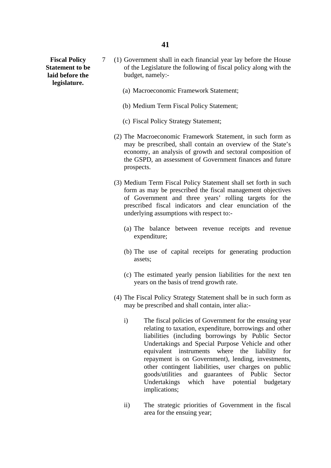**legislature.** 

- **Fiscal Policy** 7 (1) Government shall in each financial year lay before the House **Statement to be** of the Legislature the following of fiscal policy along with the **laid before the** budget, namely:-
	- (a) Macroeconomic Framework Statement;
	- (b) Medium Term Fiscal Policy Statement;
	- (c) Fiscal Policy Strategy Statement;
	- (2) The Macroeconomic Framework Statement, in such form as may be prescribed, shall contain an overview of the State's economy, an analysis of growth and sectoral composition of the GSPD, an assessment of Government finances and future prospects.
	- (3) Medium Term Fiscal Policy Statement shall set forth in such form as may be prescribed the fiscal management objectives of Government and three years' rolling targets for the prescribed fiscal indicators and clear enunciation of the underlying assumptions with respect to:-
		- (a) The balance between revenue receipts and revenue expenditure;
		- (b) The use of capital receipts for generating production assets;
		- (c) The estimated yearly pension liabilities for the next ten years on the basis of trend growth rate.
	- (4) The Fiscal Policy Strategy Statement shall be in such form as may be prescribed and shall contain, inter alia:
		- i) The fiscal policies of Government for the ensuing year relating to taxation, expenditure, borrowings and other liabilities (including borrowings by Public Sector Undertakings and Special Purpose Vehicle and other equivalent instruments where the liability for repayment is on Government), lending, investments, other contingent liabilities, user charges on public goods/utilities and guarantees of Public Sector Undertakings which have potential budgetary implications;
		- ii) The strategic priorities of Government in the fiscal area for the ensuing year;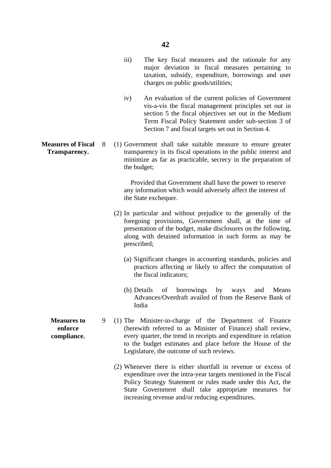- iii) The key fiscal measures and the rationale for any major deviation in fiscal measures pertaining to taxation, subsidy, expenditure, borrowings and user charges on public goods/utilities;
- iv) An evaluation of the current policies of Government vis-a-vis the fiscal management principles set out in section 5 the fiscal objectives set out in the Medium Term Fiscal Policy Statement under sub-section 3 of Section 7 and fiscal targets set out in Section 4.
- **Measures of Fiscal** 8 (1) Government shall take suitable measure to ensure greater **Transparency. transparency in its fiscal operations in the public interest and** minimize as far as practicable, secrecy in the preparation of the budget;

 Provided that Government shall have the power to reserve any information which would adversely affect the interest of the State exchequer.

- (2) In particular and without prejudice to the generally of the foregoing provisions, Government shall, at the time of presentation of the budget, make disclosures on the following, along with detained information in such forms as may be prescribed;
	- (a) Significant changes in accounting standards, policies and practices affecting or likely to affect the computation of the fiscal indicators;
	- (b) Details of borrowings by ways and Means Advances/Overdraft availed of from the Reserve Bank of India
- **Measures to** 9 (1) The Minister-in-charge of the Department of Finance **enforce** (herewith referred to as Minister of Finance) shall review, **compliance.** every quarter, the trend in receipts and expenditure in relation to the budget estimates and place before the House of the Legislature, the outcome of such reviews.
	- (2) Whenever there is either shortfall in revenue or excess of expenditure over the intra-year targets mentioned in the Fiscal Policy Strategy Statement or rules made under this Act, the State Government shall take appropriate measures for increasing revenue and/or reducing expenditures.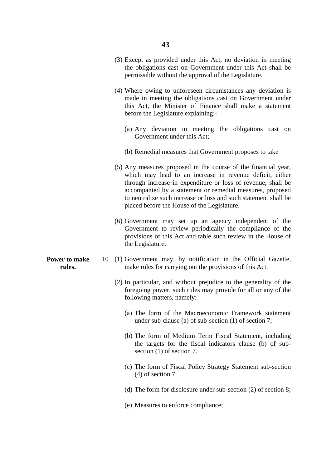- (3) Except as provided under this Act, no deviation in meeting the obligations cast on Government under this Act shall be permissible without the approval of the Legislature.
- (4) Where owing to unforeseen circumstances any deviation is made in meeting the obligations cast on Government under this Act, the Minister of Finance shall make a statement before the Legislature explaining:-
	- (a) Any deviation in meeting the obligations cast on Government under this Act;
	- (b) Remedial measures that Government proposes to take
- (5) Any measures proposed in the course of the financial year, which may lead to an increase in revenue deficit, either through increase in expenditure or loss of revenue, shall be accompanied by a statement or remedial measures, proposed to neutralize such increase or loss and such statement shall be placed before the House of the Legislature.
- (6) Government may set up an agency independent of the Government to review periodically the compliance of the provisions of this Act and table such review in the House of the Legislature.
- **Power to make** 10 (1) Government may, by notification in the Official Gazette, **rules.** make rules for carrying out the provisions of this Act.
	- (2) In particular, and without prejudice to the generality of the foregoing power, such rules may provide for all or any of the following matters, namely:-
		- (a) The form of the Macroeconomic Framework statement under sub-clause (a) of sub-section (1) of section 7;
		- (b) The form of Medium Term Fiscal Statement, including the targets for the fiscal indicators clause (b) of subsection (1) of section 7.
		- (c) The form of Fiscal Policy Strategy Statement sub-section (4) of section 7.
		- (d) The form for disclosure under sub-section (2) of section 8;
		- (e) Measures to enforce compliance;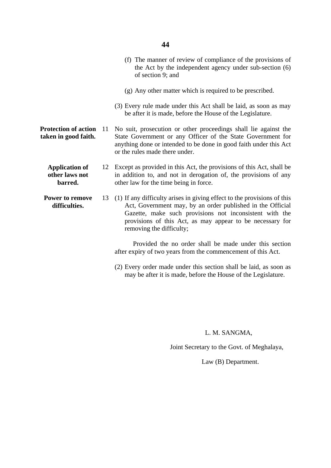### **44**

- (f) The manner of review of compliance of the provisions of the Act by the independent agency under sub-section (6) of section 9; and
- (g) Any other matter which is required to be prescribed.
- (3) Every rule made under this Act shall be laid, as soon as may be after it is made, before the House of the Legislature.
- **Protection of action** 11 No suit, prosecution or other proceedings shall lie against the **taken in good faith.** State Government or any Officer of the State Government for anything done or intended to be done in good faith under this Act or the rules made there under.
	- **Application of** 12 Except as provided in this Act, the provisions of this Act, shall be **other laws not** in addition to, and not in derogation of, the provisions of any **barred. barred. other law for the time being in force.**
	- **Power to remove** 13 (1) If any difficulty arises in giving effect to the provisions of this difficulties. Act, Government may, by an order published in the Official Gazette, make such provisions not inconsistent with the provisions of this Act, as may appear to be necessary for removing the difficulty;

 Provided the no order shall be made under this section after expiry of two years from the commencement of this Act.

(2) Every order made under this section shall be laid, as soon as may be after it is made, before the House of the Legislature.

L. M. SANGMA,

Joint Secretary to the Govt. of Meghalaya,

Law (B) Department.

- 
-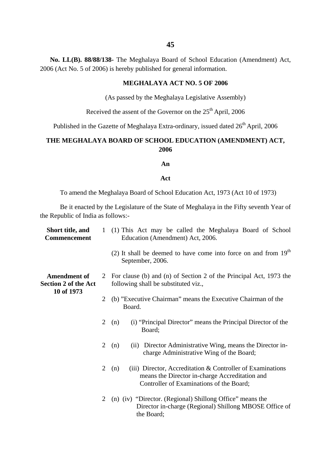**No. LL(B). 88/88/138-** The Meghalaya Board of School Education (Amendment) Act, 2006 (Act No. 5 of 2006) is hereby published for general information.

## **MEGHALAYA ACT NO. 5 OF 2006**

(As passed by the Meghalaya Legislative Assembly)

Received the assent of the Governor on the 25<sup>th</sup> April, 2006

Published in the Gazette of Meghalaya Extra-ordinary, issued dated  $26<sup>th</sup>$  April, 2006

## **THE MEGHALAYA BOARD OF SCHOOL EDUCATION (AMENDMENT) ACT, 2006**

**An**

#### **Act**

To amend the Meghalaya Board of School Education Act, 1973 (Act 10 of 1973)

Be it enacted by the Legislature of the State of Meghalaya in the Fifty seventh Year of the Republic of India as follows:-

| Short title, and<br><b>Commencement</b>                          |                | 1 (1) This Act may be called the Meghalaya Board of School<br>Education (Amendment) Act, 2006.                                                                    |
|------------------------------------------------------------------|----------------|-------------------------------------------------------------------------------------------------------------------------------------------------------------------|
|                                                                  |                | (2) It shall be deemed to have come into force on and from $19th$<br>September, 2006.                                                                             |
| <b>Amendment of</b><br><b>Section 2 of the Act</b><br>10 of 1973 | 2              | For clause (b) and (n) of Section 2 of the Principal Act, 1973 the<br>following shall be substituted viz.,                                                        |
|                                                                  | $\overline{2}$ | (b) "Executive Chairman" means the Executive Chairman of the<br>Board.                                                                                            |
|                                                                  | $\overline{2}$ | (i) "Principal Director" means the Principal Director of the<br>(n)<br>Board;                                                                                     |
|                                                                  | $\overline{2}$ | (ii) Director Administrative Wing, means the Director in-<br>(n)<br>charge Administrative Wing of the Board;                                                      |
|                                                                  | 2              | (iii) Director, Accreditation $&$ Controller of Examinations<br>(n)<br>means the Director in-charge Accreditation and<br>Controller of Examinations of the Board; |
|                                                                  | $\overline{2}$ | (n) (iv) "Director. (Regional) Shillong Office" means the<br>Director in-charge (Regional) Shillong MBOSE Office of<br>the Board;                                 |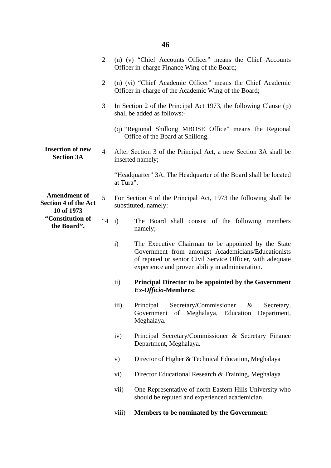|                                                                  | 2              |              | (n) (v) "Chief Accounts Officer" means the Chief Accounts<br>Officer in-charge Finance Wing of the Board;                                                                                                                  |  |  |  |
|------------------------------------------------------------------|----------------|--------------|----------------------------------------------------------------------------------------------------------------------------------------------------------------------------------------------------------------------------|--|--|--|
|                                                                  | 2              |              | (n) (vi) "Chief Academic Officer" means the Chief Academic<br>Officer in-charge of the Academic Wing of the Board;                                                                                                         |  |  |  |
|                                                                  | 3              |              | In Section 2 of the Principal Act 1973, the following Clause $(p)$<br>shall be added as follows:-                                                                                                                          |  |  |  |
|                                                                  |                |              | (q) "Regional Shillong MBOSE Office" means the Regional<br>Office of the Board at Shillong.                                                                                                                                |  |  |  |
| <b>Insertion of new</b><br><b>Section 3A</b>                     | $\overline{4}$ |              | After Section 3 of the Principal Act, a new Section 3A shall be<br>inserted namely;                                                                                                                                        |  |  |  |
|                                                                  |                |              | "Headquarter" 3A. The Headquarter of the Board shall be located<br>at Tura".                                                                                                                                               |  |  |  |
| <b>Amendment of</b><br><b>Section 4 of the Act</b><br>10 of 1973 | 5              |              | For Section 4 of the Principal Act, 1973 the following shall be<br>substituted, namely:                                                                                                                                    |  |  |  |
| "Constitution of<br>the Board".                                  | " $4$ i)       |              | The Board shall consist of the following members<br>namely;                                                                                                                                                                |  |  |  |
|                                                                  |                | $\mathbf{i}$ | The Executive Chairman to be appointed by the State<br>Government from amongst Academicians/Educationists<br>of reputed or senior Civil Service Officer, with adequate<br>experience and proven ability in administration. |  |  |  |
|                                                                  |                | $\rm ii)$    | <b>Principal Director to be appointed by the Government</b><br>Ex-Officio-Members:                                                                                                                                         |  |  |  |
|                                                                  |                | iii)         | Secretary/Commissioner<br>Principal<br>Secretary,<br>&<br>Government<br>of Meghalaya, Education Department,<br>Meghalaya.                                                                                                  |  |  |  |
|                                                                  |                | iv)          | Principal Secretary/Commissioner & Secretary Finance<br>Department, Meghalaya.                                                                                                                                             |  |  |  |
|                                                                  |                | V)           | Director of Higher & Technical Education, Meghalaya                                                                                                                                                                        |  |  |  |
|                                                                  |                | vi)          | Director Educational Research & Training, Meghalaya                                                                                                                                                                        |  |  |  |
|                                                                  |                | vii)         | One Representative of north Eastern Hills University who<br>should be reputed and experienced academician.                                                                                                                 |  |  |  |
|                                                                  |                | viii)        | <b>Members to be nominated by the Government:</b>                                                                                                                                                                          |  |  |  |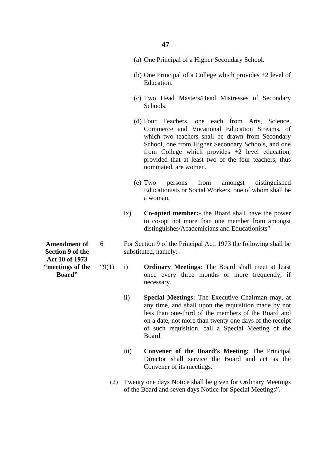- (a) One Principal of a Higher Secondary School.
- (b) One Principal of a College which provides +2 level of Education.
- (c) Two Head Masters/Head Mistresses of Secondary Schools.
- (d) Four Teachers, one each from Arts, Science, Commerce and Vocational Education Streams, of which two teachers shall be drawn from Secondary School, one from Higher Secondary Schools, and one from College which provides +2 level education, provided that at least two of the four teachers, thus nominated, are women.
- (e) Two persons from amongst distinguished Educationists or Social Workers, one of whom shall be a woman.
- ix) **Co-opted member:-** the Board shall have the power to co-opt not more than one member from amongst distinguishes/Academicians and Educationists"
- Amendment of 6 For Section 9 of the Principal Act, 1973 the following shall be **Section 9 of the** substituted, namely:-
- **"meetings of the** "9(1) i) **Ordinary Meetings:** The Board shall meet at least **Board" board once** every three months or more frequently, if necessary.
	- ii) **Special Meetings:** The Executive Chairman may, at any time, and shall upon the requisition made by not less than one-third of the members of the Board and on a date, not more than twenty one days of the receipt of such requisition, call a Special Meeting of the Board.
	- iii) **Convener of the Board's Meeting:** The Principal Director shall service the Board and act as the Convener of its meetings.
	- (2) Twenty one days Notice shall be given for Ordinary Meetings of the Board and seven days Notice for Special Meetings".

**Act 10 of 1973**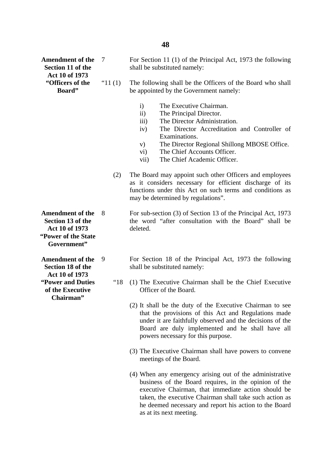**Amendment of the** 7 For Section 11 (1) of the Principal Act, 1973 the following **Section 11 of the** shall be substituted namely: **Act 10 of 1973**  "(1) The following shall be the Officers of the Board who shall **Board"** be appointed by the Government namely: i) The Executive Chairman. ii) The Principal Director. iii) The Director Administration. iv) The Director Accreditation and Controller of Examinations. v) The Director Regional Shillong MBOSE Office. vi) The Chief Accounts Officer. vii) The Chief Academic Officer. (2) The Board may appoint such other Officers and employees may be determined by regulations". Amendment of the 8 For sub-section (3) of Section 13 of the Principal Act, 1973 **Section 13 of the** the word "after consultation with the Board" shall be **Act 10 of 1973** deleted. **Government" Amendment of the** 9 For Section 18 of the Principal Act, 1973 the following **Section 18 of the** shall be substituted namely: **Act 10 of 1973 "Power and Duties** "18 (1) The Executive Chairman shall be the Chief Executive **of the Executive Officer of the Board. Chairman"** powers necessary for this purpose. (3) The Executive Chairman shall have powers to convene meetings of the Board. (4) When any emergency arising out of the administrative

business of the Board requires, in the opinion of the executive Chairman, that immediate action should be taken, the executive Chairman shall take such action as he deemed necessary and report his action to the Board as at its next meeting.

**"Power of the State** 

- 
- as it considers necessary for efficient discharge of its functions under this Act on such terms and conditions as

- - (2) It shall be the duty of the Executive Chairman to see that the provisions of this Act and Regulations made under it are faithfully observed and the decisions of the Board are duly implemented and he shall have all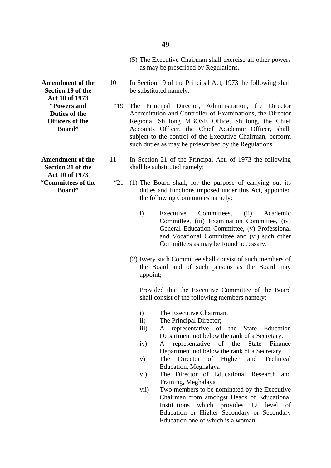### **49**

- (5) The Executive Chairman shall exercise all other powers as may be prescribed by Regulations.
- **Amendment of the** 10 In Section 19 of the Principal Act, 1973 the following shall **Section 19 of the** be substituted namely:
	- **"Powers and** "19 The Principal Director, Administration, the Director **Duties of the** <br>Accreditation and Controller of Examinations, the Director **Officers of the** Regional Shillong MBOSE Office, Shillong, the Chief **Board"** Accounts Officer, the Chief Academic Officer, shall, subiect to the control of the Executive Chairman, perform such duties as may be pr4escribed by the Regulations.
- **Amendment of the** 11 In Section 21 of the Principal Act, of 1973 the following **Section 21 of the** shall be substituted namely:
- **"Committees of the** "21 (1) The Board shall, for the purpose of carrying out its **Board" duties and functions imposed under this Act, appointed** the following Committees namely:
	- i) Executive Committees, (ii) Academic Committee, (iii) Examination Committee, (iv) General Education Committee, (v) Professional and Vocational Committee and (vi) such other Committees as may be found necessary.
	- (2) Every such Committee shall consist of such members of the Board and of such persons as the Board may appoint;

Provided that the Executive Committee of the Board shall consist of the following members namely:

- i) The Executive Chairman.
- ii) The Principal Director;
- iii) A representative of the State Education Department not below the rank of a Secretary.
- iv) A representative of the State Finance Department not below the rank of a Secretary.
- v) The Director of Higher and Technical Education, Meghalaya
- vi) The Director of Educational Research and Training, Meghalaya
- vii) Two members to be nominated by the Executive Chairman from amongst Heads of Educational Institutions which provides  $+2$  level of Education or Higher Secondary or Secondary Education one of which is a woman:

**Act 10 of 1973** 

**Act 10 of 1973**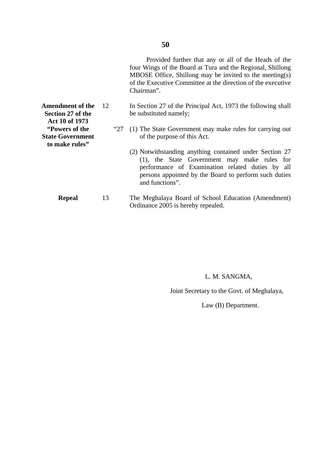Provided further that any or all of the Heads of the four Wings of the Board at Tura and the Regional, Shillong MBOSE Office, Shillong may be invited to the meeting(s) of the Executive Committee at the direction of the executive Chairman".

- **Amendment of the** 12 In Section 27 of the Principal Act, 1973 the following shall<br>Section 27 of the be substituted namely: be substituted namely;
- **"Powers of the** "27 (1) The State Government may make rules for carrying out **State Government** of the purpose of this Act.
	- (2) Notwithstanding anything contained under Section 27 (1), the State Government may make rules for performance of Examination related duties by all persons appointed by the Board to perform such duties and functions".
	- **Repeal** 13 The Meghalaya Board of School Education (Amendment) Ordinance 2005 is hereby repealed.

L. M. SANGMA,

Joint Secretary to the Govt. of Meghalaya,

Law (B) Department.

**Act 10 of 1973 to make rules"**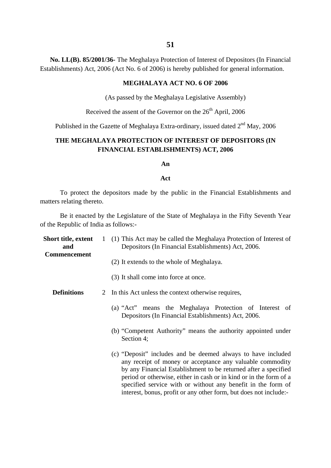**No. LL(B). 85/2001/36-** The Meghalaya Protection of Interest of Depositors (In Financial Establishments) Act, 2006 (Act No. 6 of 2006) is hereby published for general information.

## **MEGHALAYA ACT NO. 6 OF 2006**

(As passed by the Meghalaya Legislative Assembly)

Received the assent of the Governor on the 26<sup>th</sup> April, 2006

Published in the Gazette of Meghalaya Extra-ordinary, issued dated  $2<sup>nd</sup>$  May, 2006

## **THE MEGHALAYA PROTECTION OF INTEREST OF DEPOSITORS (IN FINANCIAL ESTABLISHMENTS) ACT, 2006**

### **An**

#### **Act**

To protect the depositors made by the public in the Financial Establishments and matters relating thereto.

Be it enacted by the Legislature of the State of Meghalaya in the Fifty Seventh Year of the Republic of India as follows:-

| Short title, extent<br>and<br><b>Commencement</b> |   | 1 (1) This Act may be called the Meghalaya Protection of Interest of<br>Depositors (In Financial Establishments) Act, 2006.                                                                                                                                                                                                                                                                             |  |  |
|---------------------------------------------------|---|---------------------------------------------------------------------------------------------------------------------------------------------------------------------------------------------------------------------------------------------------------------------------------------------------------------------------------------------------------------------------------------------------------|--|--|
|                                                   |   | (2) It extends to the whole of Meghalaya.                                                                                                                                                                                                                                                                                                                                                               |  |  |
|                                                   |   | (3) It shall come into force at once.                                                                                                                                                                                                                                                                                                                                                                   |  |  |
| <b>Definitions</b>                                | 2 | In this Act unless the context otherwise requires,                                                                                                                                                                                                                                                                                                                                                      |  |  |
|                                                   |   | (a) "Act" means the Meghalaya Protection of Interest of<br>Depositors (In Financial Establishments) Act, 2006.                                                                                                                                                                                                                                                                                          |  |  |
|                                                   |   | (b) "Competent Authority" means the authority appointed under<br>Section 4;                                                                                                                                                                                                                                                                                                                             |  |  |
|                                                   |   | (c) "Deposit" includes and be deemed always to have included<br>any receipt of money or acceptance any valuable commodity<br>by any Financial Establishment to be returned after a specified<br>period or otherwise, either in cash or in kind or in the form of a<br>specified service with or without any benefit in the form of<br>interest, bonus, profit or any other form, but does not include:- |  |  |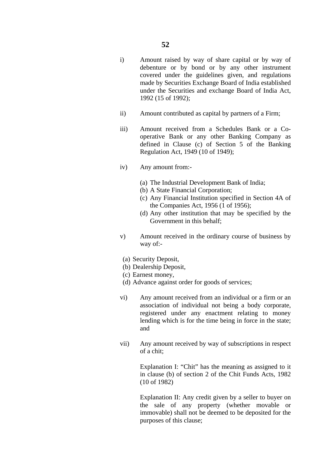- i) Amount raised by way of share capital or by way of debenture or by bond or by any other instrument covered under the guidelines given, and regulations made by Securities Exchange Board of India established under the Securities and exchange Board of India Act, 1992 (15 of 1992);
- ii) Amount contributed as capital by partners of a Firm;
- iii) Amount received from a Schedules Bank or a Cooperative Bank or any other Banking Company as defined in Clause (c) of Section 5 of the Banking Regulation Act, 1949 (10 of 1949);
- iv) Any amount from:-
	- (a) The Industrial Development Bank of India;
	- (b) A State Financial Corporation;
	- (c) Any Financial Institution specified in Section 4A of the Companies Act, 1956 (1 of 1956);
	- (d) Any other institution that may be specified by the Government in this behalf;
- v) Amount received in the ordinary course of business by way of:-
- (a) Security Deposit,
- (b) Dealership Deposit,
- (c) Earnest money,
- (d) Advance against order for goods of services;
- vi) Any amount received from an individual or a firm or an association of individual not being a body corporate, registered under any enactment relating to money lending which is for the time being in force in the state; and
- vii) Any amount received by way of subscriptions in respect of a chit;

Explanation I: "Chit" has the meaning as assigned to it in clause (b) of section 2 of the Chit Funds Acts, 1982 (10 of 1982)

Explanation II: Any credit given by a seller to buyer on the sale of any property (whether movable or immovable) shall not be deemed to be deposited for the purposes of this clause;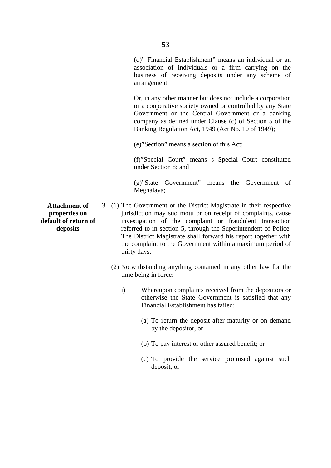Or, in any other manner but does not include a corporation or a cooperative society owned or controlled by any State Government or the Central Government or a banking company as defined under Clause (c) of Section 5 of the Banking Regulation Act, 1949 (Act No. 10 of 1949);

(e)"Section" means a section of this Act;

(f)"Special Court" means s Special Court constituted under Section 8; and

(g)"State Government" means the Government of Meghalaya;

- **Attachment of** 3 (1) The Government or the District Magistrate in their respective **properties on** *jurisdiction may suo motu or on receipt of complaints, cause* **default of return of investigation** of the complaint or fraudulent transaction **deposits** referred to in section 5, through the Superintendent of Police. The District Magistrate shall forward his report together with the complaint to the Government within a maximum period of thirty days.
	- (2) Notwithstanding anything contained in any other law for the time being in force:
		- i) Whereupon complaints received from the depositors or otherwise the State Government is satisfied that any Financial Establishment has failed:
			- (a) To return the deposit after maturity or on demand by the depositor, or
			- (b) To pay interest or other assured benefit; or
			- (c) To provide the service promised against such deposit, or

arrangement.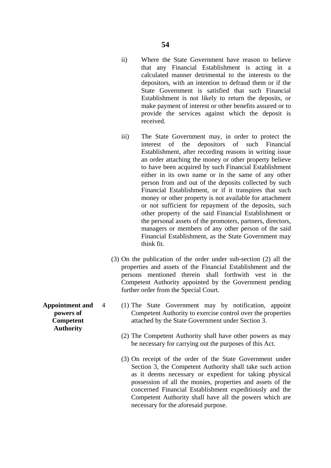- ii) Where the State Government have reason to believe that any Financial Establishment is acting in a calculated manner detrimental to the interests to the depositors, with an intention to defraud them or if the State Government is satisfied that such Financial Establishment is not likely to return the deposits, or make payment of interest or other benefits assured or to provide the services against which the deposit is received.
- iii) The State Government may, in order to protect the interest of the depositors of such Financial Establishment, after recording reasons in writing issue an order attaching the money or other property believe to have been acquired by such Financial Establishment either in its own name or in the same of any other person from and out of the deposits collected by such Financial Establishment, or if it transpires that such money or other property is not available for attachment or not sufficient for repayment of the deposits, such other property of the said Financial Establishment or the personal assets of the promoters, partners, directors, managers or members of any other person of the said Financial Establishment, as the State Government may think fit.
- (3) On the publication of the order under sub-section (2) all the properties and assets of the Financial Establishment and the persons mentioned therein shall forthwith vest in the Competent Authority appointed by the Government pending further order from the Special Court.
- **Appointment and** 4 (1) The State Government may by notification, appoint **powers of** Competent Authority to exercise control over the properties **Competent attached by the State Government under Section 3.** 
	- (2) The Competent Authority shall have other powers as may be necessary for carrying out the purposes of this Act.
	- (3) On receipt of the order of the State Government under Section 3, the Competent Authority shall take such action as it deems necessary or expedient for taking physical possession of all the monies, properties and assets of the concerned Financial Establishment expeditiously and the Competent Authority shall have all the powers which are necessary for the aforesaid purpose.

**Authority**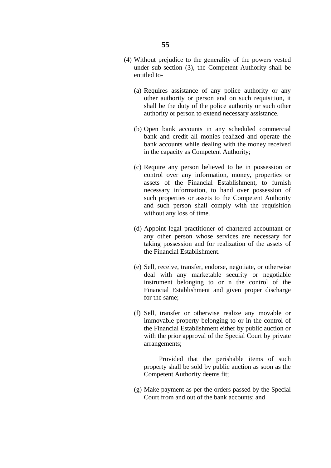- (4) Without prejudice to the generality of the powers vested under sub-section (3), the Competent Authority shall be entitled to-
	- (a) Requires assistance of any police authority or any other authority or person and on such requisition, it shall be the duty of the police authority or such other authority or person to extend necessary assistance.
	- (b) Open bank accounts in any scheduled commercial bank and credit all monies realized and operate the bank accounts while dealing with the money received in the capacity as Competent Authority;
	- (c) Require any person believed to be in possession or control over any information, money, properties or assets of the Financial Establishment, to furnish necessary information, to hand over possession of such properties or assets to the Competent Authority and such person shall comply with the requisition without any loss of time.
	- (d) Appoint legal practitioner of chartered accountant or any other person whose services are necessary for taking possession and for realization of the assets of the Financial Establishment.
	- (e) Sell, receive, transfer, endorse, negotiate, or otherwise deal with any marketable security or negotiable instrument belonging to or n the control of the Financial Establishment and given proper discharge for the same;
	- (f) Sell, transfer or otherwise realize any movable or immovable property belonging to or in the control of the Financial Establishment either by public auction or with the prior approval of the Special Court by private arrangements;

 Provided that the perishable items of such property shall be sold by public auction as soon as the Competent Authority deems fit;

(g) Make payment as per the orders passed by the Special Court from and out of the bank accounts; and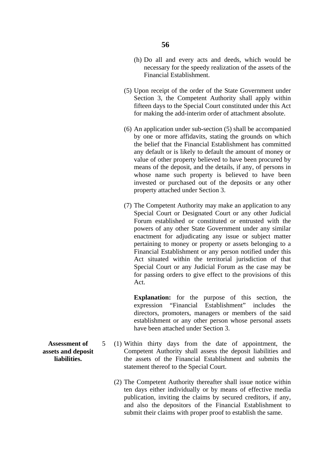- (h) Do all and every acts and deeds, which would be necessary for the speedy realization of the assets of the Financial Establishment.
- (5) Upon receipt of the order of the State Government under Section 3, the Competent Authority shall apply within fifteen days to the Special Court constituted under this Act for making the add-interim order of attachment absolute.
- (6) An application under sub-section (5) shall be accompanied by one or more affidavits, stating the grounds on which the belief that the Financial Establishment has committed any default or is likely to default the amount of money or value of other property believed to have been procured by means of the deposit, and the details, if any, of persons in whose name such property is believed to have been invested or purchased out of the deposits or any other property attached under Section 3.
- (7) The Competent Authority may make an application to any Special Court or Designated Court or any other Judicial Forum established or constituted or entrusted with the powers of any other State Government under any similar enactment for adjudicating any issue or subject matter pertaining to money or property or assets belonging to a Financial Establishment or any person notified under this Act situated within the territorial jurisdiction of that Special Court or any Judicial Forum as the case may be for passing orders to give effect to the provisions of this Act.

**Explanation:** for the purpose of this section, the expression "Financial Establishment" includes the directors, promoters, managers or members of the said establishment or any other person whose personal assets have been attached under Section 3.

- **Assessment of** 5 (1) Within thirty days from the date of appointment, the **assets and deposit Competent Authority shall assess the deposit liabilities and liabilities.** the assets of the Financial Establishment and submits the statement thereof to the Special Court.
	- (2) The Competent Authority thereafter shall issue notice within ten days either individually or by means of effective media publication, inviting the claims by secured creditors, if any, and also the depositors of the Financial Establishment to submit their claims with proper proof to establish the same.
-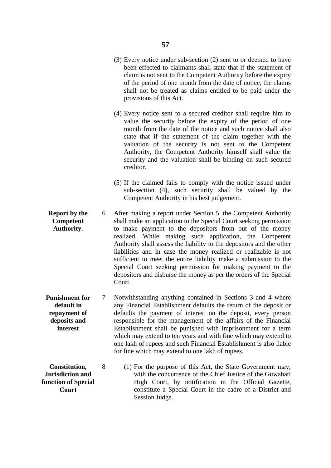- (3) Every notice under sub-section (2) sent to or deemed to have been effected to claimants shall state that if the statement of claim is not sent to the Competent Authority before the expiry of the period of one month from the date of notice, the claims shall not be treated as claims entitled to be paid under the provisions of this Act.
- (4) Every notice sent to a secured creditor shall require him to value the security before the expiry of the period of one month from the date of the notice and such notice shall also state that if the statement of the claim together with the valuation of the security is not sent to the Competent Authority, the Competent Authority himself shall value the security and the valuation shall be binding on such secured creditor.
- (5) If the claimed fails to comply with the notice issued under sub-section (4), such security shall be valued by the Competent Authority in his best judgement.
- **Report by the** 6 After making a report under Section 5, the Competent Authority **Competent** shall make an application to the Special Court seeking permission **Authority.** to make payment to the depositors from out of the money realized. While making such application, the Competent Authority shall assess the liability to the depositors and the other liabilities and in case the money realized or realizable is not sufficient to meet the entire liability make a submission to the Special Court seeking permission for making payment to the depositors and disburse the money as per the orders of the Special Court.
- **Punishment for** 7 Notwithstanding anything contained in Sections 3 and 4 where **default in any Financial Establishment defaults the return of the deposit or repayment of defaults** the payment of interest on the deposit, every person **deposits and** responsible for the management of the affairs of the Financial **interest** Establishment shall be punished with imprisonment for a term which may extend to ten years and with fine which may extend to one lakh of rupees and such Financial Establishment is also liable for fine which may extend to one lakh of rupees.
- **Constitution,** 8 (1) For the purpose of this Act, the State Government may, **Jurisdiction and** with the concurrence of the Chief Justice of the Guwahati **function of Special High Court, by notification in the Official Gazette, Court Court Court constitute a Special Court in the cadre of a District and** Session Judge.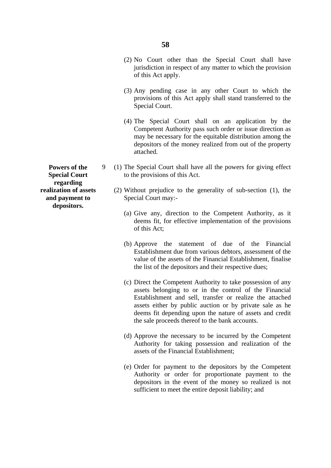- (2) No Court other than the Special Court shall have jurisdiction in respect of any matter to which the provision of this Act apply.
- (3) Any pending case in any other Court to which the provisions of this Act apply shall stand transferred to the Special Court.
- (4) The Special Court shall on an application by the Competent Authority pass such order or issue direction as may be necessary for the equitable distribution among the depositors of the money realized from out of the property attached.
- **Powers of the** 9 (1) The Special Court shall have all the powers for giving effect **Special Court** to the provisions of this Act.
- **realization of assets** (2) Without prejudice to the generality of sub-section (1), the **and payment to Special Court may:-**
	- (a) Give any, direction to the Competent Authority, as it deems fit, for effective implementation of the provisions of this Act;
	- (b) Approve the statement of due of the Financial Establishment due from various debtors, assessment of the value of the assets of the Financial Establishment, finalise the list of the depositors and their respective dues;
	- (c) Direct the Competent Authority to take possession of any assets belonging to or in the control of the Financial Establishment and sell, transfer or realize the attached assets either by public auction or by private sale as he deems fit depending upon the nature of assets and credit the sale proceeds thereof to the bank accounts.
	- (d) Approve the necessary to be incurred by the Competent Authority for taking possession and realization of the assets of the Financial Establishment;
	- (e) Order for payment to the depositors by the Competent Authority or order for proportionate payment to the depositors in the event of the money so realized is not sufficient to meet the entire deposit liability; and

**regarding depositors.**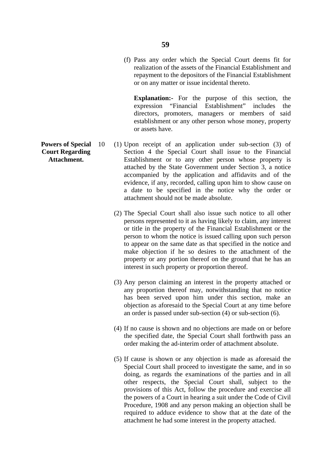(f) Pass any order which the Special Court deems fit for realization of the assets of the Financial Establishment and repayment to the depositors of the Financial Establishment or on any matter or issue incidental thereto.

**Explanation:-** For the purpose of this section, the expression "Financial Establishment" includes the directors, promoters, managers or members of said establishment or any other person whose money, property or assets have.

- **Powers of Special** 10 (1) Upon receipt of an application under sub-section (3) of **Court Regarding** Section 4 the Special Court shall issue to the Financial Attachment. Establishment or to any other person whose property is attached by the State Government under Section 3, a notice accompanied by the application and affidavits and of the evidence, if any, recorded, calling upon him to show cause on a date to be specified in the notice why the order or attachment should not be made absolute.
	- (2) The Special Court shall also issue such notice to all other persons represented to it as having likely to claim, any interest or title in the property of the Financial Establishment or the person to whom the notice is issued calling upon such person to appear on the same date as that specified in the notice and make objection if he so desires to the attachment of the property or any portion thereof on the ground that he has an interest in such property or proportion thereof.
	- (3) Any person claiming an interest in the property attached or any proportion thereof may, notwithstanding that no notice has been served upon him under this section, make an objection as aforesaid to the Special Court at any time before an order is passed under sub-section (4) or sub-section (6).
	- (4) If no cause is shown and no objections are made on or before the specified date, the Special Court shall forthwith pass an order making the ad-interim order of attachment absolute.
	- (5) If cause is shown or any objection is made as aforesaid the Special Court shall proceed to investigate the same, and in so doing, as regards the examinations of the parties and in all other respects, the Special Court shall, subject to the provisions of this Act, follow the procedure and exercise all the powers of a Court in hearing a suit under the Code of Civil Procedure, 1908 and any person making an objection shall be required to adduce evidence to show that at the date of the attachment he had some interest in the property attached.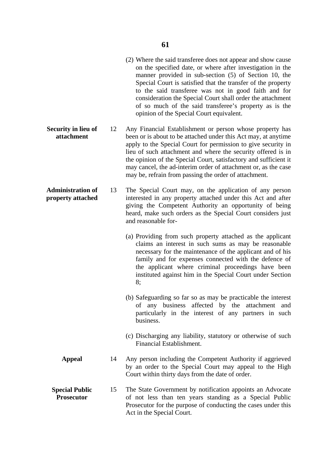- (2) Where the said transferee does not appear and show cause on the specified date, or where after investigation in the manner provided in sub-section (5) of Section 10, the Special Court is satisfied that the transfer of the property to the said transferee was not in good faith and for consideration the Special Court shall order the attachment of so much of the said transferee's property as is the opinion of the Special Court equivalent.
- **Security in lieu of attachment**  12 Any Financial Establishment or person whose property has been or is about to be attached under this Act may, at anytime apply to the Special Court for permission to give security in lieu of such attachment and where the security offered is in the opinion of the Special Court, satisfactory and sufficient it may cancel, the ad-interim order of attachment or, as the case may be, refrain from passing the order of attachment.
- **Administration of property attached** 13 The Special Court may, on the application of any person interested in any property attached under this Act and after giving the Competent Authority an opportunity of being heard, make such orders as the Special Court considers just and reasonable for-
	- (a) Providing from such property attached as the applicant claims an interest in such sums as may be reasonable necessary for the maintenance of the applicant and of his family and for expenses connected with the defence of the applicant where criminal proceedings have been instituted against him in the Special Court under Section 8;
	- (b) Safeguarding so far so as may be practicable the interest of any business affected by the attachment and particularly in the interest of any partners in such business.
	- (c) Discharging any liability, statutory or otherwise of such Financial Establishment.
	- **Appeal**  14 Any person including the Competent Authority if aggrieved by an order to the Special Court may appeal to the High Court within thirty days from the date of order.
	- **Special Public Prosecutor**  15 The State Government by notification appoints an Advocate of not less than ten years standing as a Special Public Prosecutor for the purpose of conducting the cases under this Act in the Special Court.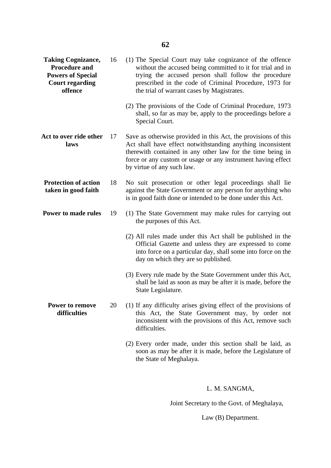| <b>Taking Cognizance,</b><br><b>Procedure and</b><br><b>Powers of Special</b><br><b>Court regarding</b><br>offence | 16 | (1) The Special Court may take cognizance of the offence<br>without the accused being committed to it for trial and in<br>trying the accused person shall follow the procedure<br>prescribed in the code of Criminal Procedure, 1973 for<br>the trial of warrant cases by Magistrates.    |
|--------------------------------------------------------------------------------------------------------------------|----|-------------------------------------------------------------------------------------------------------------------------------------------------------------------------------------------------------------------------------------------------------------------------------------------|
|                                                                                                                    |    | (2) The provisions of the Code of Criminal Procedure, 1973<br>shall, so far as may be, apply to the proceedings before a<br>Special Court.                                                                                                                                                |
| Act to over ride other<br>laws                                                                                     | 17 | Save as otherwise provided in this Act, the provisions of this<br>Act shall have effect notwithstanding anything inconsistent<br>therewith contained in any other law for the time being in<br>force or any custom or usage or any instrument having effect<br>by virtue of any such law. |
| <b>Protection of action</b><br>taken in good faith                                                                 | 18 | No suit prosecution or other legal proceedings shall lie<br>against the State Government or any person for anything who<br>is in good faith done or intended to be done under this Act.                                                                                                   |
| Power to made rules                                                                                                | 19 | (1) The State Government may make rules for carrying out<br>the purposes of this Act.                                                                                                                                                                                                     |
|                                                                                                                    |    | (2) All rules made under this Act shall be published in the<br>Official Gazette and unless they are expressed to come<br>into force on a particular day, shall some into force on the<br>day on which they are so published.                                                              |
|                                                                                                                    |    | (3) Every rule made by the State Government under this Act,<br>shall be laid as soon as may be after it is made, before the<br>State Legislature.                                                                                                                                         |
| Power to remove<br>difficulties                                                                                    |    | 20 (1) If any difficulty arises giving effect of the provisions of<br>this Act, the State Government may, by order not<br>inconsistent with the provisions of this Act, remove such<br>difficulties.                                                                                      |
|                                                                                                                    |    | (2) Every order made, under this section shall be laid, as<br>soon as may be after it is made, before the Legislature of<br>the State of Meghalaya.                                                                                                                                       |
|                                                                                                                    |    |                                                                                                                                                                                                                                                                                           |

# L. M. SANGMA,

Joint Secretary to the Govt. of Meghalaya,

Law (B) Department.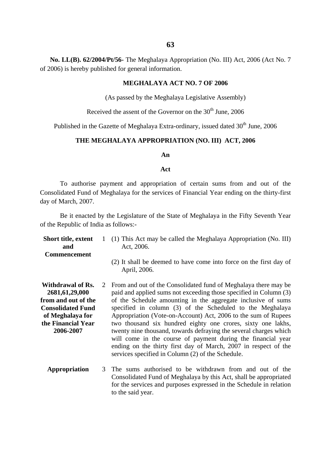**No. LL(B). 62/2004/Pt/56-** The Meghalaya Appropriation (No. III) Act, 2006 (Act No. 7 of 2006) is hereby published for general information.

### **MEGHALAYA ACT NO. 7 OF 2006**

(As passed by the Meghalaya Legislative Assembly)

Received the assent of the Governor on the  $30<sup>th</sup>$  June, 2006

Published in the Gazette of Meghalaya Extra-ordinary, issued dated 30<sup>th</sup> June, 2006

### **THE MEGHALAYA APPROPRIATION (NO. III) ACT, 2006**

### **An**

### **Act**

To authorise payment and appropriation of certain sums from and out of the Consolidated Fund of Meghalaya for the services of Financial Year ending on the thirty-first day of March, 2007.

Be it enacted by the Legislature of the State of Meghalaya in the Fifty Seventh Year of the Republic of India as follows:-

- **Short title, extent and Commencement Withdrawal of Rs. 2681,61,29,000 from and out of the Consolidated Fund of Meghalaya for the Financial Year 2006-2007** 1 (1) This Act may be called the Meghalaya Appropriation (No. III) 2 From and out of the Consolidated fund of Meghalaya there may be Act, 2006. (2) It shall be deemed to have come into force on the first day of April, 2006. paid and applied sums not exceeding those specified in Column (3) of the Schedule amounting in the aggregate inclusive of sums specified in column (3) of the Scheduled to the Meghalaya Appropriation (Vote-on-Account) Act, 2006 to the sum of Rupees two thousand six hundred eighty one crores, sixty one lakhs, twenty nine thousand, towards defraying the several charges which will come in the course of payment during the financial year ending on the thirty first day of March, 2007 in respect of the services specified in Column (2) of the Schedule.
	- **Appropriation** 3 The sums authorised to be withdrawn from and out of the Consolidated Fund of Meghalaya by this Act, shall be appropriated for the services and purposes expressed in the Schedule in relation to the said year.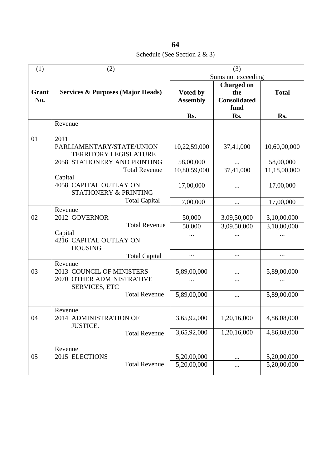Schedule (See Section 2 & 3)

| (1)          | (2)                                                                                       | (3)                         |                                                         |                            |  |
|--------------|-------------------------------------------------------------------------------------------|-----------------------------|---------------------------------------------------------|----------------------------|--|
|              |                                                                                           |                             | Sums not exceeding                                      |                            |  |
| Grant<br>No. | <b>Services &amp; Purposes (Major Heads)</b>                                              | Voted by<br><b>Assembly</b> | <b>Charged on</b><br>the<br><b>Consolidated</b><br>fund | <b>Total</b>               |  |
|              |                                                                                           | Rs.                         | Rs.                                                     | Rs.                        |  |
| 01           | Revenue<br>2011                                                                           |                             |                                                         |                            |  |
|              | PARLIAMENTARY/STATE/UNION<br><b>TERRITORY LEGISLATURE</b>                                 | 10,22,59,000                | 37,41,000                                               | 10,60,00,000               |  |
|              | 2058 STATIONERY AND PRINTING                                                              | 58,00,000                   |                                                         | 58,00,000                  |  |
|              | <b>Total Revenue</b>                                                                      | 10,80,59,000                | 37,41,000                                               | 11,18,00,000               |  |
|              | Capital<br>4058 CAPITAL OUTLAY ON<br>STATIONERY & PRINTING                                | 17,00,000                   | $\ddotsc$                                               | 17,00,000                  |  |
|              | <b>Total Capital</b>                                                                      | 17,00,000                   | $\cdots$                                                | 17,00,000                  |  |
| 02           | Revenue<br>2012 GOVERNOR<br><b>Total Revenue</b>                                          | 50,000<br>50,000            | 3,09,50,000<br>3,09,50,000                              | 3,10,00,000<br>3,10,00,000 |  |
|              | Capital<br>4216 CAPITAL OUTLAY ON<br><b>HOUSING</b>                                       | $\cdots$                    |                                                         |                            |  |
|              | <b>Total Capital</b>                                                                      | $\cdots$                    | $\cdots$                                                | $\cdots$                   |  |
| 03           | Revenue<br>2013 COUNCIL OF MINISTERS<br>2070 OTHER ADMINISTRATIVE<br><b>SERVICES, ETC</b> | 5,89,00,000                 |                                                         | 5,89,00,000                |  |
|              | <b>Total Revenue</b>                                                                      | 5,89,00,000                 |                                                         | 5,89,00,000                |  |
| 04           | Revenue<br>2014 ADMINISTRATION OF<br><b>JUSTICE.</b>                                      | 3,65,92,000                 | 1,20,16,000                                             | 4,86,08,000                |  |
|              | <b>Total Revenue</b>                                                                      | 3,65,92,000                 | 1,20,16,000                                             | 4,86,08,000                |  |
| 05           | Revenue<br>2015 ELECTIONS<br><b>Total Revenue</b>                                         | 5,20,00,000<br>5,20,00,000  | $\cdots$<br>                                            | 5,20,00,000<br>5,20,00,000 |  |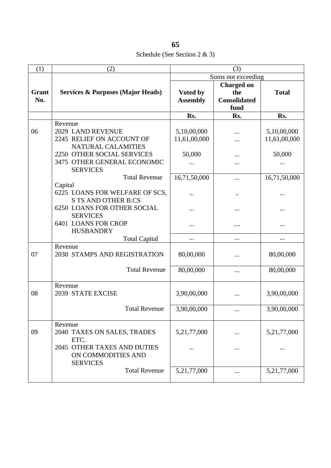Schedule (See Section 2 & 3)

| (1)          | (2)                                           | (3)             |                             |              |
|--------------|-----------------------------------------------|-----------------|-----------------------------|--------------|
|              |                                               |                 | Sums not exceeding          |              |
|              |                                               |                 | <b>Charged on</b>           |              |
| Grant<br>No. | <b>Services &amp; Purposes (Major Heads)</b>  | Voted by        | the                         | <b>Total</b> |
|              |                                               | <b>Assembly</b> | <b>Consolidated</b><br>fund |              |
|              |                                               | Rs.             | Rs.                         | Rs.          |
|              | Revenue                                       |                 |                             |              |
| 06           | 2029 LAND REVENUE                             | 5,10,00,000     |                             | 5,10,00,000  |
|              | 2245 RELIEF ON ACCOUNT OF                     | 11,61,00,000    |                             | 11,61,00,000 |
|              | NATURAL CALAMITIES                            |                 |                             |              |
|              | 2250 OTHER SOCIAL SERVICES                    | 50,000          |                             | 50,000       |
|              | 3475 OTHER GENERAL ECONOMIC                   | $\ddotsc$       | $\ddotsc$                   |              |
|              | <b>SERVICES</b>                               |                 |                             |              |
|              | <b>Total Revenue</b>                          | 16,71,50,000    |                             | 16,71,50,000 |
|              | Capital                                       |                 |                             |              |
|              | 6225 LOANS FOR WELFARE OF SCS,                |                 |                             |              |
|              | <b>S TS AND OTHER B.CS</b>                    |                 |                             |              |
|              | <b>6250 LOANS FOR OTHER SOCIAL</b>            |                 | $\ddotsc$                   |              |
|              | <b>SERVICES</b><br><b>6401 LOANS FOR CROP</b> |                 |                             |              |
|              | <b>HUSBANDRY</b>                              |                 |                             |              |
|              | <b>Total Capital</b>                          | $\cdots$        | $\cdots$                    | $\cdots$     |
|              | Revenue                                       |                 |                             |              |
| 07           | 2030 STAMPS AND REGISTRATION                  | 80,00,000       | $\ddotsc$                   | 80,00,000    |
|              |                                               |                 |                             |              |
|              | <b>Total Revenue</b>                          | 80,00,000       | $\cdots$                    | 80,00,000    |
|              |                                               |                 |                             |              |
|              | Revenue                                       |                 |                             |              |
| 08           | 2039 STATE EXCISE                             | 3,90,00,000     | $\cdots$                    | 3,90,00,000  |
|              | <b>Total Revenue</b>                          | 3,90,00,000     |                             | 3,90,00,000  |
|              |                                               |                 | $\cdots$                    |              |
|              | Revenue                                       |                 |                             |              |
| 09           | 2040 TAXES ON SALES, TRADES                   | 5,21,77,000     |                             | 5,21,77,000  |
|              | ETC.                                          |                 |                             |              |
|              | 2045 OTHER TAXES AND DUTIES                   |                 |                             |              |
|              | ON COMMODITIES AND                            |                 |                             |              |
|              | <b>SERVICES</b>                               |                 |                             |              |
|              | <b>Total Revenue</b>                          | 5,21,77,000     |                             | 5,21,77,000  |
|              |                                               |                 |                             |              |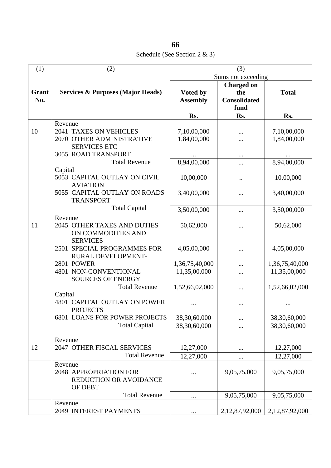Schedule (See Section 2 & 3)

| (1)   | (2)                                              | (3)             |                     |                    |  |
|-------|--------------------------------------------------|-----------------|---------------------|--------------------|--|
|       |                                                  |                 | Sums not exceeding  |                    |  |
|       |                                                  |                 | <b>Charged on</b>   |                    |  |
| Grant | <b>Services &amp; Purposes (Major Heads)</b>     | Voted by        | the                 | <b>Total</b>       |  |
| No.   |                                                  | <b>Assembly</b> | <b>Consolidated</b> |                    |  |
|       |                                                  |                 | fund                |                    |  |
|       |                                                  | Rs.             | Rs.                 | Rs.                |  |
|       | Revenue                                          |                 |                     |                    |  |
| 10    | 2041 TAXES ON VEHICLES                           | 7,10,00,000     |                     | 7,10,00,000        |  |
|       | 2070 OTHER ADMINISTRATIVE                        | 1,84,00,000     |                     | 1,84,00,000        |  |
|       | <b>SERVICES ETC</b>                              |                 |                     |                    |  |
|       | 3055 ROAD TRANSPORT                              |                 |                     |                    |  |
|       | <b>Total Revenue</b>                             | 8,94,00,000     |                     | 8,94,00,000        |  |
|       | Capital<br>5053 CAPITAL OUTLAY ON CIVIL          |                 |                     |                    |  |
|       | <b>AVIATION</b>                                  | 10,00,000       | $\ddotsc$           | 10,00,000          |  |
|       | 5055 CAPITAL OUTLAY ON ROADS                     | 3,40,00,000     |                     | 3,40,00,000        |  |
|       | <b>TRANSPORT</b>                                 |                 |                     |                    |  |
|       | <b>Total Capital</b>                             | 3,50,00,000     | $\cdots$            | 3,50,00,000        |  |
|       | Revenue                                          |                 |                     |                    |  |
| 11    | 2045 OTHER TAXES AND DUTIES                      | 50,62,000       |                     | 50,62,000          |  |
|       | ON COMMODITIES AND                               |                 |                     |                    |  |
|       | <b>SERVICES</b>                                  |                 |                     |                    |  |
|       | 2501 SPECIAL PROGRAMMES FOR                      | 4,05,00,000     |                     | 4,05,00,000        |  |
|       | RURAL DEVELOPMENT-                               |                 |                     |                    |  |
|       | 2801 POWER                                       | 1,36,75,40,000  |                     | 1,36,75,40,000     |  |
|       | 4801 NON-CONVENTIONAL                            | 11,35,00,000    |                     | 11,35,00,000       |  |
|       | <b>SOURCES OF ENERGY</b><br><b>Total Revenue</b> |                 |                     |                    |  |
|       | Capital                                          | 1,52,66,02,000  |                     | 1,52,66,02,000     |  |
|       | 4801 CAPITAL OUTLAY ON POWER                     |                 |                     |                    |  |
|       | <b>PROJECTS</b>                                  |                 |                     |                    |  |
|       | <b>6801 LOANS FOR POWER PROJECTS</b>             | 38,30,60,000    |                     | 38,30,60,000       |  |
|       | <b>Total Capital</b>                             | 38,30,60,000    |                     | 38,30,60,000       |  |
|       | Revenue                                          |                 |                     |                    |  |
| 12    | 2047 OTHER FISCAL SERVICES                       | 12,27,000       |                     | 12,27,000          |  |
|       | <b>Total Revenue</b>                             | 12,27,000       |                     | 12,27,000          |  |
|       | Revenue                                          |                 |                     |                    |  |
|       | 2048 APPROPRIATION FOR                           |                 | 9,05,75,000         | 9,05,75,000        |  |
|       | <b>REDUCTION OR AVOIDANCE</b>                    |                 |                     |                    |  |
|       | OF DEBT                                          |                 |                     |                    |  |
|       | <b>Total Revenue</b>                             |                 | 9,05,75,000         | 9,05,75,000        |  |
|       | Revenue                                          |                 |                     |                    |  |
|       | 2049 INTEREST PAYMENTS                           |                 | 2,12,87,92,000      | 2, 12, 87, 92, 000 |  |

**66**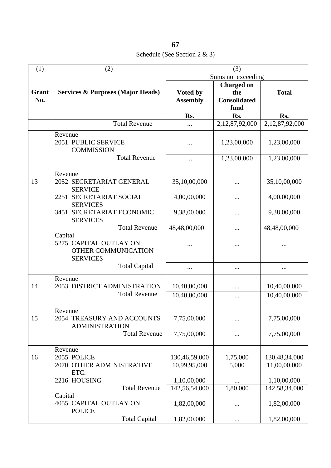Schedule (See Section 2 & 3)

| (1)          | (2)                                                                         | (3)                           |                                                         |                               |  |
|--------------|-----------------------------------------------------------------------------|-------------------------------|---------------------------------------------------------|-------------------------------|--|
|              |                                                                             |                               | Sums not exceeding                                      |                               |  |
| Grant<br>No. | <b>Services &amp; Purposes (Major Heads)</b>                                | Voted by<br><b>Assembly</b>   | <b>Charged on</b><br>the<br><b>Consolidated</b><br>fund | <b>Total</b>                  |  |
|              |                                                                             | Rs.                           | Rs.                                                     | Rs.                           |  |
|              | <b>Total Revenue</b>                                                        |                               | 2,12,87,92,000                                          | 2,12,87,92,000                |  |
|              | Revenue<br>2051 PUBLIC SERVICE<br><b>COMMISSION</b>                         | .                             | 1,23,00,000                                             | 1,23,00,000                   |  |
|              | <b>Total Revenue</b>                                                        |                               | 1,23,00,000                                             | 1,23,00,000                   |  |
| 13           | Revenue<br>2052 SECRETARIAT GENERAL<br><b>SERVICE</b>                       | 35,10,00,000                  |                                                         | 35,10,00,000                  |  |
|              | 2251 SECRETARIAT SOCIAL<br><b>SERVICES</b>                                  | 4,00,00,000                   |                                                         | 4,00,00,000                   |  |
|              | SECRETARIAT ECONOMIC<br>3451<br><b>SERVICES</b>                             | 9,38,00,000                   |                                                         | 9,38,00,000                   |  |
|              | <b>Total Revenue</b>                                                        | 48,48,00,000                  |                                                         | 48,48,00,000                  |  |
|              | Capital<br>5275 CAPITAL OUTLAY ON<br>OTHER COMMUNICATION<br><b>SERVICES</b> |                               |                                                         |                               |  |
|              | <b>Total Capital</b>                                                        | $\cdots$                      |                                                         |                               |  |
| 14           | Revenue<br>2053 DISTRICT ADMINISTRATION                                     | 10,40,00,000                  |                                                         | 10,40,00,000                  |  |
|              | <b>Total Revenue</b>                                                        | 10,40,00,000                  |                                                         | 10,40,00,000                  |  |
| 15           | Revenue<br>2054 TREASURY AND ACCOUNTS<br><b>ADMINISTRATION</b>              | 7,75,00,000                   |                                                         | 7,75,00,000                   |  |
|              | <b>Total Revenue</b>                                                        | 7,75,00,000                   |                                                         | 7,75,00,000                   |  |
| 16           | Revenue<br>2055 POLICE<br>2070 OTHER ADMINISTRATIVE<br>ETC.                 | 130,46,59,000<br>10,99,95,000 | 1,75,000<br>5,000                                       | 130,48,34,000<br>11,00,00,000 |  |
|              | 2216 HOUSING-                                                               | 1,10,00,000                   |                                                         | 1,10,00,000                   |  |
|              | <b>Total Revenue</b>                                                        | 142,56,54,000                 | 1,80,000                                                | 142,58,34,000                 |  |
|              | Capital<br>4055 CAPITAL OUTLAY ON<br><b>POLICE</b>                          | 1,82,00,000                   |                                                         | 1,82,00,000                   |  |
|              | <b>Total Capital</b>                                                        | 1,82,00,000                   |                                                         | 1,82,00,000                   |  |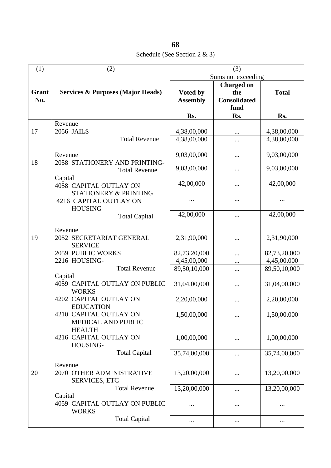Schedule (See Section 2 & 3)

| (1)                 | (2)                                                              | (3)                         |                                                 |                             |  |
|---------------------|------------------------------------------------------------------|-----------------------------|-------------------------------------------------|-----------------------------|--|
|                     |                                                                  |                             | Sums not exceeding                              |                             |  |
| <b>Grant</b><br>No. | <b>Services &amp; Purposes (Major Heads)</b>                     | Voted by<br><b>Assembly</b> | <b>Charged on</b><br>the<br><b>Consolidated</b> | <b>Total</b>                |  |
|                     |                                                                  |                             | fund                                            |                             |  |
|                     |                                                                  | Rs.                         | Rs.                                             | Rs.                         |  |
| 17                  | Revenue<br>2056 JAILS                                            | 4,38,00,000                 | $\cdots$                                        | 4,38,00,000                 |  |
|                     | <b>Total Revenue</b>                                             | 4,38,00,000                 |                                                 | 4,38,00,000                 |  |
| 18                  | Revenue<br>2058 STATIONERY AND PRINTING-                         | 9,03,00,000                 | $\cdots$                                        | 9,03,00,000                 |  |
|                     | <b>Total Revenue</b>                                             | 9,03,00,000                 |                                                 | 9,03,00,000                 |  |
|                     | Capital<br>4058 CAPITAL OUTLAY ON<br>STATIONERY & PRINTING       | 42,00,000                   |                                                 | 42,00,000                   |  |
|                     | 4216 CAPITAL OUTLAY ON<br>HOUSING-                               |                             |                                                 |                             |  |
|                     | <b>Total Capital</b>                                             | 42,00,000                   |                                                 | 42,00,000                   |  |
| 19                  | Revenue<br>2052 SECRETARIAT GENERAL<br><b>SERVICE</b>            | 2,31,90,000                 |                                                 | 2,31,90,000                 |  |
|                     | 2059 PUBLIC WORKS<br>2216 HOUSING-                               | 82,73,20,000<br>4,45,00,000 | $\ddotsc$                                       | 82,73,20,000<br>4,45,00,000 |  |
|                     | <b>Total Revenue</b>                                             | 89,50,10,000                |                                                 | 89,50,10,000                |  |
|                     | Capital<br>4059 CAPITAL OUTLAY ON PUBLIC                         | 31,04,00,000                | <br>                                            | 31,04,00,000                |  |
|                     | <b>WORKS</b><br>4202 CAPITAL OUTLAY ON                           | 2,20,00,000                 |                                                 | 2,20,00,000                 |  |
|                     | <b>EDUCATION</b><br>4210 CAPITAL OUTLAY ON<br>MEDICAL AND PUBLIC | 1,50,00,000                 | $\cdots$                                        | 1,50,00,000                 |  |
|                     | <b>HEALTH</b><br>4216 CAPITAL OUTLAY ON<br>HOUSING-              | 1,00,00,000                 |                                                 | 1,00,00,000                 |  |
|                     | <b>Total Capital</b>                                             | 35,74,00,000                |                                                 | 35,74,00,000                |  |
| 20                  | Revenue<br>2070 OTHER ADMINISTRATIVE<br><b>SERVICES, ETC</b>     | 13,20,00,000                |                                                 | 13,20,00,000                |  |
|                     | <b>Total Revenue</b>                                             | 13,20,00,000                |                                                 | 13,20,00,000                |  |
|                     | Capital<br>4059 CAPITAL OUTLAY ON PUBLIC<br><b>WORKS</b>         |                             |                                                 | $\cdots$                    |  |
|                     | <b>Total Capital</b>                                             | $\cdots$                    |                                                 | $\cdots$                    |  |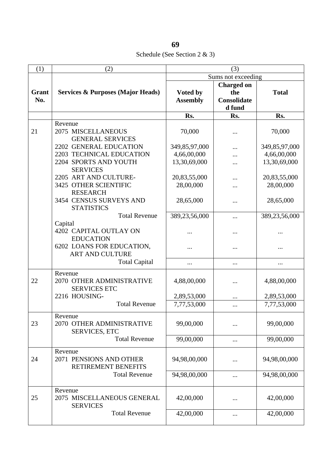Schedule (See Section 2 & 3)

| (1)          | (2)                                                                                  | (3)                                          |                                                   |                                              |  |
|--------------|--------------------------------------------------------------------------------------|----------------------------------------------|---------------------------------------------------|----------------------------------------------|--|
|              |                                                                                      |                                              | Sums not exceeding                                |                                              |  |
| Grant<br>No. | <b>Services &amp; Purposes (Major Heads)</b>                                         | Voted by<br><b>Assembly</b>                  | <b>Charged on</b><br>the<br>Consolidate<br>d fund | <b>Total</b>                                 |  |
|              |                                                                                      | Rs.                                          | Rs.                                               | Rs.                                          |  |
| 21           | Revenue<br>2075 MISCELLANEOUS<br><b>GENERAL SERVICES</b>                             | 70,000                                       |                                                   | 70,000                                       |  |
|              | 2202 GENERAL EDUCATION<br>2203 TECHNICAL EDUCATION<br>2204 SPORTS AND YOUTH          | 349,85,97,000<br>4,66,00,000<br>13,30,69,000 |                                                   | 349,85,97,000<br>4,66,00,000<br>13,30,69,000 |  |
|              | <b>SERVICES</b><br>2205 ART AND CULTURE-<br>3425 OTHER SCIENTIFIC<br><b>RESEARCH</b> | 20,83,55,000<br>28,00,000                    |                                                   | 20,83,55,000<br>28,00,000                    |  |
|              | 3454 CENSUS SURVEYS AND<br><b>STATISTICS</b>                                         | 28,65,000                                    |                                                   | 28,65,000                                    |  |
|              | <b>Total Revenue</b><br>Capital                                                      | 389,23,56,000                                |                                                   | 389,23,56,000                                |  |
|              | 4202 CAPITAL OUTLAY ON<br><b>EDUCATION</b>                                           |                                              |                                                   |                                              |  |
|              | 6202 LOANS FOR EDUCATION,<br><b>ART AND CULTURE</b>                                  |                                              |                                                   |                                              |  |
|              | <b>Total Capital</b>                                                                 | $\cdots$                                     | $\cdots$                                          |                                              |  |
| 22           | Revenue<br>2070 OTHER ADMINISTRATIVE<br><b>SERVICES ETC</b>                          | 4,88,00,000                                  |                                                   | 4,88,00,000                                  |  |
|              | 2216 HOUSING-                                                                        | 2,89,53,000                                  | $\cdots$                                          | 2,89,53,000                                  |  |
|              | <b>Total Revenue</b>                                                                 | 7,77,53,000                                  | $\cdots$                                          | 7,77,53,000                                  |  |
| 23           | Revenue<br>2070 OTHER ADMINISTRATIVE<br><b>SERVICES, ETC</b>                         | 99,00,000                                    |                                                   | 99,00,000                                    |  |
|              | <b>Total Revenue</b>                                                                 | 99,00,000                                    | $\cdots$                                          | 99,00,000                                    |  |
| 24           | Revenue<br>2071 PENSIONS AND OTHER<br>RETIREMENT BENEFITS                            | 94,98,00,000                                 |                                                   | 94,98,00,000                                 |  |
|              | <b>Total Revenue</b>                                                                 | 94,98,00,000                                 |                                                   | 94,98,00,000                                 |  |
| 25           | Revenue<br>2075 MISCELLANEOUS GENERAL<br><b>SERVICES</b>                             | 42,00,000                                    |                                                   | 42,00,000                                    |  |
|              | <b>Total Revenue</b>                                                                 | 42,00,000                                    | $\cdots$                                          | 42,00,000                                    |  |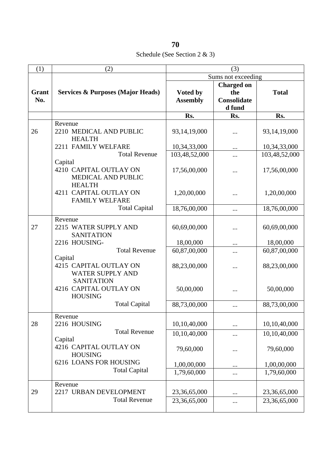Schedule (See Section 2 & 3)

| (1)   | (2)                                          | (3)             |                    |                 |  |
|-------|----------------------------------------------|-----------------|--------------------|-----------------|--|
|       |                                              |                 | Sums not exceeding |                 |  |
|       |                                              |                 | <b>Charged on</b>  |                 |  |
| Grant | <b>Services &amp; Purposes (Major Heads)</b> | Voted by        | the                | <b>Total</b>    |  |
| No.   |                                              | <b>Assembly</b> | Consolidate        |                 |  |
|       |                                              |                 | d fund             |                 |  |
|       |                                              | Rs.             | Rs.                | Rs.             |  |
|       | Revenue                                      |                 |                    |                 |  |
| 26    | 2210 MEDICAL AND PUBLIC                      | 93,14,19,000    |                    | 93, 14, 19, 000 |  |
|       | <b>HEALTH</b>                                |                 |                    |                 |  |
|       | 2211 FAMILY WELFARE                          | 10,34,33,000    |                    | 10,34,33,000    |  |
|       | <b>Total Revenue</b>                         | 103,48,52,000   |                    | 103,48,52,000   |  |
|       | Capital                                      |                 |                    |                 |  |
|       | 4210 CAPITAL OUTLAY ON                       | 17,56,00,000    |                    | 17,56,00,000    |  |
|       | MEDICAL AND PUBLIC<br><b>HEALTH</b>          |                 |                    |                 |  |
|       | 4211 CAPITAL OUTLAY ON                       | 1,20,00,000     |                    | 1,20,00,000     |  |
|       | <b>FAMILY WELFARE</b>                        |                 |                    |                 |  |
|       | <b>Total Capital</b>                         | 18,76,00,000    |                    | 18,76,00,000    |  |
|       |                                              |                 |                    |                 |  |
|       | Revenue                                      |                 |                    |                 |  |
| 27    | 2215 WATER SUPPLY AND<br><b>SANITATION</b>   | 60,69,00,000    |                    | 60,69,00,000    |  |
|       | 2216 HOUSING-                                | 18,00,000       |                    | 18,00,000       |  |
|       | <b>Total Revenue</b>                         | 60,87,00,000    |                    | 60,87,00,000    |  |
|       | Capital                                      |                 |                    |                 |  |
|       | 4215 CAPITAL OUTLAY ON                       | 88,23,00,000    |                    | 88,23,00,000    |  |
|       | <b>WATER SUPPLY AND</b>                      |                 |                    |                 |  |
|       | <b>SANITATION</b>                            |                 |                    |                 |  |
|       | 4216 CAPITAL OUTLAY ON                       | 50,00,000       |                    | 50,00,000       |  |
|       | <b>HOUSING</b>                               |                 |                    |                 |  |
|       | <b>Total Capital</b>                         | 88,73,00,000    |                    | 88,73,00,000    |  |
|       | Revenue                                      |                 |                    |                 |  |
| 28    | 2216 HOUSING                                 | 10,10,40,000    |                    | 10,10,40,000    |  |
|       | <b>Total Revenue</b>                         | 10,10,40,000    |                    | 10,10,40,000    |  |
|       | Capital                                      |                 |                    |                 |  |
|       | 4216 CAPITAL OUTLAY ON<br><b>HOUSING</b>     | 79,60,000       |                    | 79,60,000       |  |
|       | 6216 LOANS FOR HOUSING                       |                 |                    |                 |  |
|       | <b>Total Capital</b>                         | 1,00,00,000     |                    | 1,00,00,000     |  |
|       |                                              | 1,79,60,000     | $\cdots$           | 1,79,60,000     |  |
|       | Revenue                                      |                 |                    |                 |  |
| 29    | 2217 URBAN DEVELOPMENT                       | 23,36,65,000    |                    | 23,36,65,000    |  |
|       | <b>Total Revenue</b>                         | 23,36,65,000    |                    | 23,36,65,000    |  |
|       |                                              |                 |                    |                 |  |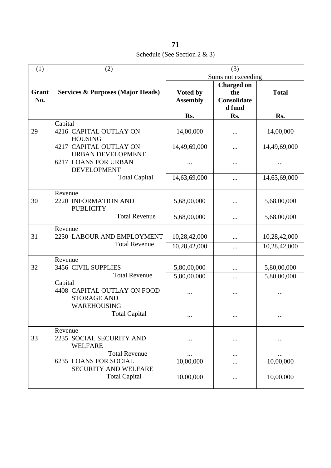Schedule (See Section 2 & 3)

| (1)                  | (2)                                                                          | (3)                         |                                                          |               |
|----------------------|------------------------------------------------------------------------------|-----------------------------|----------------------------------------------------------|---------------|
|                      |                                                                              |                             | Sums not exceeding                                       |               |
| Grant<br>No.         | <b>Services &amp; Purposes (Major Heads)</b>                                 | Voted by<br><b>Assembly</b> | <b>Charged on</b><br>the<br><b>Consolidate</b><br>d fund | <b>Total</b>  |
|                      |                                                                              | Rs.                         | Rs.                                                      | Rs.           |
| 29                   | Capital<br>4216 CAPITAL OUTLAY ON<br><b>HOUSING</b>                          | 14,00,000                   |                                                          | 14,00,000     |
|                      | 4217 CAPITAL OUTLAY ON<br><b>URBAN DEVELOPMENT</b>                           | 14,49,69,000                |                                                          | 14,49,69,000  |
|                      | <b>6217 LOANS FOR URBAN</b><br><b>DEVELOPMENT</b>                            |                             |                                                          | .             |
|                      | <b>Total Capital</b>                                                         | 14,63,69,000                |                                                          | 14,63,69,000  |
| 30                   | Revenue<br>2220 INFORMATION AND<br><b>PUBLICITY</b>                          | 5,68,00,000                 |                                                          | 5,68,00,000   |
|                      | <b>Total Revenue</b>                                                         | 5,68,00,000                 | $\cdots$                                                 | 5,68,00,000   |
| 31                   | Revenue<br>2230 LABOUR AND EMPLOYMENT                                        | 10,28,42,000                |                                                          | 10,28,42,000  |
| <b>Total Revenue</b> | 10,28,42,000                                                                 |                             | 10,28,42,000                                             |               |
| 32                   | Revenue<br>3456 CIVIL SUPPLIES                                               | 5,80,00,000                 |                                                          | 5,80,00,000   |
|                      | <b>Total Revenue</b><br>Capital                                              | 5,80,00,000                 |                                                          | 5,80,00,000   |
|                      | 4408 CAPITAL OUTLAY ON FOOD<br><b>STORAGE AND</b><br>WAREHOUSING             |                             |                                                          |               |
|                      | <b>Total Capital</b>                                                         |                             |                                                          |               |
| 33                   | Revenue<br>2235 SOCIAL SECURITY AND<br><b>WELFARE</b>                        |                             |                                                          |               |
|                      | <b>Total Revenue</b><br><b>6235 LOANS FOR SOCIAL</b><br>SECURITY AND WELFARE | <br>10,00,000               |                                                          | <br>10,00,000 |
|                      | <b>Total Capital</b>                                                         | 10,00,000                   |                                                          | 10,00,000     |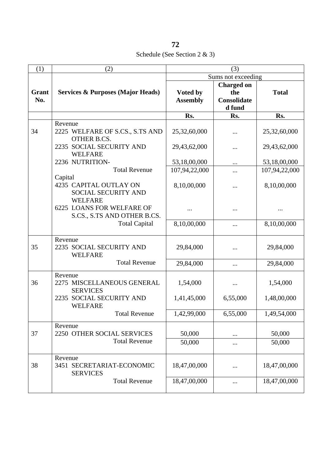| 72                               |  |
|----------------------------------|--|
| Schedule (See Section $2 \& 3$ ) |  |
|                                  |  |

| (1)   | (2)                                                      |                             | (3)                |               |
|-------|----------------------------------------------------------|-----------------------------|--------------------|---------------|
|       |                                                          |                             | Sums not exceeding |               |
| Grant |                                                          |                             | <b>Charged on</b>  |               |
| No.   | <b>Services &amp; Purposes (Major Heads)</b>             | Voted by<br><b>Assembly</b> | the<br>Consolidate | <b>Total</b>  |
|       |                                                          |                             | d fund             |               |
|       |                                                          | Rs.                         | Rs.                | Rs.           |
|       | Revenue                                                  |                             |                    |               |
| 34    | 2225 WELFARE OF S.CS., S.TS AND<br><b>OTHER B.CS.</b>    | 25,32,60,000                |                    | 25,32,60,000  |
|       | 2235 SOCIAL SECURITY AND<br><b>WELFARE</b>               | 29,43,62,000                |                    | 29,43,62,000  |
|       | 2236 NUTRITION-                                          | 53,18,00,000                | $\cdots$           | 53,18,00,000  |
|       | <b>Total Revenue</b>                                     | 107,94,22,000               |                    | 107,94,22,000 |
|       | Capital                                                  |                             |                    |               |
|       | 4235 CAPITAL OUTLAY ON                                   | 8,10,00,000                 |                    | 8,10,00,000   |
|       | SOCIAL SECURITY AND<br><b>WELFARE</b>                    |                             |                    |               |
|       | 6225 LOANS FOR WELFARE OF                                |                             |                    |               |
|       | S.CS., S.TS AND OTHER B.CS.                              |                             |                    |               |
|       | <b>Total Capital</b>                                     | 8,10,00,000                 |                    | 8,10,00,000   |
|       | Revenue                                                  |                             |                    |               |
| 35    | 2235 SOCIAL SECURITY AND<br><b>WELFARE</b>               | 29,84,000                   |                    | 29,84,000     |
|       | <b>Total Revenue</b>                                     | 29,84,000                   | $\cdots$           | 29,84,000     |
| 36    | Revenue<br>2275 MISCELLANEOUS GENERAL<br><b>SERVICES</b> | 1,54,000                    |                    | 1,54,000      |
|       | 2235 SOCIAL SECURITY AND<br><b>WELFARE</b>               | 1,41,45,000                 | 6,55,000           | 1,48,00,000   |
|       | <b>Total Revenue</b>                                     | 1,42,99,000                 | 6,55,000           | 1,49,54,000   |
|       | Revenue                                                  |                             |                    |               |
| 37    | 2250 OTHER SOCIAL SERVICES                               | 50,000                      | $\cdots$           | 50,000        |
|       | <b>Total Revenue</b>                                     | 50,000                      | $\cdots$           | 50,000        |
| 38    | Revenue<br>3451 SECRETARIAT-ECONOMIC<br><b>SERVICES</b>  | 18,47,00,000                |                    | 18,47,00,000  |
|       | <b>Total Revenue</b>                                     | 18,47,00,000                |                    | 18,47,00,000  |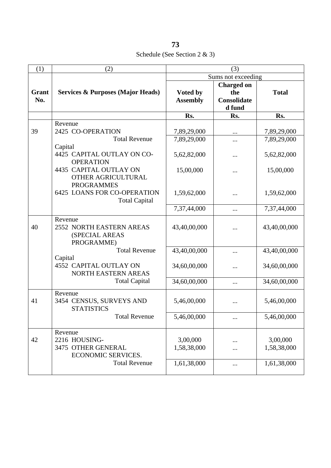**73** Schedule (See Section 2 & 3)

| (1)                                                               | (2)                                                                         | (3)                         |                                                          |                            |
|-------------------------------------------------------------------|-----------------------------------------------------------------------------|-----------------------------|----------------------------------------------------------|----------------------------|
|                                                                   |                                                                             |                             | Sums not exceeding                                       |                            |
| Grant<br>No.                                                      | <b>Services &amp; Purposes (Major Heads)</b>                                | Voted by<br><b>Assembly</b> | <b>Charged on</b><br>the<br><b>Consolidate</b><br>d fund | <b>Total</b>               |
|                                                                   |                                                                             | Rs.                         | Rs.                                                      | Rs.                        |
| 39                                                                | Revenue<br>2425 CO-OPERATION<br><b>Total Revenue</b>                        | 7,89,29,000<br>7,89,29,000  | <br>.                                                    | 7,89,29,000<br>7,89,29,000 |
|                                                                   | Capital<br>4425 CAPITAL OUTLAY ON CO-<br><b>OPERATION</b>                   | 5,62,82,000                 |                                                          | 5,62,82,000                |
| 4435 CAPITAL OUTLAY ON<br>OTHER AGRICULTURAL<br><b>PROGRAMMES</b> |                                                                             | 15,00,000                   |                                                          | 15,00,000                  |
|                                                                   | <b>6425 LOANS FOR CO-OPERATION</b><br><b>Total Capital</b>                  | 1,59,62,000                 |                                                          | 1,59,62,000                |
|                                                                   |                                                                             | 7,37,44,000                 | $\cdots$                                                 | 7,37,44,000                |
| 40                                                                | Revenue<br>2552 NORTH EASTERN AREAS<br>(SPECIAL AREAS<br>PROGRAMME)         | 43,40,00,000                |                                                          | 43,40,00,000               |
|                                                                   | <b>Total Revenue</b>                                                        | 43,40,00,000                |                                                          | 43,40,00,000               |
|                                                                   | Capital<br><b>4552 CAPITAL OUTLAY ON</b><br>NORTH EASTERN AREAS             | 34,60,00,000                |                                                          | 34,60,00,000               |
|                                                                   | <b>Total Capital</b>                                                        | 34,60,00,000                |                                                          | 34,60,00,000               |
| 41                                                                | Revenue<br>3454 CENSUS, SURVEYS AND<br><b>STATISTICS</b>                    | 5,46,00,000                 |                                                          | 5,46,00,000                |
|                                                                   | <b>Total Revenue</b>                                                        | 5,46,00,000                 |                                                          | 5,46,00,000                |
| 42                                                                | Revenue<br>2216 HOUSING-<br>3475 OTHER GENERAL<br><b>ECONOMIC SERVICES.</b> | 3,00,000<br>1,58,38,000     |                                                          | 3,00,000<br>1,58,38,000    |
|                                                                   | <b>Total Revenue</b>                                                        | 1,61,38,000                 |                                                          | 1,61,38,000                |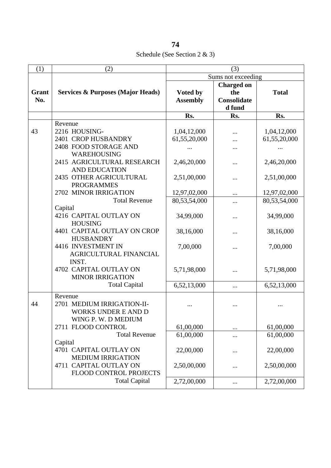Schedule (See Section 2 & 3)

| (1)          | (2)                                          | (3)             |                           |              |
|--------------|----------------------------------------------|-----------------|---------------------------|--------------|
|              |                                              |                 | Sums not exceeding        |              |
|              |                                              |                 | <b>Charged on</b>         |              |
| Grant<br>No. | <b>Services &amp; Purposes (Major Heads)</b> | Voted by        | the<br><b>Consolidate</b> | <b>Total</b> |
|              |                                              | <b>Assembly</b> | d fund                    |              |
|              |                                              | Rs.             | Rs.                       | Rs.          |
|              | Revenue                                      |                 |                           |              |
| 43           | 2216 HOUSING-                                | 1,04,12,000     |                           | 1,04,12,000  |
|              | 2401 CROP HUSBANDRY                          | 61,55,20,000    |                           | 61,55,20,000 |
|              | 2408 FOOD STORAGE AND                        |                 |                           |              |
|              | WAREHOUSING                                  |                 |                           |              |
|              | 2415 AGRICULTURAL RESEARCH                   | 2,46,20,000     | .                         | 2,46,20,000  |
|              | <b>AND EDUCATION</b>                         |                 |                           |              |
|              | 2435 OTHER AGRICULTURAL                      | 2,51,00,000     |                           | 2,51,00,000  |
|              | <b>PROGRAMMES</b>                            |                 |                           |              |
|              | 2702 MINOR IRRIGATION                        | 12,97,02,000    |                           | 12,97,02,000 |
|              | <b>Total Revenue</b>                         | 80,53,54,000    | $\cdots$                  | 80,53,54,000 |
|              | Capital                                      |                 |                           |              |
|              | 4216 CAPITAL OUTLAY ON<br><b>HOUSING</b>     | 34,99,000       | $\cdots$                  | 34,99,000    |
|              | 4401 CAPITAL OUTLAY ON CROP                  | 38,16,000       |                           | 38,16,000    |
|              | <b>HUSBANDRY</b>                             |                 | .                         |              |
|              | 4416 INVESTMENT IN                           | 7,00,000        |                           | 7,00,000     |
|              | AGRICULTURAL FINANCIAL                       |                 |                           |              |
|              | INST.                                        |                 |                           |              |
|              | 4702 CAPITAL OUTLAY ON                       | 5,71,98,000     |                           | 5,71,98,000  |
|              | <b>MINOR IRRIGATION</b>                      |                 |                           |              |
|              | <b>Total Capital</b>                         | 6,52,13,000     | $\cdots$                  | 6,52,13,000  |
|              | Revenue                                      |                 |                           |              |
| 44           | 2701 MEDIUM IRRIGATION-II-                   |                 |                           |              |
|              | <b>WORKS UNDER E AND D</b>                   |                 |                           |              |
|              | WING P. W. D MEDIUM                          |                 |                           |              |
|              | 2711 FLOOD CONTROL                           | 61,00,000       |                           | 61,00,000    |
|              | <b>Total Revenue</b>                         | 61,00,000       |                           | 61,00,000    |
|              | Capital                                      |                 |                           |              |
|              | 4701 CAPITAL OUTLAY ON                       | 22,00,000       |                           | 22,00,000    |
|              | <b>MEDIUM IRRIGATION</b>                     |                 |                           |              |
|              | 4711 CAPITAL OUTLAY ON                       | 2,50,00,000     |                           | 2,50,00,000  |
|              | <b>FLOOD CONTROL PROJECTS</b>                |                 |                           |              |
|              | <b>Total Capital</b>                         | 2,72,00,000     |                           | 2,72,00,000  |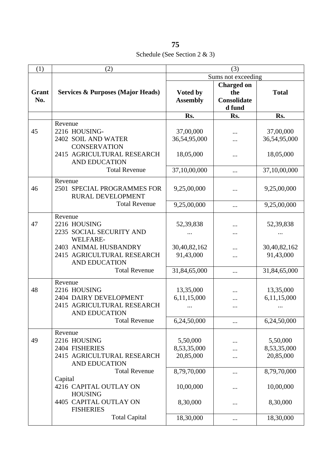Schedule (See Section 2 & 3)

| (1)                 | (2)                                                                                                                             | (3)                                     |                                                   |                                         |
|---------------------|---------------------------------------------------------------------------------------------------------------------------------|-----------------------------------------|---------------------------------------------------|-----------------------------------------|
|                     |                                                                                                                                 |                                         | Sums not exceeding                                |                                         |
| <b>Grant</b><br>No. | <b>Services &amp; Purposes (Major Heads)</b>                                                                                    | Voted by<br><b>Assembly</b>             | <b>Charged on</b><br>the<br>Consolidate<br>d fund | <b>Total</b>                            |
|                     |                                                                                                                                 | Rs.                                     | Rs.                                               | Rs.                                     |
| 45                  | Revenue<br>2216 HOUSING-<br>2402 SOIL AND WATER<br><b>CONSERVATION</b><br>2415 AGRICULTURAL RESEARCH<br><b>AND EDUCATION</b>    | 37,00,000<br>36,54,95,000<br>18,05,000  |                                                   | 37,00,000<br>36,54,95,000<br>18,05,000  |
|                     | <b>Total Revenue</b>                                                                                                            | 37,10,00,000                            |                                                   | 37,10,00,000                            |
| 46                  | Revenue<br>2501 SPECIAL PROGRAMMES FOR<br>RURAL DEVELOPMENT                                                                     | 9,25,00,000                             |                                                   | 9,25,00,000                             |
|                     | <b>Total Revenue</b>                                                                                                            | 9,25,00,000                             | $\cdots$                                          | 9,25,00,000                             |
| 47                  | Revenue<br>2216 HOUSING<br>2235 SOCIAL SECURITY AND<br><b>WELFARE-</b><br>2403 ANIMAL HUSBANDRY                                 | 52,39,838<br>30,40,82,162               |                                                   | 52,39,838<br>30,40,82,162               |
|                     | 2415 AGRICULTURAL RESEARCH<br><b>AND EDUCATION</b>                                                                              | 91,43,000                               |                                                   | 91,43,000                               |
|                     | <b>Total Revenue</b>                                                                                                            | 31,84,65,000                            | $\cdots$                                          | 31,84,65,000                            |
| 48                  | Revenue<br>2216 HOUSING<br>2404 DAIRY DEVELOPMENT<br>2415 AGRICULTURAL RESEARCH<br><b>AND EDUCATION</b><br><b>Total Revenue</b> | 13,35,000<br>6,11,15,000<br>6,24,50,000 | $\cdots$                                          | 13,35,000<br>6,11,15,000<br>6,24,50,000 |
| 49                  | Revenue<br>2216 HOUSING<br>2404 FISHERIES<br>2415 AGRICULTURAL RESEARCH<br><b>AND EDUCATION</b>                                 | 5,50,000<br>8,53,35,000<br>20,85,000    |                                                   | 5,50,000<br>8,53,35,000<br>20,85,000    |
|                     | <b>Total Revenue</b><br>Capital<br>4216 CAPITAL OUTLAY ON<br><b>HOUSING</b>                                                     | 8,79,70,000<br>10,00,000                |                                                   | 8,79,70,000<br>10,00,000                |
|                     | 4405 CAPITAL OUTLAY ON<br><b>FISHERIES</b>                                                                                      | 8,30,000                                |                                                   | 8,30,000                                |
|                     | <b>Total Capital</b>                                                                                                            | 18,30,000                               |                                                   | 18,30,000                               |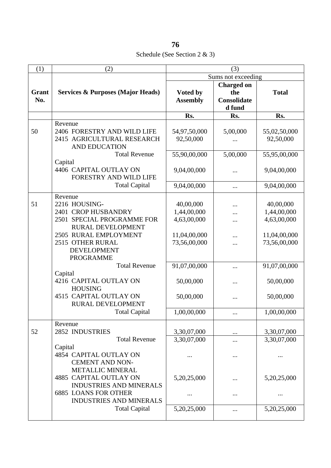Schedule (See Section 2 & 3)

| (1)          | (2)                                                                                                                                                 | (3)                                     |                                                   |                                         |
|--------------|-----------------------------------------------------------------------------------------------------------------------------------------------------|-----------------------------------------|---------------------------------------------------|-----------------------------------------|
|              |                                                                                                                                                     | Sums not exceeding                      |                                                   |                                         |
| Grant<br>No. | <b>Services &amp; Purposes (Major Heads)</b>                                                                                                        | Voted by<br><b>Assembly</b>             | <b>Charged on</b><br>the<br>Consolidate<br>d fund | <b>Total</b>                            |
|              |                                                                                                                                                     | Rs.                                     | Rs.                                               | Rs.                                     |
| 50           | Revenue<br>2406 FORESTRY AND WILD LIFE<br>2415 AGRICULTURAL RESEARCH<br><b>AND EDUCATION</b>                                                        | 54,97,50,000<br>92,50,000               | 5,00,000                                          | 55,02,50,000<br>92,50,000               |
|              | <b>Total Revenue</b>                                                                                                                                | 55,90,00,000                            | 5,00,000                                          | 55,95,00,000                            |
|              | Capital<br>4406 CAPITAL OUTLAY ON<br>FORESTRY AND WILD LIFE                                                                                         | 9,04,00,000                             |                                                   | 9,04,00,000                             |
|              | <b>Total Capital</b>                                                                                                                                | 9,04,00,000                             | $\cdots$                                          | 9,04,00,000                             |
| 51           | Revenue<br>2216 HOUSING-<br>2401 CROP HUSBANDRY<br>2501 SPECIAL PROGRAMME FOR                                                                       | 40,00,000<br>1,44,00,000<br>4,63,00,000 | .                                                 | 40,00,000<br>1,44,00,000<br>4,63,00,000 |
|              | <b>RURAL DEVELOPMENT</b><br>2505 RURAL EMPLOYMENT<br>2515 OTHER RURAL<br><b>DEVELOPMENT</b><br><b>PROGRAMME</b>                                     | 11,04,00,000<br>73,56,00,000            |                                                   | 11,04,00,000<br>73,56,00,000            |
|              | <b>Total Revenue</b>                                                                                                                                | 91,07,00,000                            |                                                   | 91,07,00,000                            |
|              | Capital<br>4216 CAPITAL OUTLAY ON<br><b>HOUSING</b>                                                                                                 | 50,00,000                               |                                                   | 50,00,000                               |
|              | 4515 CAPITAL OUTLAY ON<br><b>RURAL DEVELOPMENT</b>                                                                                                  | 50,00,000                               |                                                   | 50,00,000                               |
|              | <b>Total Capital</b>                                                                                                                                | 1,00,00,000                             |                                                   | 1,00,00,000                             |
| 52           | Revenue<br>2852 INDUSTRIES                                                                                                                          | 3,30,07,000                             | $\cdots$                                          | 3,30,07,000                             |
|              | <b>Total Revenue</b><br>Capital<br>4854 CAPITAL OUTLAY ON                                                                                           | 3,30,07,000                             | <br>                                              | 3,30,07,000                             |
|              | <b>CEMENT AND NON-</b><br><b>METALLIC MINERAL</b><br><b>4885 CAPITAL OUTLAY ON</b><br><b>INDUSTRIES AND MINERALS</b><br><b>6885 LOANS FOR OTHER</b> | 5,20,25,000<br>$\cdots$                 |                                                   | 5,20,25,000<br>                         |
|              | <b>INDUSTRIES AND MINERALS</b><br><b>Total Capital</b>                                                                                              | 5,20,25,000                             |                                                   | 5,20,25,000                             |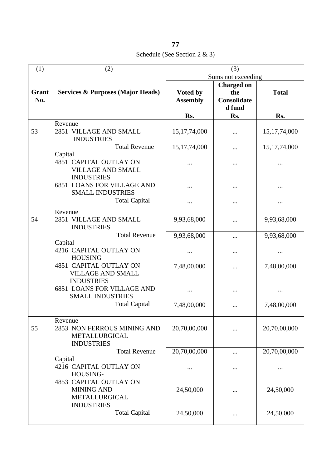Schedule (See Section 2 & 3)

| (1)          | (2)                                                                                                                                   | (3)                         |                                                          |                 |
|--------------|---------------------------------------------------------------------------------------------------------------------------------------|-----------------------------|----------------------------------------------------------|-----------------|
|              |                                                                                                                                       | Sums not exceeding          |                                                          |                 |
| Grant<br>No. | <b>Services &amp; Purposes (Major Heads)</b>                                                                                          | Voted by<br><b>Assembly</b> | <b>Charged on</b><br>the<br><b>Consolidate</b><br>d fund | <b>Total</b>    |
|              |                                                                                                                                       | Rs.                         | Rs.                                                      | Rs.             |
| 53           | Revenue<br>2851 VILLAGE AND SMALL<br><b>INDUSTRIES</b>                                                                                | 15, 17, 74, 000             |                                                          | 15, 17, 74, 000 |
|              | <b>Total Revenue</b><br>Capital<br><b>4851 CAPITAL OUTLAY ON</b><br><b>VILLAGE AND SMALL</b>                                          | 15, 17, 74, 000             |                                                          | 15, 17, 74, 000 |
|              | <b>INDUSTRIES</b><br><b>6851 LOANS FOR VILLAGE AND</b><br><b>SMALL INDUSTRIES</b>                                                     |                             |                                                          |                 |
|              | <b>Total Capital</b>                                                                                                                  |                             |                                                          |                 |
| 54           | Revenue<br>2851 VILLAGE AND SMALL<br><b>INDUSTRIES</b>                                                                                | 9,93,68,000                 |                                                          | 9,93,68,000     |
|              | <b>Total Revenue</b>                                                                                                                  | 9,93,68,000                 |                                                          | 9,93,68,000     |
|              | Capital<br>4216 CAPITAL OUTLAY ON<br><b>HOUSING</b><br><b>4851 CAPITAL OUTLAY ON</b><br><b>VILLAGE AND SMALL</b><br><b>INDUSTRIES</b> |                             |                                                          |                 |
|              |                                                                                                                                       | 7,48,00,000                 |                                                          | 7,48,00,000     |
|              | <b>6851 LOANS FOR VILLAGE AND</b><br><b>SMALL INDUSTRIES</b>                                                                          |                             |                                                          |                 |
|              | <b>Total Capital</b>                                                                                                                  | 7,48,00,000                 |                                                          | 7,48,00,000     |
| 55           | Revenue<br>2853 NON FERROUS MINING AND<br>METALLURGICAL<br><b>INDUSTRIES</b>                                                          | 20,70,00,000                |                                                          | 20,70,00,000    |
|              | <b>Total Revenue</b>                                                                                                                  | 20,70,00,000                |                                                          | 20,70,00,000    |
|              | Capital<br>4216 CAPITAL OUTLAY ON<br>HOUSING-                                                                                         |                             |                                                          |                 |
|              | 4853 CAPITAL OUTLAY ON<br><b>MINING AND</b><br>METALLURGICAL<br><b>INDUSTRIES</b>                                                     | 24,50,000                   |                                                          | 24,50,000       |
|              | <b>Total Capital</b>                                                                                                                  | 24,50,000                   |                                                          | 24,50,000       |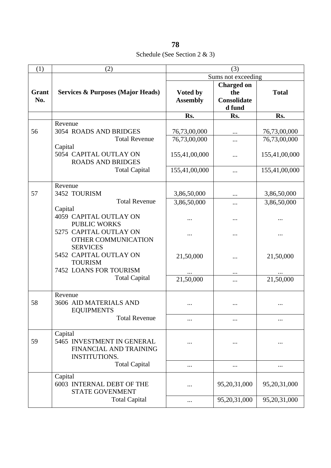Schedule (See Section 2 & 3)

| (1)   | (2)                                          | (3)             |                    |               |
|-------|----------------------------------------------|-----------------|--------------------|---------------|
|       |                                              |                 | Sums not exceeding |               |
|       |                                              |                 | <b>Charged on</b>  |               |
| Grant | <b>Services &amp; Purposes (Major Heads)</b> | Voted by        | the                | <b>Total</b>  |
| No.   |                                              | <b>Assembly</b> | Consolidate        |               |
|       |                                              |                 | d fund             |               |
|       |                                              | Rs.             | Rs.                | Rs.           |
|       | Revenue                                      |                 |                    |               |
| 56    | 3054 ROADS AND BRIDGES                       | 76,73,00,000    |                    | 76,73,00,000  |
|       | <b>Total Revenue</b>                         | 76,73,00,000    | .                  | 76,73,00,000  |
|       | Capital                                      |                 |                    |               |
|       | 5054 CAPITAL OUTLAY ON                       | 155,41,00,000   |                    | 155,41,00,000 |
|       | <b>ROADS AND BRIDGES</b>                     |                 |                    |               |
|       | <b>Total Capital</b>                         | 155,41,00,000   |                    | 155,41,00,000 |
|       |                                              |                 |                    |               |
|       | Revenue                                      |                 |                    |               |
| 57    | 3452 TOURISM                                 | 3,86,50,000     |                    | 3,86,50,000   |
|       | <b>Total Revenue</b>                         | 3,86,50,000     | .                  | 3,86,50,000   |
|       | Capital                                      |                 |                    |               |
|       | <b>4059 CAPITAL OUTLAY ON</b>                |                 |                    |               |
|       | <b>PUBLIC WORKS</b>                          |                 |                    |               |
|       | 5275 CAPITAL OUTLAY ON                       |                 |                    |               |
|       | OTHER COMMUNICATION                          |                 |                    |               |
|       | <b>SERVICES</b>                              |                 |                    |               |
|       | 5452 CAPITAL OUTLAY ON                       | 21,50,000       |                    | 21,50,000     |
|       | <b>TOURISM</b><br>7452 LOANS FOR TOURISM     |                 |                    |               |
|       |                                              |                 |                    |               |
|       | <b>Total Capital</b>                         | 21,50,000       | $\cdots$           | 21,50,000     |
|       |                                              |                 |                    |               |
|       | Revenue                                      |                 |                    |               |
| 58    | 3606 AID MATERIALS AND                       |                 |                    |               |
|       | <b>EQUIPMENTS</b>                            |                 |                    |               |
|       | <b>Total Revenue</b>                         |                 |                    |               |
|       | Capital                                      |                 |                    |               |
| 59    | 5465 INVESTMENT IN GENERAL                   |                 |                    |               |
|       | FINANCIAL AND TRAINING                       |                 |                    |               |
|       | <b>INSTITUTIONS.</b>                         |                 |                    |               |
|       | <b>Total Capital</b>                         |                 |                    |               |
|       |                                              |                 |                    |               |
|       | Capital                                      |                 |                    |               |
|       | 6003 INTERNAL DEBT OF THE                    |                 | 95,20,31,000       | 95,20,31,000  |
|       | <b>STATE GOVENMENT</b>                       |                 |                    |               |
|       | <b>Total Capital</b>                         | $\cdots$        | 95,20,31,000       | 95,20,31,000  |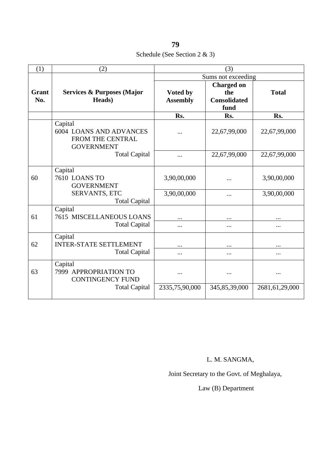| 79                               |  |
|----------------------------------|--|
| Schedule (See Section $2 \& 3$ ) |  |

| (1)                                   | (2)                                                                                |                             | (3)                                                     |                |
|---------------------------------------|------------------------------------------------------------------------------------|-----------------------------|---------------------------------------------------------|----------------|
|                                       |                                                                                    |                             | Sums not exceeding                                      |                |
| Grant<br>No.                          | <b>Services &amp; Purposes (Major</b><br>Heads)                                    | Voted by<br><b>Assembly</b> | <b>Charged on</b><br>the<br><b>Consolidated</b><br>fund | <b>Total</b>   |
|                                       |                                                                                    | Rs.                         | Rs.                                                     | Rs.            |
|                                       | Capital<br><b>6004 LOANS AND ADVANCES</b><br>FROM THE CENTRAL<br><b>GOVERNMENT</b> | .                           | 22,67,99,000                                            | 22,67,99,000   |
|                                       | <b>Total Capital</b>                                                               |                             | 22,67,99,000                                            | 22,67,99,000   |
| 60                                    | Capital<br><b>7610 LOANS TO</b><br><b>GOVERNMENT</b>                               | 3,90,00,000                 |                                                         | 3,90,00,000    |
| SERVANTS, ETC<br><b>Total Capital</b> | 3,90,00,000                                                                        |                             | 3,90,00,000                                             |                |
| 61                                    | Capital<br><b>7615 MISCELLANEOUS LOANS</b><br><b>Total Capital</b>                 |                             | $\ddotsc$<br>$\cdots$                                   | $\cdots$       |
|                                       |                                                                                    |                             |                                                         |                |
| 62                                    | Capital<br><b>INTER-STATE SETTLEMENT</b>                                           |                             |                                                         |                |
|                                       | <b>Total Capital</b>                                                               |                             | $\cdots$                                                |                |
| 63                                    | Capital<br>7999 APPROPRIATION TO<br><b>CONTINGENCY FUND</b>                        |                             |                                                         |                |
|                                       | <b>Total Capital</b>                                                               | 2335,75,90,000              | 345,85,39,000                                           | 2681,61,29,000 |

## L. M. SANGMA,

Joint Secretary to the Govt. of Meghalaya,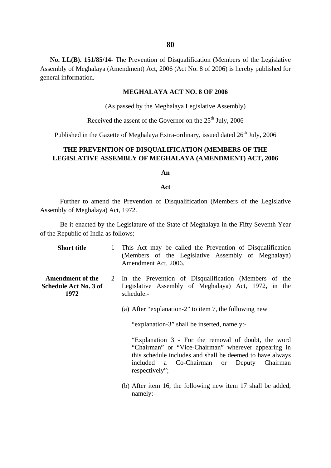**No. LL(B). 151/85/14-** The Prevention of Disqualification (Members of the Legislative Assembly of Meghalaya (Amendment) Act, 2006 (Act No. 8 of 2006) is hereby published for general information.

#### **MEGHALAYA ACT NO. 8 OF 2006**

(As passed by the Meghalaya Legislative Assembly)

Received the assent of the Governor on the  $25<sup>th</sup>$  July, 2006

Published in the Gazette of Meghalaya Extra-ordinary, issued dated  $26<sup>th</sup>$  July, 2006

## **THE PREVENTION OF DISQUALIFICATION (MEMBERS OF THE LEGISLATIVE ASSEMBLY OF MEGHALAYA (AMENDMENT) ACT, 2006**

#### **An**

#### **Act**

Further to amend the Prevention of Disqualification (Members of the Legislative Assembly of Meghalaya) Act, 1972.

Be it enacted by the Legislature of the State of Meghalaya in the Fifty Seventh Year of the Republic of India as follows:-

| <b>Short title</b>                                              | $\mathbf{1}$ | This Act may be called the Prevention of Disqualification<br>(Members of the Legislative Assembly of Meghalaya)<br>Amendment Act, 2006.                                                                                                                                                                                                                                                                                                                                                |
|-----------------------------------------------------------------|--------------|----------------------------------------------------------------------------------------------------------------------------------------------------------------------------------------------------------------------------------------------------------------------------------------------------------------------------------------------------------------------------------------------------------------------------------------------------------------------------------------|
| <b>Amendment of the</b><br><b>Schedule Act No. 3 of</b><br>1972 |              | 2 In the Prevention of Disqualification (Members of the<br>Legislative Assembly of Meghalaya) Act, 1972, in the<br>schedule:-<br>(a) After "explanation-2" to item 7, the following new<br>"explanation-3" shall be inserted, namely:-<br>"Explanation 3 - For the removal of doubt, the word<br>"Chairman" or "Vice-Chairman" wherever appearing in<br>this schedule includes and shall be deemed to have always<br>included a Co-Chairman or<br>Chairman<br>Deputy<br>respectively"; |
|                                                                 |              |                                                                                                                                                                                                                                                                                                                                                                                                                                                                                        |

(b) After item 16, the following new item 17 shall be added, namely:-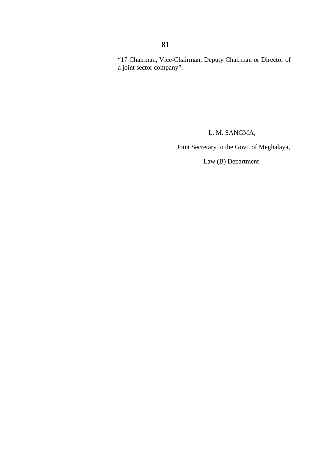### "17 Chairman, Vice-Chairman, Deputy Chairman or Director of a joint sector company".

L. M. SANGMA,

Joint Secretary to the Govt. of Meghalaya,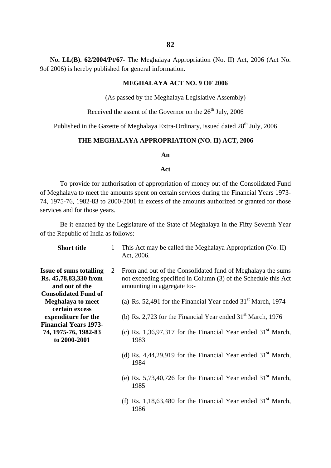**No. LL(B). 62/2004/Pt/67-** The Meghalaya Appropriation (No. II) Act, 2006 (Act No. 9of 2006) is hereby published for general information.

#### **MEGHALAYA ACT NO. 9 OF 2006**

(As passed by the Meghalaya Legislative Assembly)

Received the assent of the Governor on the 26<sup>th</sup> July, 2006

Published in the Gazette of Meghalaya Extra-Ordinary, issued dated  $28<sup>th</sup>$  July, 2006

#### **THE MEGHALAYA APPROPRIATION (NO. II) ACT, 2006**

#### **An**

#### **Act**

To provide for authorisation of appropriation of money out of the Consolidated Fund of Meghalaya to meet the amounts spent on certain services during the Financial Years 1973- 74, 1975-76, 1982-83 to 2000-2001 in excess of the amounts authorized or granted for those services and for those years.

Be it enacted by the Legislature of the State of Meghalaya in the Fifty Seventh Year of the Republic of India as follows:-

| <b>Short title</b>                                                        | 1 | This Act may be called the Meghalaya Appropriation (No. II)<br>Act, 2006.                                                                                    |
|---------------------------------------------------------------------------|---|--------------------------------------------------------------------------------------------------------------------------------------------------------------|
| <b>Issue of sums totalling</b><br>Rs. 45,78,83,330 from<br>and out of the | 2 | From and out of the Consolidated fund of Meghalaya the sums<br>not exceeding specified in Column (3) of the Schedule this Act<br>amounting in aggregate to:- |
| <b>Consolidated Fund of</b><br><b>Meghalaya to meet</b><br>certain excess |   | (a) Rs. 52,491 for the Financial Year ended $31st$ March, 1974                                                                                               |
| expenditure for the                                                       |   | (b) Rs. 2,723 for the Financial Year ended $31st$ March, 1976                                                                                                |
| <b>Financial Years 1973-</b><br>74, 1975-76, 1982-83<br>to 2000-2001      |   | (c) Rs. 1,36,97,317 for the Financial Year ended $31st$ March,<br>1983                                                                                       |
|                                                                           |   | (d) Rs. 4,44,29,919 for the Financial Year ended $31st$ March,<br>1984                                                                                       |
|                                                                           |   | (e) Rs. 5,73,40,726 for the Financial Year ended $31st$ March,<br>1985                                                                                       |
|                                                                           |   | (f) Rs. 1,18,63,480 for the Financial Year ended $31st$ March,<br>1986                                                                                       |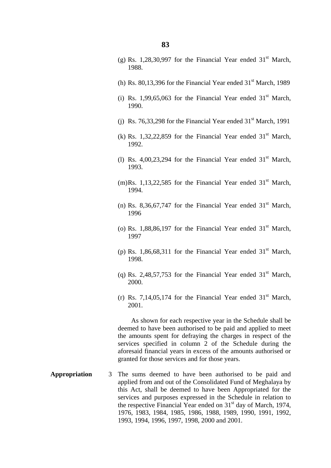- (g) Rs. 1,28,30,997 for the Financial Year ended  $31<sup>st</sup>$  March, 1988.
- (h) Rs.  $80.13.396$  for the Financial Year ended  $31<sup>st</sup>$  March, 1989
- (i) Rs. 1,99,65,063 for the Financial Year ended  $31<sup>st</sup>$  March, 1990.
- (i) Rs. 76,33,298 for the Financial Year ended  $31<sup>st</sup>$  March, 1991
- (k) Rs. 1,32,22,859 for the Financial Year ended  $31<sup>st</sup>$  March, 1992.
- (1) Rs. 4,00,23,294 for the Financial Year ended  $31<sup>st</sup>$  March, 1993.
- (m)Rs. 1,13,22,585 for the Financial Year ended  $31<sup>st</sup>$  March, 1994.
- (n) Rs. 8,36,67,747 for the Financial Year ended  $31<sup>st</sup>$  March, 1996
- (o) Rs. 1,88,86,197 for the Financial Year ended  $31<sup>st</sup>$  March, 1997
- (p) Rs. 1,86,68,311 for the Financial Year ended  $31<sup>st</sup>$  March, 1998.
- (q) Rs. 2,48,57,753 for the Financial Year ended  $31<sup>st</sup>$  March. 2000.
- (r) Rs. 7,14,05,174 for the Financial Year ended  $31<sup>st</sup>$  March, 2001.

 As shown for each respective year in the Schedule shall be deemed to have been authorised to be paid and applied to meet the amounts spent for defraying the charges in respect of the services specified in column 2 of the Schedule during the aforesaid financial years in excess of the amounts authorised or granted for those services and for those years.

**Appropriation** The sums deemed to have been authorised to be paid and applied from and out of the Consolidated Fund of Meghalaya by this Act, shall be deemed to have been Appropriated for the services and purposes expressed in the Schedule in relation to the respective Financial Year ended on  $31<sup>st</sup>$  day of March, 1974, 1976, 1983, 1984, 1985, 1986, 1988, 1989, 1990, 1991, 1992, 1993, 1994, 1996, 1997, 1998, 2000 and 2001.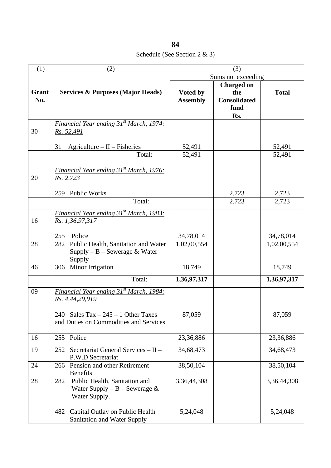Schedule (See Section 2 & 3)

| (1)          | (2)                                                                                                                                          | (3)                         |                                                         |              |
|--------------|----------------------------------------------------------------------------------------------------------------------------------------------|-----------------------------|---------------------------------------------------------|--------------|
|              |                                                                                                                                              | Sums not exceeding          |                                                         |              |
| Grant<br>No. | <b>Services &amp; Purposes (Major Heads)</b>                                                                                                 | Voted by<br><b>Assembly</b> | <b>Charged on</b><br>the<br><b>Consolidated</b><br>fund | <b>Total</b> |
|              |                                                                                                                                              |                             | Rs.                                                     |              |
| 30           | Financial Year ending 31 <sup>st</sup> March, 1974:<br>Rs. 52,491                                                                            |                             |                                                         |              |
|              | 31<br>$A$ griculture – II – Fisheries                                                                                                        | 52,491                      |                                                         | 52,491       |
|              | Total:                                                                                                                                       | 52,491                      |                                                         | 52,491       |
| 20           | Financial Year ending 31 <sup>st</sup> March, 1976:<br>Rs. 2,723                                                                             |                             |                                                         |              |
|              | 259 Public Works                                                                                                                             |                             | 2,723                                                   | 2,723        |
|              | Total:                                                                                                                                       |                             | 2,723                                                   | 2,723        |
| 16           | Financial Year ending 31 <sup>st</sup> March, 1983:<br>Rs. 1,36,97,317                                                                       |                             |                                                         |              |
|              | Police<br>255                                                                                                                                | 34,78,014                   |                                                         | 34,78,014    |
| 28           | 282 Public Health, Sanitation and Water<br>$Supply - B - Sewerage & Water$<br>Supply                                                         | 1,02,00,554                 |                                                         | 1,02,00,554  |
| 46           | 306 Minor Irrigation                                                                                                                         | 18,749                      |                                                         | 18,749       |
|              | Total:                                                                                                                                       | 1,36,97,317                 |                                                         | 1,36,97,317  |
| 09           | Financial Year ending 31st March, 1984:<br>Rs. 4,44,29,919<br>240 Sales Tax $-245 - 1$ Other Taxes<br>and Duties on Commodities and Services | 87,059                      |                                                         | 87,059       |
| 16           | 255 Police                                                                                                                                   | 23,36,886                   |                                                         | 23,36,886    |
| 19           | 252 Secretariat General Services - II -<br>P.W.D Secretariat                                                                                 | 34,68,473                   |                                                         | 34,68,473    |
| 24           | Pension and other Retirement<br>266<br><b>Benefits</b>                                                                                       | 38,50,104                   |                                                         | 38,50,104    |
| 28           | Public Health, Sanitation and<br>282<br>Water Supply – $B$ – Sewerage &<br>Water Supply.                                                     | 3,36,44,308                 |                                                         | 3,36,44,308  |
|              | Capital Outlay on Public Health<br>482<br>Sanitation and Water Supply                                                                        | 5,24,048                    |                                                         | 5,24,048     |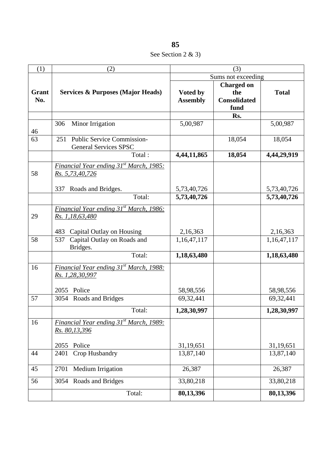**85** See Section 2 & 3)

| (1)          | (2)                                                                      | (3)                         |                                                         |              |
|--------------|--------------------------------------------------------------------------|-----------------------------|---------------------------------------------------------|--------------|
|              |                                                                          | Sums not exceeding          |                                                         |              |
| Grant<br>No. | <b>Services &amp; Purposes (Major Heads)</b>                             | Voted by<br><b>Assembly</b> | <b>Charged on</b><br>the<br><b>Consolidated</b><br>fund | <b>Total</b> |
|              |                                                                          |                             | Rs.                                                     |              |
| 46           | Minor Irrigation<br>306                                                  | 5,00,987                    |                                                         | 5,00,987     |
| 63           | <b>Public Service Commission-</b><br>251<br><b>General Services SPSC</b> |                             | 18,054                                                  | 18,054       |
|              | Total:                                                                   | 4,44,11,865                 | 18,054                                                  | 4,44,29,919  |
| 58           | Financial Year ending 31 <sup>st</sup> March, 1985:<br>Rs. 5,73,40,726   |                             |                                                         |              |
|              | Roads and Bridges.<br>337<br>Total:                                      | 5,73,40,726                 |                                                         | 5,73,40,726  |
|              |                                                                          | 5,73,40,726                 |                                                         | 5,73,40,726  |
| 29           | Financial Year ending 31 <sup>st</sup> March, 1986:<br>Rs. 1,18,63,480   |                             |                                                         |              |
|              | Capital Outlay on Housing<br>483                                         | 2,16,363                    |                                                         | 2,16,363     |
| 58           | Capital Outlay on Roads and<br>537<br>Bridges.                           | 1,16,47,117                 |                                                         | 1,16,47,117  |
|              | Total:                                                                   | 1,18,63,480                 |                                                         | 1,18,63,480  |
| 16           | Financial Year ending 31 <sup>st</sup> March, 1988:<br>Rs. 1,28,30,997   |                             |                                                         |              |
|              | 2055 Police                                                              | 58,98,556                   |                                                         | 58,98,556    |
| 57           | 3054 Roads and Bridges                                                   | 69,32,441                   |                                                         | 69,32,441    |
|              | Total:                                                                   | 1,28,30,997                 |                                                         | 1,28,30,997  |
| 16           | Financial Year ending 31 <sup>st</sup> March, 1989:<br>Rs. 80,13,396     |                             |                                                         |              |
|              | Police<br>2055                                                           | 31,19,651                   |                                                         | 31,19,651    |
| 44           | Crop Husbandry<br>2401                                                   | 13,87,140                   |                                                         | 13,87,140    |
| 45           | Medium Irrigation<br>2701                                                | 26,387                      |                                                         | 26,387       |
| 56           | 3054 Roads and Bridges                                                   | 33,80,218                   |                                                         | 33,80,218    |
|              | Total:                                                                   | 80,13,396                   |                                                         | 80,13,396    |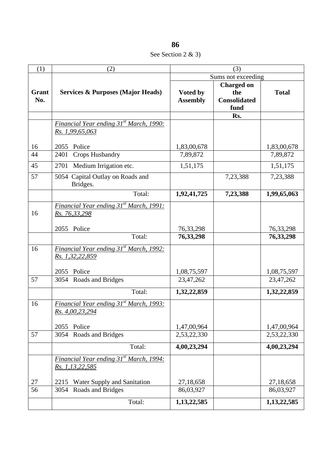**86** See Section 2 & 3)

| (1)          | (2)                                                                    | (3)                         |                                                         |              |
|--------------|------------------------------------------------------------------------|-----------------------------|---------------------------------------------------------|--------------|
|              |                                                                        | Sums not exceeding          |                                                         |              |
| Grant<br>No. | <b>Services &amp; Purposes (Major Heads)</b>                           | Voted by<br><b>Assembly</b> | <b>Charged on</b><br>the<br><b>Consolidated</b><br>fund | <b>Total</b> |
|              |                                                                        |                             | Rs.                                                     |              |
|              | Financial Year ending 31 <sup>st</sup> March, 1990:<br>Rs. 1,99,65,063 |                             |                                                         |              |
| 16           | 2055<br>Police                                                         | 1,83,00,678                 |                                                         | 1,83,00,678  |
| 44           | Crops Husbandry<br>2401                                                | 7,89,872                    |                                                         | 7,89,872     |
| 45           | Medium Irrigation etc.<br>2701                                         | 1,51,175                    |                                                         | 1,51,175     |
| 57           | 5054 Capital Outlay on Roads and<br>Bridges.                           |                             | 7,23,388                                                | 7,23,388     |
|              | Total:                                                                 | 1,92,41,725                 | 7,23,388                                                | 1,99,65,063  |
| 16           | Financial Year ending 31 <sup>st</sup> March, 1991:<br>Rs. 76,33,298   |                             |                                                         |              |
|              | 2055 Police                                                            | 76, 33, 298                 |                                                         | 76, 33, 298  |
|              | Total:                                                                 | 76, 33, 298                 |                                                         | 76, 33, 298  |
| 16           | Financial Year ending 31 <sup>st</sup> March, 1992:<br>Rs. 1,32,22,859 |                             |                                                         |              |
|              | Police<br>2055                                                         | 1,08,75,597                 |                                                         | 1,08,75,597  |
| 57           | 3054 Roads and Bridges                                                 | 23,47,262                   |                                                         | 23,47,262    |
|              | Total:                                                                 | 1,32,22,859                 |                                                         | 1,32,22,859  |
| 16           | <b>Financial Year ending 31st March, 1993:</b><br>Rs. 4,00,23,294      |                             |                                                         |              |
|              | Police<br>2055                                                         | 1,47,00,964                 |                                                         | 1,47,00,964  |
| 57           | Roads and Bridges<br>3054                                              | 2,53,22,330                 |                                                         | 2,53,22,330  |
|              | Total:                                                                 | 4,00,23,294                 |                                                         | 4,00,23,294  |
|              | Financial Year ending 31 <sup>st</sup> March, 1994:<br>Rs. 1,13,22,585 |                             |                                                         |              |
| 27           | Water Supply and Sanitation<br>2215                                    | 27,18,658                   |                                                         | 27,18,658    |
| 56           | Roads and Bridges<br>3054                                              | 86,03,927                   |                                                         | 86,03,927    |
|              | Total:                                                                 | 1,13,22,585                 |                                                         | 1,13,22,585  |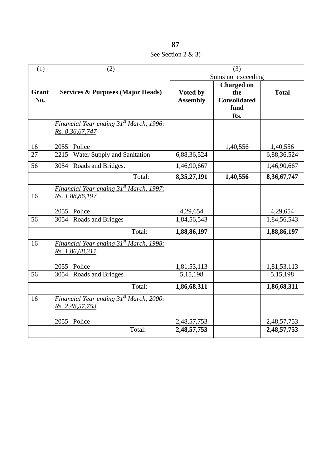See Section 2 & 3)

| (1)          | (2)                                                                    | (3)                         |                                                         |              |
|--------------|------------------------------------------------------------------------|-----------------------------|---------------------------------------------------------|--------------|
|              |                                                                        | Sums not exceeding          |                                                         |              |
| Grant<br>No. | <b>Services &amp; Purposes (Major Heads)</b>                           | Voted by<br><b>Assembly</b> | <b>Charged on</b><br>the<br><b>Consolidated</b><br>fund | <b>Total</b> |
|              |                                                                        |                             | Rs.                                                     |              |
|              | Financial Year ending 31 <sup>st</sup> March, 1996:<br>Rs. 8,36,67,747 |                             |                                                         |              |
| 16           | 2055 Police                                                            |                             | 1,40,556                                                | 1,40,556     |
| 27           | Water Supply and Sanitation<br>2215                                    | 6,88,36,524                 |                                                         | 6,88,36,524  |
| 56           | 3054<br>Roads and Bridges.                                             | 1,46,90,667                 |                                                         | 1,46,90,667  |
|              | Total:                                                                 | 8,35,27,191                 | 1,40,556                                                | 8,36,67,747  |
| 16           | Financial Year ending 31 <sup>st</sup> March, 1997:<br>Rs. 1,88,86,197 |                             |                                                         |              |
|              | Police<br>2055                                                         | 4,29,654                    |                                                         | 4,29,654     |
| 56           | 3054 Roads and Bridges                                                 | 1,84,56,543                 |                                                         | 1,84,56,543  |
|              | Total:                                                                 | 1,88,86,197                 |                                                         | 1,88,86,197  |
| 16           | Financial Year ending 31 <sup>st</sup> March, 1998:<br>Rs. 1,86,68,311 |                             |                                                         |              |
|              | Police<br>2055                                                         | 1,81,53,113                 |                                                         | 1,81,53,113  |
| 56           | Roads and Bridges<br>3054                                              | 5,15,198                    |                                                         | 5,15,198     |
|              | Total:                                                                 | 1,86,68,311                 |                                                         | 1,86,68,311  |
| 16           | Financial Year ending 31 <sup>st</sup> March, 2000:<br>Rs. 2,48,57,753 |                             |                                                         |              |
|              | 2055 Police                                                            | 2,48,57,753                 |                                                         | 2,48,57,753  |
|              | Total:                                                                 | 2,48,57,753                 |                                                         | 2,48,57,753  |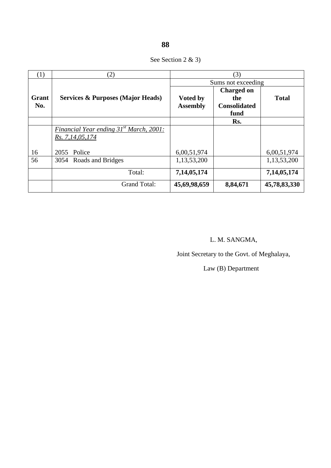|  | See Section 2 & 3) |  |  |  |
|--|--------------------|--|--|--|
|--|--------------------|--|--|--|

| (1)   | (2)                                                 | (3)                |                     |              |
|-------|-----------------------------------------------------|--------------------|---------------------|--------------|
|       |                                                     | Sums not exceeding |                     |              |
|       |                                                     |                    | <b>Charged on</b>   |              |
| Grant | <b>Services &amp; Purposes (Major Heads)</b>        | <b>Voted by</b>    | the                 | <b>Total</b> |
| No.   |                                                     | <b>Assembly</b>    | <b>Consolidated</b> |              |
|       |                                                     |                    | fund                |              |
|       |                                                     |                    | Rs.                 |              |
|       | Financial Year ending 31 <sup>st</sup> March, 2001: |                    |                     |              |
|       | Rs. 7, 14, 05, 174                                  |                    |                     |              |
|       |                                                     |                    |                     |              |
| 16    | 2055 Police                                         | 6,00,51,974        |                     | 6,00,51,974  |
| 56    | 3054 Roads and Bridges                              | 1,13,53,200        |                     | 1,13,53,200  |
|       | Total:                                              |                    |                     |              |
|       |                                                     | 7,14,05,174        |                     | 7,14,05,174  |
|       | <b>Grand Total:</b>                                 | 45,69,98,659       | 8,84,671            | 45,78,83,330 |

# L. M. SANGMA,

Joint Secretary to the Govt. of Meghalaya,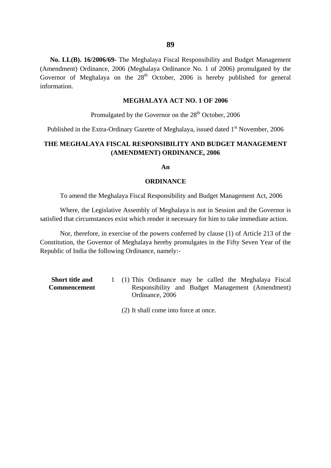**No. LL(B). 16/2006/69-** The Meghalaya Fiscal Responsibility and Budget Management (Amendment) Ordinance, 2006 (Meghalaya Ordinance No. 1 of 2006) promulgated by the Governor of Meghalaya on the  $28<sup>th</sup>$  October, 2006 is hereby published for general information.

#### **MEGHALAYA ACT NO. 1 OF 2006**

Promulgated by the Governor on the  $28<sup>th</sup>$  October, 2006

Published in the Extra-Ordinary Gazette of Meghalaya, issued dated  $1<sup>st</sup>$  November, 2006

### **THE MEGHALAYA FISCAL RESPONSIBILITY AND BUDGET MANAGEMENT (AMENDMENT) ORDINANCE, 2006**

#### **An**

#### **ORDINANCE**

To amend the Meghalaya Fiscal Responsibility and Budget Management Act, 2006

Where, the Legislative Assembly of Meghalaya is not in Session and the Governor is satisfied that circumstances exist which render it necessary for him to take immediate action.

Nor, therefore, in exercise of the powers conferred by clause (1) of Article 213 of the Constitution, the Governor of Meghalaya hereby promulgates in the Fifty Seven Year of the Republic of India the following Ordinance, namely:-

- **Short title and Commencement**  1 (1) This Ordinance may be called the Meghalaya Fiscal Responsibility and Budget Management (Amendment) Ordinance, 2006
	- (2) It shall come into force at once.